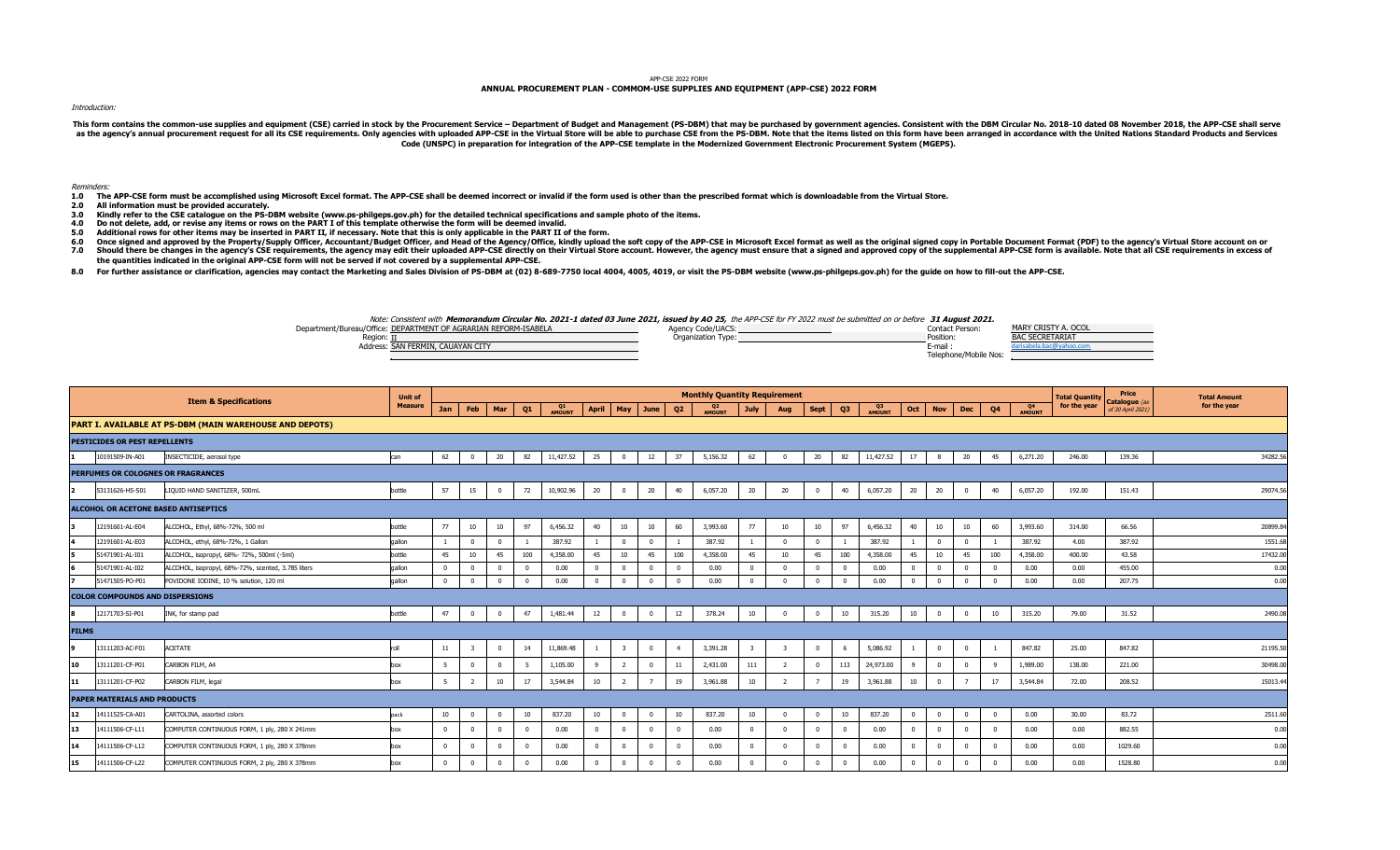### APP-CSE 2022 FORM

# **ANNUAL PROCUREMENT PLAN - COMMOM-USE SUPPLIES AND EQUIPMENT (APP-CSE) 2022 FORM**

#### Introduction:

This form contains the common-use supplies and equipment (CSE) carried in stock by the Procurement Service - Department of Budget and Management (PS-DBM) that may be purchased by government agencies. Consistent with the DB as the agency's annual procurement request for all its CSE requirements. Only agencies with uploaded APP-CSE in the Virtual Store will be able to purchase CSE from the PS-DBM. Note that the items listed on this form have b **Code (UNSPC) in preparation for integration of the APP-CSE template in the Modernized Government Electronic Procurement System (MGEPS).** 

#### Reminders:

- **1.0 2.0 The APP-CSE form must be accomplished using Microsoft Excel format. The APP-CSE shall be deemed incorrect or invalid if the form used is other than the prescribed format which is downloadable from the Virtual Store.**
- **All information must be provided accurately.**
- **3.0 Kindly refer to the CSE catalogue on the PS-DBM website (www.ps-philgeps.gov.ph) for the detailed technical specifications and sample photo of the items.**
- **4.0 Do not delete, add, or revise any items or rows on the PART I of this template otherwise the form will be deemed invalid.**
- **5.0 Additional rows for other items may be inserted in PART II, if necessary. Note that this is only applicable in the PART II of the form.**
- **6.0** Once signed and approved by the Property/Supply Officer, Accountant/Budget Officer, and Head of the Agency/Office, kindly upload the soft copy of the APP-CSE in Microsoft Excel format as well as the original signed copy in
- **7.0** Should there be changes in the agency's CSE requirements, the agency may edit their uploaded APP-CSE directly on their Virtual Store account. However, the agency must ensure that a signed and approved copy of the supplemen **the quantities indicated in the original APP-CSE form will not be served if not covered by a supplemental APP-CSE.**
- **8.0** For further assistance or clarification, agencies may contact the Marketing and Sales Division of PS-DBM at (02) 8-689-7750 local 4004, 4005, 4019, or visit the PS-DBM website (www.ps-philgeps.gov.ph) for the guide on how

## Note: Consistent with **Memorandum Circular No. 2021-1 dated 03 June 2021, issued by AO 25,** the APP-CSE for FY 2022 must be submitted on or before **31 August 2021.**

| Department/Bureau/Office: DEPARTMENT OF AGRARIAN REFORM-ISABELA | Agency Code/UACS:  | MARY CRISTY A. OCOL<br>Contact Person: |
|-----------------------------------------------------------------|--------------------|----------------------------------------|
| Region                                                          | Organization Type: | Position:<br><b>BAC SECRETARIAT</b>    |
| Address: SAN FERMIN, CAUAYAN CITY                               |                    | E-mail<br>المحماح                      |
|                                                                 |                    | Telephone/Mobile Nos:                  |

|              |                                        | <b>Item &amp; Specifications</b>                        | <b>Unit of</b> |              |                |                 |            |              |                |                         |            |                | <b>Monthly Quantity Requirement</b> |                         |                |                  |                |              |          |                |                |              |                                 | <b>Total Quantity</b> | Price                              | <b>Total Amount</b> |          |
|--------------|----------------------------------------|---------------------------------------------------------|----------------|--------------|----------------|-----------------|------------|--------------|----------------|-------------------------|------------|----------------|-------------------------------------|-------------------------|----------------|------------------|----------------|--------------|----------|----------------|----------------|--------------|---------------------------------|-----------------------|------------------------------------|---------------------|----------|
|              |                                        |                                                         | <b>Measure</b> | <b>Jan</b>   | Feb            | Mar             | Q1         | Q1<br>AMOUNT | <b>April</b>   | May                     | June       | Q <sub>2</sub> | Q <sub>2</sub><br>AMOUNT            | <b>July</b>             | Aug            | Sept             | Q3             | Q3<br>AMOUNT | Oct      | <b>Nov</b>     | <b>Dec</b>     | Q4           | Q <sub>4</sub><br><b>AMOUNT</b> | for the year          | Catalogue (as<br>of 30 April 2021) | for the year        |          |
|              |                                        | PART I. AVAILABLE AT PS-DBM (MAIN WAREHOUSE AND DEPOTS) |                |              |                |                 |            |              |                |                         |            |                |                                     |                         |                |                  |                |              |          |                |                |              |                                 |                       |                                    |                     |          |
|              | PESTICIDES OR PEST REPELLENTS          |                                                         |                |              |                |                 |            |              |                |                         |            |                |                                     |                         |                |                  |                |              |          |                |                |              |                                 |                       |                                    |                     |          |
|              | 10191509-IN-A01                        | INSECTICIDE, aerosol type                               | can            | 62           | $\mathbf{0}$   | 20              | 82         | 11,427.52    | 25             | $\overline{\mathbf{0}}$ | 12         | 37             | 5,156.32                            | 62                      | $\overline{0}$ | 20               | 82             | 11,427.52    | 17       | 8              | 20             | 45           | 6,271.20                        | 246.00                | 139.36                             |                     | 34282.56 |
|              |                                        | PERFUMES OR COLOGNES OR FRAGRANCES                      |                |              |                |                 |            |              |                |                         |            |                |                                     |                         |                |                  |                |              |          |                |                |              |                                 |                       |                                    |                     |          |
|              | 53131626-HS-S01                        | LIQUID HAND SANITIZER, 500mL                            | bottle         | 57           | 15             | $\mathbf{0}$    | 72         | 10,902.96    | 20             | $\bf{0}$                | 20         | 40             | 6,057.20                            | 20                      | 20             | $\overline{0}$   | 40             | 6,057.20     | 20       | 20             | $\mathbf 0$    | 40           | 6,057.20                        | 192.00                | 151.43                             |                     | 29074.56 |
|              |                                        | ALCOHOL OR ACETONE BASED ANTISEPTICS                    |                |              |                |                 |            |              |                |                         |            |                |                                     |                         |                |                  |                |              |          |                |                |              |                                 |                       |                                    |                     |          |
|              | 12191601-AL-E04                        | ALCOHOL, Ethyl, 68%-72%, 500 ml                         | bottle         | 77           | 10             | 10 <sup>°</sup> | 97         | 6,456.32     | 40             | 10                      | 10         | 60             | 3,993.60                            | 77                      | 10             | 10 <sub>10</sub> | 97             | 6,456.32     | 40       | 10             | 10             | 60           | 3,993.60                        | 314.00                | 66.56                              |                     | 20899.84 |
|              | 12191601-AL-E03                        | ALCOHOL, ethyl, 68%-72%, 1 Gallon                       | qallon         |              | $\Omega$       |                 |            | 387.92       |                | $\mathbf{0}$            |            |                | 387.92                              |                         | $\sqrt{2}$     | $\Omega$         |                | 387.92       |          | $\Omega$       |                |              | 387.92                          | 4.00                  | 387.92                             |                     | 1551.68  |
|              | 51471901-AL-I01                        | ALCOHOL, isopropyl, 68%- 72%, 500ml (-5ml)              | bottle         | 45           | 10             | 45              | 100        | 4,358.00     | 45             | 10                      | 45         | 100            | 4,358.00                            | 45                      | 10             | 45               | 100            | 4,358.00     | 45       | 10             | 45             | 100          | 4,358.00                        | 400.00                | 43.58                              |                     | 17432.00 |
|              | 51471901-AL-I02                        | ALCOHOL, isopropyl, 68%-72%, scented, 3.785 liters      | qallon         | $\Omega$     | $\Omega$       |                 | $\Omega$   | 0.00         | $\mathbf 0$    | $^{\circ}$              |            | $\Omega$       | 0.00                                | $\Omega$                | $\Omega$       | $\Omega$         | $\overline{0}$ | 0.00         |          | $\Omega$       |                | $\Omega$     | 0.00                            | 0.00                  | 455.00                             |                     | 0.00     |
|              | 51471505-PO-P01                        | POVIDONE IODINE, 10 % solution, 120 ml                  | qallon         | $\Omega$     | $\Omega$       |                 | $\sqrt{2}$ | 0.00         | $\Omega$       | $\Omega$                |            | $\sqrt{2}$     | 0.00                                | $\Omega$                | $\sqrt{2}$     | $\Omega$         | $\Omega$       | 0.00         | $\Omega$ | $\sqrt{2}$     |                |              | 0.00                            | 0.00                  | 207.75                             |                     | 0.00     |
|              | <b>COLOR COMPOUNDS AND DISPERSIONS</b> |                                                         |                |              |                |                 |            |              |                |                         |            |                |                                     |                         |                |                  |                |              |          |                |                |              |                                 |                       |                                    |                     |          |
|              | 12171703-SI-P01                        | INK, for stamp pad                                      | bottle         | 47           | $\mathbf{0}$   | $\Omega$        | 47         | 1,481.44     | 12             | $\overline{\mathbf{0}}$ | $\Omega$   | 12             | 378.24                              | 10                      | $\Omega$       | $\overline{0}$   | 10             | 315.20       | 10       | $\overline{0}$ | $\overline{0}$ | 10           | 315.20                          | 79.00                 | 31.52                              |                     | 2490.08  |
| <b>FILMS</b> |                                        |                                                         |                |              |                |                 |            |              |                |                         |            |                |                                     |                         |                |                  |                |              |          |                |                |              |                                 |                       |                                    |                     |          |
|              | 13111203-AC-F01                        | <b>ACETATE</b>                                          | roll           | 11           | -3             | $^{\circ}$      | 14         | 11,869.48    | 1              | $\overline{\mathbf{3}}$ | $^{\circ}$ | $\overline{4}$ | 3,391.28                            | $\overline{\mathbf{3}}$ | -3             | $\overline{0}$   | 6              | 5,086.92     |          | $\mathbf 0$    | $\overline{0}$ |              | 847.82                          | 25.00                 | 847.82                             |                     | 21195.50 |
| 10           | 13111201-CF-P01                        | CARBON FILM, A4                                         | box            | -5           | $\Omega$       |                 | -5         | 1,105.00     | 9              | $\overline{2}$          | $\Omega$   | 11             | 2,431.00                            | 111                     |                | $\Omega$         | 113            | 24,973.00    |          | $\Omega$       | $\Omega$       | $\mathbf{Q}$ | 1,989.00                        | 138.00                | 221.00                             |                     | 30498.00 |
| 11           | 13111201-CF-P02                        | CARBON FILM, legal                                      | box            | 5            |                | 10              | 17         | 3,544.84     | 10             |                         |            | 19             | 3,961.88                            | 10                      |                |                  | 19             | 3,961.88     | 10       | $\Omega$       |                | 17           | 3,544.84                        | 72.00                 | 208.52                             |                     | 15013.44 |
|              | PAPER MATERIALS AND PRODUCTS           |                                                         |                |              |                |                 |            |              |                |                         |            |                |                                     |                         |                |                  |                |              |          |                |                |              |                                 |                       |                                    |                     |          |
| 12           | 14111525-CA-A01                        | CARTOLINA, assorted colors                              | pack           | 10           | $\mathbf 0$    |                 | 10         | 837.20       | 10             | $\pmb{0}$               |            | 10             | 837.20                              | 10                      | $\sqrt{2}$     | $\overline{0}$   | 10             | 837.20       |          | $\mathbf 0$    |                | $\sqrt{2}$   | 0.00                            | 30.00                 | 83.72                              |                     | 2511.60  |
| 13           | 14111506-CF-L11                        | COMPUTER CONTINUOUS FORM, 1 ply, 280 X 241mm            | box            | $\Omega$     | $\Omega$       |                 |            | 0.00         | $\overline{0}$ | $\Omega$                |            | $\Omega$       | 0.00                                | $\overline{0}$          |                | $\Omega$         | $\Omega$       | 0.00         |          | $\Omega$       |                |              | 0.00                            | 0.00                  | 882.55                             |                     | 0.00     |
| 14           | 14111506-CF-L12                        | COMPUTER CONTINUOUS FORM, 1 ply, 280 X 378mm            | box            | $\mathbf{0}$ | $\overline{0}$ | $\mathbf{0}$    | $\Omega$   | 0.00         | $\mathbf{0}$   | $\overline{\mathbf{0}}$ |            | $\overline{0}$ | 0.00                                | $\overline{0}$          | $\Omega$       | $\Omega$         | $\overline{0}$ | 0.00         | $\Omega$ | $\overline{0}$ | $\Omega$       | $\Omega$     | 0.00                            | 0.00                  | 1029.60                            |                     | 0.00     |
| 15           | 14111506-CF-L22                        | COMPUTER CONTINUOUS FORM, 2 ply, 280 X 378mm            | box            | $\Omega$     | $\overline{0}$ |                 | $\Omega$   | 0.00         | $\Omega$       | $\Omega$                |            | $\sqrt{2}$     | 0.00                                | $\Omega$                | $\Omega$       | $\Omega$         | $\Omega$       | 0.00         |          | $\Omega$       |                |              | 0.00                            | 0.00                  | 1528.80                            |                     | 0.00     |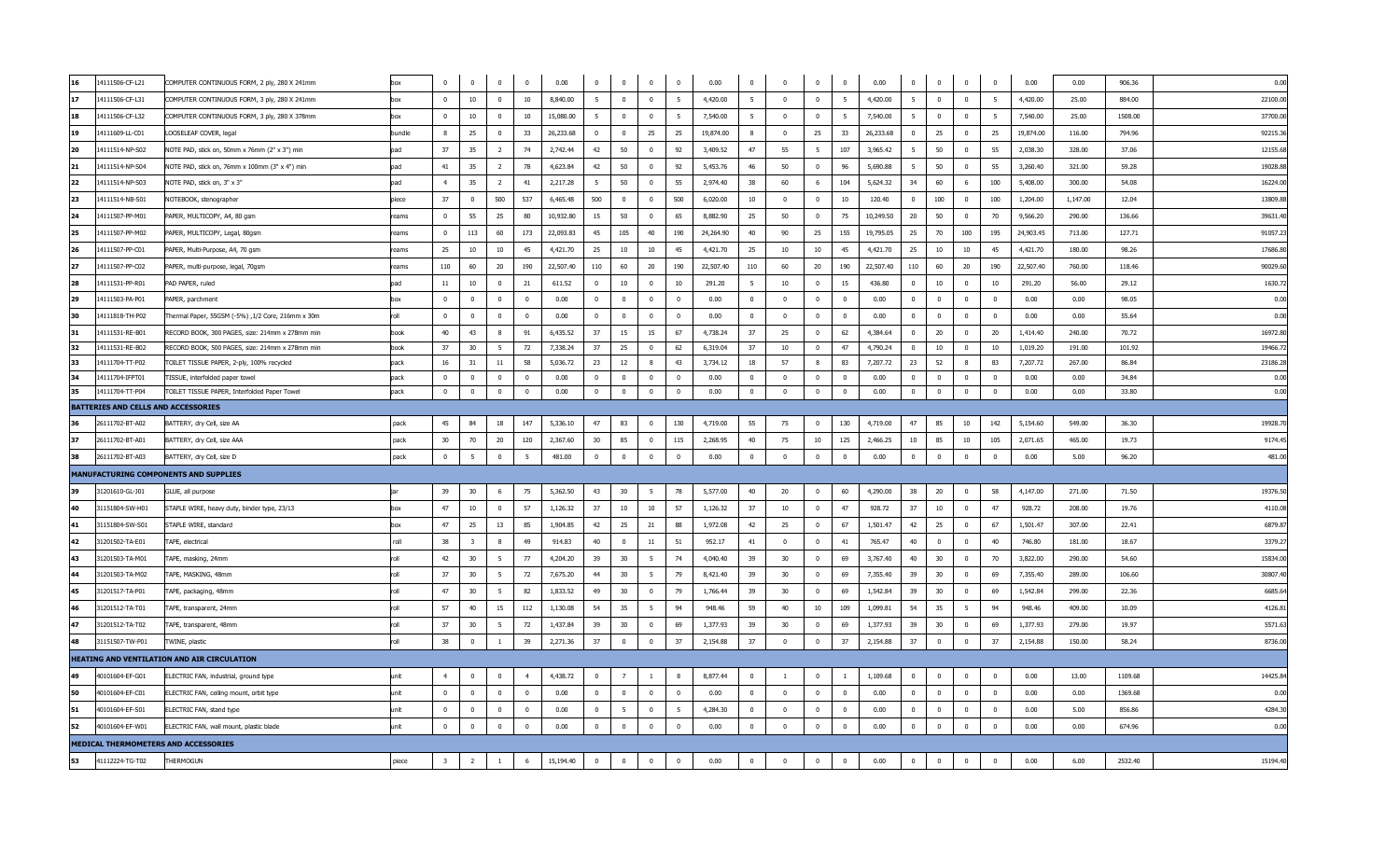| 16  | 14111506-CF-L21                            | COMPUTER CONTINUOUS FORM, 2 ply, 280 X 241mm      | box    | $\Omega$                | $\overline{0}$          | $\Omega$       | $\mathbf{0}$   | 0.00      | $\mathbf{0}$            | $\mathbf 0$     | $\overline{0}$          | $\mathbf{0}$   | 0.00      | $\overline{0}$ | $\Omega$                | $\overline{0}$          | $\bf{0}$       | 0.00      | $\Omega$     | $\overline{0}$ | $\mathbf 0$  | $\overline{0}$          | 0.00      | 0.00     | 906.36  | 0.00     |
|-----|--------------------------------------------|---------------------------------------------------|--------|-------------------------|-------------------------|----------------|----------------|-----------|-------------------------|-----------------|-------------------------|----------------|-----------|----------------|-------------------------|-------------------------|----------------|-----------|--------------|----------------|--------------|-------------------------|-----------|----------|---------|----------|
|     | 14111506-CF-L31                            | COMPUTER CONTINUOUS FORM, 3 ply, 280 X 241mm      | box    | $\Omega$                | 10                      | $\mathbf 0$    | 10             | 8,840.00  | 5                       | $\mathbf{0}$    | $\overline{0}$          | - 5            | 4,420.00  | 5              | $\Omega$                | $\mathbf 0$             | - 5            | 4,420.00  | 5            | $\mathbf 0$    | $\mathbf 0$  | 5                       | 4,420.00  | 25.00    | 884.00  | 22100.0  |
| 18  | 14111506-CF-L32                            | COMPUTER CONTINUOUS FORM, 3 ply, 280 X 378mm      | hox    | $\Omega$                | 10                      | $\Omega$       | 10             | 15,080.00 | -5                      | $\Omega$        | $\Omega$                | -5             | 7,540.00  | -5             | $\Omega$                | $\Omega$                | - 5            | 7,540.00  | - 5          | $\Omega$       | $^{\circ}$   | - 5                     | 7,540.00  | 25.00    | 1508.00 | 37700.00 |
| 19  | 14111609-LL-C01                            | LOOSELEAF COVER, legal                            | bundle | -8                      | 25                      | $\bf{0}$       | 33             | 26,233.68 | $\overline{\mathbf{0}}$ | $\mathbf 0$     | 25                      | 25             | 19,874.00 | 8              | $\overline{\mathbf{0}}$ | 25                      | 33             | 26,233.68 | $\mathbf 0$  | 25             | $\mathbf 0$  | 25                      | 19,874.00 | 116.00   | 794.96  | 92215.3  |
| 20  | 14111514-NP-S02                            | NOTE PAD, stick on, 50mm x 76mm (2" x 3") min     | pad    | 37                      | 35                      | $\overline{2}$ | 74             | 2,742.44  | 42                      | 50              | $\overline{0}$          | 92             | 3,409.52  | 47             | 55                      | - 5                     | 107            | 3,965.42  | - 5          | 50             | $^{\circ}$   | 55                      | 2,038.30  | 328.00   | 37.06   | 12155.6  |
| 21  | 14111514-NP-S04                            | NOTE PAD, stick on, 76mm x 100mm (3" x 4") min    | pad    | 41                      | 35                      | $\overline{2}$ | 78             | 4,623.84  | 42                      | 50              | $\overline{0}$          | 92             | 5,453.76  | 46             | 50                      | $\mathbf 0$             | 96             | 5,690.88  | 5            | 50             | $\mathbf 0$  | 55                      | 3,260.40  | 321.00   | 59.28   | 19028.8  |
| 22  | 14111514-NP-S03                            | NOTE PAD, stick on, 3" x 3"                       | pad    | $\overline{4}$          | 35                      | $\overline{2}$ | 41             | 2,217.28  | - 5                     | 50              | $\mathbf 0$             | 55             | 2,974.40  | 38             | 60                      |                         | 104            | 5,624.32  | 34           | 60             | 6            | 100                     | 5,408.00  | 300.00   | 54.08   | 16224.0  |
| 23  | 14111514-NB-S01                            | NOTEBOOK, stenographer                            | piece  | 37                      | $\mathbf 0$             | 500            | 537            | 6,465.48  | 500                     | $\mathbf{0}$    | $\overline{0}$          | 500            | 6,020.00  | 10             | $\Omega$                | $\Omega$                | 10             | 120.40    | $\Omega$     | 100            | $\mathbf{0}$ | 100                     | 1,204.00  | 1,147.00 | 12.04   | 13809.8  |
| 24  | 14111507-PP-M01                            | PAPER, MULTICOPY, A4, 80 gsm                      | reams  | $\mathbf{0}$            | 55                      | 25             | 80             | 10,932.80 | 15                      | 50              | $\Omega$                | 65             | 8,882.90  | 25             | 50                      | $\Omega$                | 75             | 10,249.50 | 20           | 50             | $\Omega$     | 70                      | 9,566.20  | 290.00   | 136.66  | 39631.4  |
| 25  | 14111507-PP-M02                            | PAPER, MULTICOPY, Legal, 80gsm                    | eams   | $\Omega$                | 113                     | 60             | 173            | 22,093.83 | 45                      | 105             | 40                      | 190            | 24,264.90 | 40             | 90                      | 25                      | 155            | 19,795.05 | 25           | 70             | 100          | 195                     | 24,903.45 | 713.00   | 127.71  | 91057.2  |
| 26  | 14111507-PP-C01                            | PAPER, Multi-Purpose, A4, 70 gsm                  | reams  | 25                      | 10                      | 10             | 45             | 4,421.70  | 25                      | 10              | 10                      | 45             | 4,421.70  | 25             | 10                      | 10                      | 45             | 4,421.70  | 25           | 10             | 10           | 45                      | 4,421.70  | 180.00   | 98.26   | 17686.8  |
| 27  | 14111507-PP-C02                            | PAPER, multi-purpose, legal, 70gsm                | eams   | 110                     | 60                      | 20             | 190            | 22,507.40 | 110                     | 60              | 20                      | 190            | 22,507.40 | 110            | 60                      | 20                      | 190            | 22,507.40 | 110          | 60             | 20           | 190                     | 22,507.40 | 760.00   | 118.46  | 90029.6  |
| 28  | 14111531-PP-R01                            | PAD PAPER, ruled                                  | pad    | 11                      | 10                      | $\overline{0}$ | 21             | 611.52    | $\mathbf{0}$            | 10              | $\overline{\mathbf{0}}$ | 10             | 291.20    | - 5            | 10                      | $\overline{0}$          | 15             | 436.80    | $\mathbf 0$  | 10             | $\mathbf 0$  | 10                      | 291.20    | 56.00    | 29.12   | 1630.7   |
| 29  | 14111503-PA-P01                            | PAPER, parchment                                  | box    | $\Omega$                | $\bf{0}$                | $\mathbf 0$    | $\Omega$       | 0.00      | $\overline{0}$          | $\bf{0}$        | $\mathbf 0$             | $\overline{0}$ | 0.00      | $\bf{0}$       | $\Omega$                | $\bf{0}$                | $\overline{0}$ | 0.00      | $\mathbf 0$  | $\bf{0}$       | $\mathbf 0$  | $\overline{0}$          | 0.00      | 0.00     | 98.05   | 0.00     |
| 30  | 14111818-TH-P02                            | Thermal Paper, 55GSM (-5%) ,1/2 Core, 216mm x 30m | roll   | $\mathbf{0}$            | $\mathbf 0$             | $\mathbf 0$    | $\overline{0}$ | 0.00      | $\mathbf{0}$            | $\mathbf{0}$    | $\overline{0}$          | $\overline{0}$ | 0.00      | $\mathbf 0$    | $\Omega$                | $\mathbf 0$             | $\mathbf{0}$   | 0.00      | $\mathbf 0$  | $\mathbf 0$    | $\mathbf 0$  | $\overline{\mathbf{0}}$ | 0.00      | 0.00     | 55.64   | 0.00     |
| 31  | 14111531-RE-B01                            | RECORD BOOK, 300 PAGES, size: 214mm x 278mm min   | book   | 40                      | 43                      | -8             | 91             | 6,435.52  | 37                      | 15              | 15                      | 67             | 4,738.24  | 37             | 25                      | $\Omega$                | 62             | 4,384.64  | $\Omega$     | 20             | $\Omega$     | 20                      | 1,414.40  | 240.00   | 70.72   | 16972.80 |
| 32  | 14111531-RE-B02                            | RECORD BOOK, 500 PAGES, size: 214mm x 278mm min   | book   | 37                      | 30                      | 5              | 72             | 7,338.24  | 37                      | 25              | $\overline{0}$          | 62             | 6,319.04  | 37             | 10                      | $\mathbf 0$             | 47             | 4,790.24  | $\mathbf{0}$ | 10             | $\mathbf{0}$ | 10                      | 1,019.20  | 191.00   | 101.92  | 19466.7  |
| 133 | 14111704-TT-P02                            | TOILET TISSUE PAPER, 2-ply, 100% recycled         | pack   | 16                      | 31                      | 11             | 58             | 5,036.72  | 23                      | 12              | 8                       | 43             | 3,734.12  | 18             | 57                      | $\mathbf{8}$            | 83             | 7,207.72  | 23           | 52             | 8            | 83                      | 7,207.72  | 267.00   | 86.84   | 23186.2  |
| 34  | 14111704-IFPT01                            | TISSUE, interfolded paper towel                   | pack   | $\Omega$                | $^{\circ}$              | $^{\circ}$     | $\Omega$       | 0.00      | $\mathbf{0}$            | $^{\circ}$      | $\overline{0}$          | $\overline{0}$ | 0.00      | $\mathbf{0}$   | $\Omega$                | $\Omega$                | $\mathbf{0}$   | 0.00      | $\mathbf 0$  | $^{\circ}$     | $^{\circ}$   | $\overline{0}$          | 0.00      | 0.00     | 34.84   | 0.00     |
| 35  | 14111704-TT-P04                            | TOILET TISSUE PAPER, Interfolded Paper Towel      | pack   | $\mathbf{0}$            | $\mathbf 0$             | $\mathbf 0$    | $\Omega$       | 0.00      | $\mathbf{0}$            | $\mathbf{0}$    | $\overline{0}$          | $\mathbf{0}$   | 0.00      | $\mathbf 0$    | $\Omega$                | $\mathbf 0$             | $\mathbf{0}$   | 0.00      | $\mathbf 0$  | $\mathbf 0$    | $\mathbf 0$  | $\mathbf 0$             | 0.00      | 0.00     | 33.80   | 0.00     |
|     | <b>BATTERIES AND CELLS AND ACCESSORIES</b> |                                                   |        |                         |                         |                |                |           |                         |                 |                         |                |           |                |                         |                         |                |           |              |                |              |                         |           |          |         |          |
|     | 26111702-BT-A02                            | BATTERY, dry Cell, size AA                        | pack   | 45                      | 84                      | 18             | 147            | 5,336.10  | 47                      | 83              | $\overline{\mathbf{0}}$ | 130            | 4,719.00  | 55             | 75                      | $\Omega$                | 130            | 4,719.00  | 47           | 85             | 10           | 142                     | 5,154.60  | 549.00   | 36.30   | 19928.7  |
| 37  | 26111702-BT-A01                            | BATTERY, dry Cell, size AAA                       | pack   | 30                      | 70                      | 20             | 120            | 2,367.60  | 30                      | 85              | $\overline{0}$          | 115            | 2,268.95  | 40             | 75                      | 10                      | 125            | 2,466.25  | 10           | 85             | 10           | 105                     | 2,071.65  | 465.00   | 19.73   | 9174.4   |
| 38  | 26111702-BT-A03                            | BATTERY, dry Cell, size D                         | pack   | $\overline{0}$          | 5                       | $\pmb{0}$      | -5             | 481.00    | $\overline{0}$          | $\overline{0}$  | $\overline{0}$          | $\overline{0}$ | 0.00      | $\bf{0}$       | $\overline{\mathbf{0}}$ | $\bf{0}$                | $\overline{0}$ | 0.00      | $\mathbf 0$  | $\bf{0}$       | $\mathbf 0$  | $\mathbf 0$             | 0.00      | 5.00     | 96.20   | 481.0    |
|     |                                            | <b>MANUFACTURING COMPONENTS AND SUPPLIES</b>      |        |                         |                         |                |                |           |                         |                 |                         |                |           |                |                         |                         |                |           |              |                |              |                         |           |          |         |          |
| 39  | 31201610-GL-J01                            | GLUE, all purpose                                 |        | 39                      | 30                      | 6              | 75             | 5,362.50  | 43                      | 30 <sub>o</sub> | 5                       | 78             | 5,577.00  | 40             | 20                      | $\Omega$                | 60             | 4,290.00  | 38           | 20             | $\pmb{0}$    | 58                      | 4,147.00  | 271.00   | 71.50   | 19376.5  |
| 40  | 31151804-SW-H01                            | STAPLE WIRE, heavy duty, binder type, 23/13       | box    | 47                      | 10                      | $\overline{0}$ | 57             | 1,126.32  | 37                      | 10              | 10                      | 57             | 1,126.32  | 37             | 10                      | $\overline{\mathbf{0}}$ | 47             | 928.72    | 37           | 10             | 0            | 47                      | 928.72    | 208.00   | 19.76   | 4110.0   |
| 41  | 31151804-SW-S01                            | STAPLE WIRE, standard                             | bo     | 47                      | 25                      | 13             | 85             | 1,904.85  | 42                      | 25              | 21                      | 88             | 1,972.08  | 42             | 25                      | $\mathbf 0$             | 67             | 1,501.47  | 42           | 25             | $\mathbf{0}$ | 67                      | 1,501.47  | 307.00   | 22.41   | 6879.8   |
| 42  | 31201502-TA-E01                            | TAPE, electrical                                  | roll   | 38                      | $\overline{\mathbf{3}}$ | 8              | 49             | 914.83    | 40                      | $\bf{0}$        | 11                      | 51             | 952.17    | 41             | $\overline{0}$          | $^{\circ}$              | 41             | 765.47    | 40           | $\mathbf 0$    | $^{\circ}$   | 40                      | 746.80    | 181.00   | 18.67   | 3379.2   |
| 43  | 31201503-TA-M01                            | TAPE, masking, 24mm                               | roll   | 42                      | 30                      | 5              | 77             | 4,204.20  | 39                      | 30              | 5                       | 74             | 4,040.40  | 39             | 30                      | $\overline{0}$          | 69             | 3,767.40  | 40           | 30             | $\mathbf 0$  | 70                      | 3,822.00  | 290.00   | 54.60   | 15834.0  |
| 44  | 31201503-TA-M02                            | TAPE, MASKING, 48mm                               | roll   | 37                      | 30                      | - 5            | 72             | 7,675.20  | 44                      | 30 <sub>o</sub> | 5                       | 79             | 8,421.40  | 39             | 30                      | $\Omega$                | 69             | 7,355.40  | 39           | 30             | $\Omega$     | 69                      | 7,355.40  | 289.00   | 106.60  | 30807.4  |
| 45  | 31201517-TA-P01                            | TAPE, packaging, 48mm                             | r∩ll   | 47                      | 30                      | - 5            | 82             | 1,833.52  | 49                      | 30              | $\overline{0}$          | 79             | 1,766.44  | 39             | 30                      | $\Omega$                | 69             | 1,542.84  | 39           | 30             | $^{\circ}$   | 69                      | 1,542.84  | 299.00   | 22.36   | 6685.6   |
| 46  | 31201512-TA-T01                            | TAPE, transparent, 24mm                           | roll   | 57                      | 40                      | 15             | 112            | 1,130.08  | 54                      | 35              | 5                       | 94             | 948.46    | 59             | 40                      | 10                      | 109            | 1,099.81  | 54           | 35             | -5           | 94                      | 948.46    | 409.00   | 10.09   | 4126.8   |
| 47  | 31201512-TA-T02                            | TAPE, transparent, 48mm                           | roll   | 37                      | 30                      | 5              | 72             | 1,437.84  | 39                      | 30 <sub>o</sub> | $\overline{\mathbf{0}}$ | 69             | 1,377.93  | 39             | 30                      | $\mathbf 0$             | 69             | 1,377.93  | 39           | 30             | $\mathbf 0$  | 69                      | 1,377.93  | 279.00   | 19.97   | 5571.6   |
| 48  | 31151507-TW-P01                            | TWINE, plastic                                    | roll   | 38                      | $\bf{0}$                | $\mathbf{1}$   | 39             | 2,271.36  | 37                      | $\overline{0}$  | $\overline{0}$          | 37             | 2,154.88  | 37             | $\overline{0}$          | $\bf{0}$                | 37             | 2,154.88  | 37           | $\bf{0}$       | $\mathbf 0$  | 37                      | 2,154.88  | 150.00   | 58.24   | 8736.0   |
|     |                                            | HEATING AND VENTILATION AND AIR CIRCULATION       |        |                         |                         |                |                |           |                         |                 |                         |                |           |                |                         |                         |                |           |              |                |              |                         |           |          |         |          |
| 49  | 40101604-EF-G01                            | ELECTRIC FAN, industrial, ground type             | unit   | $\overline{4}$          | $\mathbf 0$             | $^{\circ}$     |                | 4,438.72  | $\mathbf{0}$            | $\overline{7}$  | 1                       |                | 8,877.44  | $\mathbf{0}$   |                         | $\overline{0}$          | <sup>1</sup>   | 1,109.68  | $\mathbf 0$  | $\mathbf 0$    | $\mathbf 0$  | $\mathbf 0$             | 0.00      | 13.00    | 1109.68 | 14425.8  |
| 50  | 40101604-EF-C01                            | ELECTRIC FAN, ceiling mount, orbit type           | unit   | $\Omega$                | $\mathbf 0$             | $\mathbf 0$    | $\Omega$       | 0.00      | $\Omega$                | $\mathbf 0$     | $\mathbf 0$             | $\Omega$       | 0.00      | $\Omega$       | $\Omega$                | $\Omega$                | $\overline{0}$ | 0.00      | $\Omega$     | $\mathbf 0$    | $\mathbf 0$  | $\overline{\mathbf{0}}$ | 0.00      | 0.00     | 1369.68 | 0.00     |
| 51  | 40101604-EF-S01                            | ELECTRIC FAN, stand type                          | unit   | $\mathbf 0$             | $\mathbf 0$             | $^{\circ}$     | $^{\circ}$     | 0.00      | $\mathbf{0}$            | 5               | $\mathbf 0$             | - 5            | 4,284.30  | $\mathbf 0$    | $\overline{0}$          | $\overline{0}$          | $\mathbf{0}$   | 0.00      | $\mathbf 0$  | $\mathbf 0$    | $\mathbf 0$  | $\overline{0}$          | 0.00      | 5.00     | 856.86  | 4284.3   |
| 52  | 40101604-EF-W01                            | ELECTRIC FAN, wall mount, plastic blade           | unit   | $\mathbf{0}$            | $\Omega$                | $\Omega$       | $\Omega$       | 0.00      | $\mathbf{0}$            | $\mathbf{0}$    | $\mathbf 0$             | $\mathbf{0}$   | 0.00      | $\Omega$       | $\Omega$                | $\Omega$                | $\overline{0}$ | 0.00      | $\Omega$     | $\overline{0}$ | $\mathbf 0$  | $\Omega$                | 0.00      | 0.00     | 674.96  | 0.00     |
|     |                                            | MEDICAL THERMOMETERS AND ACCESSORIES              |        |                         |                         |                |                |           |                         |                 |                         |                |           |                |                         |                         |                |           |              |                |              |                         |           |          |         |          |
| 53  | 41112224-TG-T02                            | THERMOGUN                                         | piece  | $\overline{\mathbf{3}}$ | $\overline{2}$          | $\mathbf{1}$   | 6              | 15,194.40 | $\Omega$                | $\mathbf{0}$    | $\overline{0}$          | $\Omega$       | 0.00      | $\Omega$       | $\Omega$                | $\Omega$                | $\mathbf{0}$   | 0.00      | $\mathbf 0$  | $\mathbf 0$    | $\mathbf 0$  | $\mathbf 0$             | 0.00      | 6.00     | 2532.40 | 15194.40 |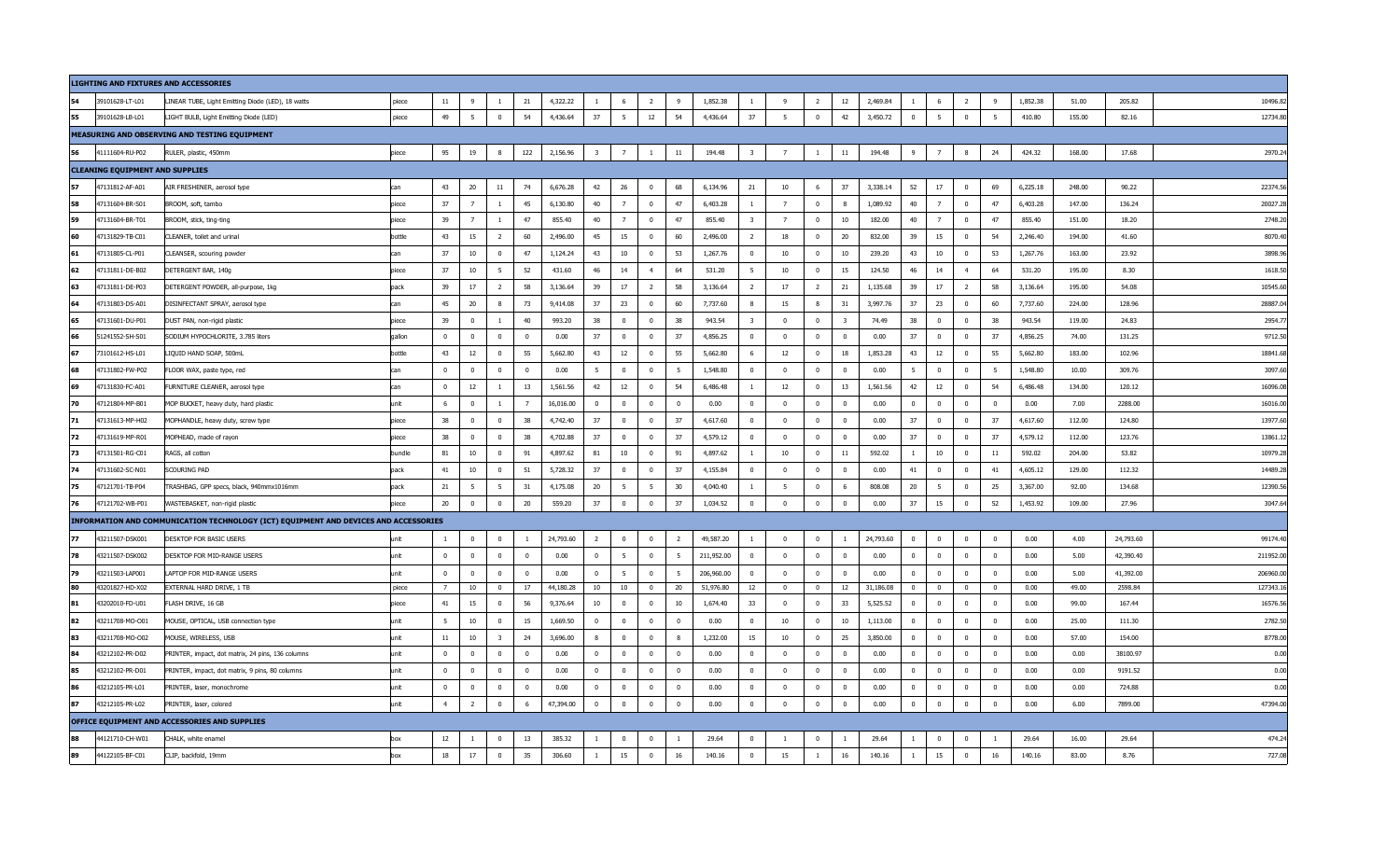|    |                                        | LIGHTING AND FIXTURES AND ACCESSORIES                                                |        |                |                |                         |                         |           |                         |                |                |                |            |                         |                |                |                         |           |                |                |                         |                |          |        |           |          |
|----|----------------------------------------|--------------------------------------------------------------------------------------|--------|----------------|----------------|-------------------------|-------------------------|-----------|-------------------------|----------------|----------------|----------------|------------|-------------------------|----------------|----------------|-------------------------|-----------|----------------|----------------|-------------------------|----------------|----------|--------|-----------|----------|
|    | 39101628-LT-L01                        | LINEAR TUBE, Light Emitting Diode (LED), 18 watts                                    | piece  | 11             | - 9            |                         | 21                      | 4,322.22  |                         | - 6            | $\overline{2}$ | -9             | 1,852.38   |                         | - 9            | $\overline{2}$ | 12                      | 2,469.84  |                |                | 2                       | 9              | 1,852.38 | 51.00  | 205.82    | 10496.8  |
| 55 | 39101628-LB-L01                        | LIGHT BULB, Light Emitting Diode (LED)                                               | piece  | 49             | 5              | $\mathbf 0$             | 54                      | 4,436.64  | 37                      | 5              | 12             | 54             | 4,436.64   | 37                      | 5              | $\mathbf{0}$   | 42                      | 3,450.72  | $\overline{0}$ | 5              | $\mathbf{0}$            | 5              | 410.80   | 155.00 | 82.16     | 12734.8  |
|    |                                        | MEASURING AND OBSERVING AND TESTING EQUIPMENT                                        |        |                |                |                         |                         |           |                         |                |                |                |            |                         |                |                |                         |           |                |                |                         |                |          |        |           |          |
| 56 | 41111604-RU-P02                        | RULER, plastic, 450mm                                                                | piece  | 95             | 19             | 8                       | 122                     | 2,156.96  | $\overline{\mathbf{3}}$ | $\overline{7}$ | -1             | $11\,$         | 194.48     | $\overline{\mathbf{3}}$ | $\overline{7}$ | $\mathbf{1}$   | $11\,$                  | 194.48    | 9              | $\overline{7}$ | 8                       | 24             | 424.32   | 168.00 | 17.68     | 2970.2   |
|    | <b>CLEANING EQUIPMENT AND SUPPLIES</b> |                                                                                      |        |                |                |                         |                         |           |                         |                |                |                |            |                         |                |                |                         |           |                |                |                         |                |          |        |           |          |
| 57 | 47131812-AF-A01                        | AIR FRESHENER, aerosol type                                                          | can    | 43             | 20             | 11                      | 74                      | 6,676.28  | 42                      | 26             | $\mathbf 0$    | 68             | 6,134.96   | 21                      | 10             | 6              | 37                      | 3,338.14  | 52             | 17             | $\mathbf{0}$            | 69             | 6,225.18 | 248.00 | 90.22     | 22374.5  |
| 58 | 47131604-BR-S01                        | BROOM, soft, tambo                                                                   | piece  | 37             | $\overline{7}$ | $\overline{1}$          | 45                      | 6,130.80  | 40                      | $\overline{7}$ | $\mathbf 0$    | 47             | 6,403.28   | $\overline{1}$          | $\overline{7}$ | $\mathbf{0}$   |                         | 1,089.92  | 40             | $\overline{7}$ | $\mathbf{0}$            | 47             | 6,403.28 | 147.00 | 136.24    | 20027.2  |
| 59 | 47131604-BR-T01                        | BROOM, stick, ting-ting                                                              | niece  | 39             | $\overline{7}$ | $\overline{1}$          | 47                      | 855.40    | 40                      | $\overline{7}$ | $\Omega$       | 47             | 855.40     | $\overline{3}$          | $\overline{7}$ | $\Omega$       | 10                      | 182.00    | 40             | $\overline{7}$ | $\Omega$                | 47             | 855.40   | 151.00 | 18.20     | 2748.2   |
| 60 | 47131829-TB-C01                        | CLEANER, toilet and urinal                                                           | bottle | 43             | 15             | $\overline{2}$          | 60                      | 2,496.00  | 45                      | 15             | $\overline{0}$ | 60             | 2,496.00   | $\overline{2}$          | 18             | $\overline{0}$ | 20                      | 832.00    | 39             | 15             | $\overline{\mathbf{0}}$ | 54             | 2,246.40 | 194.00 | 41.60     | 8070.4   |
| 61 | 47131805-CL-P01                        | CLEANSER, scouring powder                                                            | can    | 37             | 10             | $\bf{0}$                | 47                      | 1,124.24  | 43                      | 10             | $\mathbf{0}$   | 53             | 1,267.76   | $\overline{\mathbf{0}}$ | 10             | $\mathbf 0$    | 10                      | 239.20    | 43             | 10             | $\bf{0}$                | 53             | 1,267.76 | 163.00 | 23.92     | 3898.9   |
| 62 | 47131811-DE-B02                        | DETERGENT BAR, 140g                                                                  | piece  | 37             | $10\,$         | -5                      | 52                      | 431.60    | 46                      | 14             | 4              | 64             | 531.20     | -5                      | 10             | $\mathbf 0$    | 15                      | 124.50    | 46             | 14             | $\overline{4}$          | 64             | 531.20   | 195.00 | 8.30      | 1618.5   |
| 63 | 47131811-DE-P03                        | DETERGENT POWDER, all-purpose, 1kg                                                   | pack   | 39             | 17             | <sup>2</sup>            | 58                      | 3,136.64  | 39                      | 17             | $\overline{2}$ | 58             | 3,136.64   | -2                      | 17             | $\overline{2}$ | 21                      | 1,135.68  | 39             | 17             | $\overline{2}$          | 58             | 3,136.64 | 195.00 | 54.08     | 10545.6  |
| 64 | 47131803-DS-A01                        | DISINFECTANT SPRAY, aerosol type                                                     | can    | 45             | 20             | 8                       | 73                      | 9,414.08  | 37                      | 23             | $\mathbf{0}$   | 60             | 7,737.60   | -8                      | 15             | 8              | 31                      | 3,997.76  | 37             | 23             | $\overline{0}$          | 60             | 7,737.60 | 224.00 | 128.96    | 28887.0  |
| 65 | 47131601-DU-P01                        | DUST PAN, non-rigid plastic                                                          | piece  | 39             | $\overline{0}$ | -1                      | 40                      | 993.20    | 38                      | $\overline{0}$ | $\mathbf{0}$   | 38             | 943.54     | $\overline{\mathbf{3}}$ | $\mathbf{0}$   | $\mathbf{0}$   | $\overline{\mathbf{3}}$ | 74.49     | 38             | $\mathbf{0}$   | $\overline{0}$          | 38             | 943.54   | 119.00 | 24.83     | 2954.7   |
| 66 | 51241552-SH-S01                        | SODIUM HYPOCHLORITE, 3.785 liters                                                    | gallor | $\mathbf 0$    | $\overline{0}$ | $\mathbf 0$             | $\overline{0}$          | 0.00      | 37                      | $\overline{0}$ | $\mathbf{0}$   | 37             | 4,856.25   | $\mathbf 0$             | $\mathbf 0$    | $\mathbf 0$    | $\overline{0}$          | 0.00      | 37             | $\overline{0}$ | $\mathbf{0}$            | 37             | 4,856.25 | 74.00  | 131.25    | 9712.5   |
| 67 | 73101612-HS-L01                        | LIQUID HAND SOAP, 500mL                                                              | bottle | 43             | 12             | $\mathbf 0$             | 55                      | 5,662.80  | 43                      | 12             | $\mathbf 0$    | 55             | 5,662.80   | - 6                     | 12             | $\mathbf{0}$   | 18                      | 1,853.28  | 43             | 12             | $\mathbf 0$             | 55             | 5,662.80 | 183.00 | 102.96    | 18841.6  |
| 68 | 47131802-FW-P02                        | FLOOR WAX, paste type, red                                                           | can    | $\overline{0}$ | $\overline{0}$ | $\Omega$                | $\Omega$                | 0.00      | 5                       | $\Omega$       | $\overline{0}$ | - 5            | 1,548.80   | $\Omega$                | $\Omega$       | $\Omega$       | $\Omega$                | 0.00      | -5             | $\Omega$       | $\Omega$                | 5              | 1,548.80 | 10.00  | 309.76    | 3097.6   |
| 69 | 47131830-FC-A01                        | FURNITURE CLEANER, aerosol type                                                      |        | $\Omega$       | 12             | $\overline{1}$          | 13                      | 1,561.56  | 42                      | $12\,$         | $\bf{0}$       | 54             | 6,486.48   |                         | 12             | $^{\circ}$     | 13                      | 1,561.56  | 42             | $12\,$         | $\mathbf{0}$            | 54             | 6,486.48 | 134.00 | 120.12    | 16096.0  |
| 70 | 47121804-MP-B01                        | MOP BUCKET, heavy duty, hard plastic                                                 | unit   | 6              | $\bf{0}$       | -1                      | $\overline{7}$          | 16,016.00 | $\overline{0}$          | $\bf{0}$       | $\bf{0}$       | $\overline{0}$ | 0.00       | $\overline{0}$          | $\overline{0}$ | $\mathbf{0}$   | $\overline{0}$          | 0.00      | $\bf{0}$       | $\bf{0}$       | $\bf{0}$                | $\bf{0}$       | 0.00     | 7.00   | 2288.00   | 16016.0  |
| 71 | 47131613-MP-H02                        | MOPHANDLE, heavy duty, screw type                                                    | piece  | 38             | $\bf{0}$       | $\bf{0}$                | 38                      | 4,742.40  | 37                      | $\mathbf 0$    | $\bf{0}$       | 37             | 4,617.60   | $\overline{0}$          | $\Omega$       | $\mathbf 0$    | $\overline{\mathbf{0}}$ | 0.00      | 37             | $\bf{0}$       | $\bf{0}$                | 37             | 4,617.60 | 112.00 | 124.80    | 13977.6  |
| 72 | 47131619-MP-R01                        | MOPHEAD, made of rayon                                                               | piece  | 38             | $\mathbf 0$    | $\mathbf 0$             | 38                      | 4,702.88  | 37                      | $\mathbf 0$    | $\bf{0}$       | 37             | 4,579.12   | $\overline{\mathbf{0}}$ | $\mathbf{0}$   | $\mathbf{0}$   | $\overline{0}$          | 0.00      | 37             | $\mathbf 0$    | $\mathbf 0$             | 37             | 4,579.12 | 112.00 | 123.76    | 13861.   |
| 73 | 47131501-RG-C01                        | RAGS, all cotton                                                                     | bundle | 81             | 10             | $\mathbf 0$             | 91                      | 4,897.62  | 81                      | 10             | $\overline{0}$ | 91             | 4,897.62   | -1                      | 10             | $\overline{0}$ | 11                      | 592.02    | $\mathbf{1}$   | 10             | $\overline{0}$          | 11             | 592.02   | 204.00 | 53.82     | 10979.2  |
| 74 | 47131602-SC-N01                        | SCOURING PAD                                                                         | pack   | 41             | 10             | $\overline{0}$          | 51                      | 5,728.32  | 37                      | $\overline{0}$ | $\bf{0}$       | 37             | 4,155.84   | $\mathbf 0$             | 0              | $\bf{0}$       | $\overline{0}$          | 0.00      | 41             | $\overline{0}$ | $\mathbf 0$             | 41             | 4,605.12 | 129.00 | 112.32    | 14489.2  |
| 75 | 47121701-TB-P04                        | TRASHBAG, GPP specs, black, 940mmx1016mm                                             | pack   | 21             | 5              | 5                       | 31                      | 4,175.08  | 20                      | 5              | 5              | 30             | 4,040.40   | 1                       | - 5            | $\mathbf{0}$   | 6                       | 808.08    | 20             | 5              | $\mathbf{0}$            | 25             | 3,367.00 | 92.00  | 134.68    | 12390.5  |
| 76 | 47121702-WB-P01                        | WASTEBASKET, non-rigid plastic                                                       | piece  | 20             | $\mathbf 0$    | $\mathbf 0$             | 20                      | 559.20    | 37                      | $\mathbf 0$    | $\mathbf 0$    | 37             | 1,034.52   | $\mathbf 0$             | $\mathbf 0$    | $\mathbf{0}$   | $\overline{0}$          | 0.00      | 37             | 15             | $\mathbf{0}$            | 52             | 1,453.92 | 109.00 | 27.96     | 3047.6   |
|    |                                        | INFORMATION AND COMMUNICATION TECHNOLOGY (ICT) EQUIPMENT AND DEVICES AND ACCESSORIES |        |                |                |                         |                         |           |                         |                |                |                |            |                         |                |                |                         |           |                |                |                         |                |          |        |           |          |
| 77 | 43211507-DSK001                        | DESKTOP FOR BASIC USERS                                                              | unit   | $\overline{1}$ | $\Omega$       | $\mathbf 0$             | $\overline{1}$          | 24,793.60 | $\overline{2}$          | $\mathbf 0$    | $\bf{0}$       | $\overline{2}$ | 49,587.20  | $\overline{1}$          | $\Omega$       | $\Omega$       | $\overline{1}$          | 24,793.60 | $\bf{0}$       | $\Omega$       | $\mathbf 0$             | $\mathbf 0$    | 0.00     | 4.00   | 24,793.60 | 99174.4  |
| 78 | 43211507-DSK002                        | DESKTOP FOR MID-RANGE USERS                                                          | unit   | $\mathbf{0}$   | $\bf{0}$       | $\bf{0}$                | $\overline{\mathbf{0}}$ | 0.00      | $\overline{0}$          | 5              | $\bf{0}$       | 5              | 211,952.00 | $\overline{0}$          | $\overline{0}$ | $\mathbf 0$    | $\overline{0}$          | 0.00      | $\overline{0}$ | $\bf{0}$       | $\bf{0}$                | $\bf{0}$       | 0.00     | 5.00   | 42,390.40 | 211952.0 |
| 79 | 43211503-LAP001                        | LAPTOP FOR MID-RANGE USERS                                                           | unit   | $\overline{0}$ | $\overline{0}$ | $\overline{0}$          | $\Omega$                | 0.00      | $^{\circ}$              | 5              | $\bf{0}$       | - 5            | 206,960.00 | $^{\circ}$              | $\Omega$       | $^{\circ}$     | $\Omega$                | 0.00      | $^{\circ}$     | $\overline{0}$ | $\mathbf{0}$            | $\overline{0}$ | 0.00     | 5.00   | 41,392.00 | 206960.0 |
| 80 | 43201827-HD-X02                        | EXTERNAL HARD DRIVE, 1 TB                                                            | piece  | 7              | 10             | $\overline{0}$          | 17                      | 44,180.28 | 10                      | 10             | $\overline{0}$ | 20             | 51,976.80  | 12                      | $\overline{0}$ | $\mathbf{0}$   | 12                      | 31,186.08 | $\mathbf{0}$   | $\mathbf{0}$   | $\overline{0}$          | $\overline{0}$ | 0.00     | 49.00  | 2598.84   | 127343.1 |
| 81 | 43202010-FD-U01                        | FLASH DRIVE, 16 GB                                                                   | piece  | 41             | 15             | $\overline{0}$          | 56                      | 9,376.64  | 10                      | $\overline{0}$ | $\bf{0}$       | 10             | 1,674.40   | 33                      | 0              | $\bf{0}$       | 33                      | 5,525.52  | $\mathbf{0}$   | $\overline{0}$ | $\mathbf{0}$            | $\overline{0}$ | 0.00     | 99.00  | 167.44    | 16576.5  |
| 82 | 43211708-MO-O01                        | MOUSE, OPTICAL, USB connection type                                                  | unit   | 5              | 10             | $\mathbf 0$             | 15                      | 1,669.50  | $\overline{0}$          | $\mathbf 0$    | $\bf{0}$       | $\mathbf{0}$   | 0.00       | $\overline{\mathbf{0}}$ | 10             | $\mathbf{0}$   | 10                      | 1,113.00  | $\mathbf{0}$   | $\mathbf 0$    | $\mathbf 0$             | $\bf{0}$       | 0.00     | 25.00  | 111.30    | 2782.5   |
| 83 | 43211708-MO-O02                        | MOUSE, WIRELESS, USB                                                                 | unit   | 11             | 10             | $\overline{\mathbf{3}}$ | 24                      | 3,696.00  | - 8                     | $\Omega$       | $\mathbf 0$    | 8              | 1,232.00   | 15                      | 10             | $\mathbf 0$    | 25                      | 3,850.00  | $\mathbf{0}$   | $\Omega$       | $\mathbf{0}$            | $\mathbf 0$    | 0.00     | 57.00  | 154.00    | 8778.0   |
| 84 | 43212102-PR-D02                        | PRINTER, impact, dot matrix, 24 pins, 136 columns                                    | unit   | $\Omega$       | $\Omega$       | $\Omega$                | $\Omega$                | 0.00      | $\Omega$                | $\Omega$       | $\mathbf 0$    | $\overline{0}$ | 0.00       | $\overline{0}$          | $\mathbf{0}$   | $^{\circ}$     | $\Omega$                | 0.00      | $\Omega$       | $\Omega$       | $\Omega$                | $\overline{0}$ | 0.00     | 0.00   | 38100.97  | 0.00     |
| 85 | 43212102-PR-D01                        | PRINTER, impact, dot matrix, 9 pins, 80 columns                                      | unit   | $\Omega$       | $\overline{0}$ | $\overline{0}$          | $\overline{0}$          | 0.00      | $\overline{0}$          | $\Omega$       | $\mathbf{0}$   | $\mathbf{0}$   | 0.00       | $\overline{0}$          | $\mathbf{0}$   | $\mathbf{0}$   | $\overline{0}$          | 0.00      | $^{\circ}$     | $\overline{0}$ | $\overline{0}$          | $\overline{0}$ | 0.00     | 0.00   | 9191.52   | 0.00     |
| 86 | 43212105-PR-L01                        | PRINTER, laser, monochrome                                                           | unit   | $\mathbf 0$    | $\overline{0}$ | $\mathbf 0$             | $\mathbf 0$             | 0.00      | $\mathbf{0}$            | $\overline{0}$ | $\mathbf 0$    | $\mathbf 0$    | 0.00       | $\mathbf 0$             | $\mathbf 0$    | $\mathbf 0$    | $\overline{0}$          | 0.00      | $\mathbf{0}$   | $\overline{0}$ | $\mathbf{0}$            | $\overline{0}$ | 0.00     | 0.00   | 724.88    | 0.00     |
| 87 | 43212105-PR-L02                        | PRINTER, laser, colored                                                              | unit   | $\overline{4}$ | $\overline{2}$ | $\bf{0}$                | 6                       | 47,394.00 | $\mathbf{0}$            | $\Omega$       | $\bf{0}$       | $\mathbf 0$    | 0.00       | $\mathbf{0}$            | $\Omega$       | $\mathbf 0$    | $\overline{0}$          | 0.00      | $\bf{0}$       | $\overline{0}$ | $\mathbf{0}$            | $\bf{0}$       | 0.00     | 6.00   | 7899.00   | 47394.0  |
|    |                                        | OFFICE EQUIPMENT AND ACCESSORIES AND SUPPLIES                                        |        |                |                |                         |                         |           |                         |                |                |                |            |                         |                |                |                         |           |                |                |                         |                |          |        |           |          |
| 88 | 44121710-CH-W01                        | CHALK, white enamel                                                                  | box    | 12             |                | $\mathbf 0$             | 13                      | 385.32    | -1                      | $\overline{0}$ | $\mathbf 0$    | 1              | 29.64      | $\overline{\mathbf{0}}$ | -1             | $\mathbf 0$    | -1                      | 29.64     |                | $\overline{0}$ | $\mathbf{0}$            | -1             | 29.64    | 16.00  | 29.64     | 474.2    |
| 89 | 44122105-BF-C01                        | CLIP, backfold, 19mm                                                                 | hox    | 18             | 17             | $\mathbf 0$             | 35                      | 306.60    | $\overline{1}$          | 15             | $\mathbf 0$    | 16             | 140.16     | $\mathbf{0}$            | 15             | <sup>1</sup>   | 16                      | 140.16    | $\mathbf{1}$   | 15             | $\mathbf 0$             | 16             | 140.16   | 83.00  | 8.76      | 727.08   |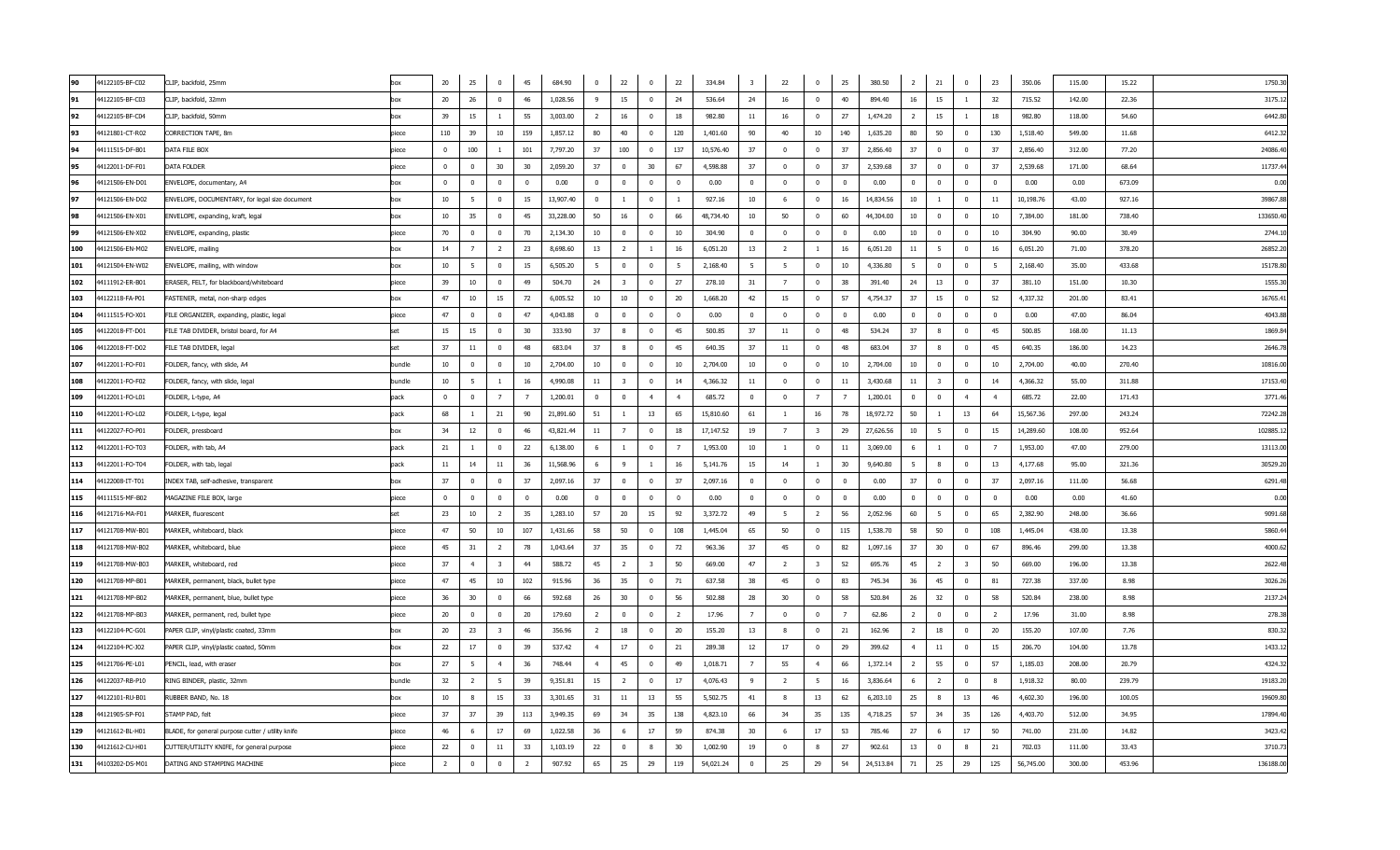| 90  | 44122105-BF-C02 | CLIP, backfold, 25mm                              | box        | 20             | 25             | $\mathbf 0$             | 45             | 684.90    | $\mathbf{0}$   | 22                      | $\overline{0}$          | 22                      | 334.84    | $\overline{\mathbf{3}}$ | 22                      | $\mathbf 0$             | 25             | 380.50           | $\overline{2}$   | 21                      | $\mathbf{0}$            | 23             | 350.06    | 115.00 | 15.22  | 1750.3    |
|-----|-----------------|---------------------------------------------------|------------|----------------|----------------|-------------------------|----------------|-----------|----------------|-------------------------|-------------------------|-------------------------|-----------|-------------------------|-------------------------|-------------------------|----------------|------------------|------------------|-------------------------|-------------------------|----------------|-----------|--------|--------|-----------|
| 91  | 44122105-BF-C03 | CLIP, backfold, 32mm                              | hox        | 20             | 26             | $\Omega$                | 46             | 1.028.56  | 9              | 15                      | $\overline{0}$          | 24                      | 536.64    | 24                      | 16                      | $\overline{\mathbf{0}}$ | 40             | 894.40           | 16               | 15                      | $\overline{1}$          | 32             | 715.52    | 142.00 | 22.36  | 3175.1    |
| 92  | 44122105-BF-C04 | CLIP, backfold, 50mm                              | hox        | 39             | 15             | $\overline{1}$          | 55             | 3,003.00  | - 2            | 16                      | $\mathbf{0}$            | 18                      | 982.80    | 11                      | 16                      | $\overline{0}$          | 27             | 1,474.20         | 2                | 15                      | -1                      | 18             | 982.80    | 118.00 | 54.60  | 6442.8    |
| 93  | 44121801-CT-R02 | CORRECTION TAPE, 8m                               | piece      | 110            | 39             | 10 <sub>10</sub>        | 159            | 1,857.12  | 80             | 40                      | $\bf{0}$                | 120                     | 1,401.60  | 90                      | 40                      | 10                      | 140            | 1,635.20         | 80               | 50                      | $^{\circ}$              | 130            | 1,518.40  | 549.00 | 11.68  | 6412.3    |
| 94  | 44111515-DF-B01 | DATA FILE BOX                                     | piece      | $\mathbf{0}$   | 100            | -1                      | 101            | 7,797.20  | 37             | 100                     | $\overline{0}$          | 137                     | 10,576.40 | 37                      | $\overline{\mathbf{0}}$ | $\mathbf 0$             | 37             | 2,856.40         | 37               | $\overline{0}$          | $\bf{0}$                | 37             | 2,856.40  | 312.00 | 77.20  | 24086.4   |
| 95  | 44122011-DF-F01 | DATA FOLDER                                       | piece      | $\overline{0}$ | $\mathbb O$    | 30                      | 30             | 2,059.20  | 37             | $\overline{0}$          | 30                      | 67                      | 4,598.88  | 37                      | $\overline{\mathbf{0}}$ | $\overline{0}$          | 37             | 2,539.68         | 37               | $\overline{0}$          | $\overline{0}$          | 37             | 2,539.68  | 171.00 | 68.64  | 11737.4   |
| 96  | 44121506-EN-D01 | ENVELOPE, documentary, A4                         |            | $\mathbf 0$    | $^{\circ}$     | $\overline{0}$          | $\overline{0}$ | 0.00      | $\overline{0}$ | $\overline{0}$          | $^{\circ}$              | $\overline{\mathbf{0}}$ | 0.00      | $\mathbf{0}$            | $\overline{\mathbf{0}}$ | $\overline{0}$          | $\overline{0}$ | 0.00             | $^{\circ}$       | $\overline{0}$          | $\mathbf{0}$            | $\mathbf{0}$   | 0.00      | 0.00   | 673.09 | 0.00      |
| 97  | 44121506-EN-D02 | ENVELOPE, DOCUMENTARY, for legal size document    | box        | 10             | -5             | $\mathbf 0$             | 15             | 13,907.40 | $\overline{0}$ | $\mathbf{1}$            | $\mathbf{0}$            | $\overline{1}$          | 927.16    | 10                      | - 6                     | $\mathbf 0$             | 16             | 14,834.56        | 10               | <sup>1</sup>            | $\bf{0}$                | 11             | 10,198.76 | 43.00  | 927.16 | 39867.8   |
| 98  | 44121506-EN-X01 | ENVELOPE, expanding, kraft, legal                 | hox        | 10             | 35             | $\mathbf 0$             | 45             | 33,228.00 | 50             | 16                      | $\mathbf{0}$            | 66                      | 48,734.40 | 10                      | 50                      | $\mathbf 0$             | 60             | 44,304.00        | 10 <sup>10</sup> | $\mathbf 0$             | $\mathbf{0}$            | 10             | 7,384.00  | 181.00 | 738.40 | 133650.4  |
| 99  | 44121506-EN-X02 | ENVELOPE, expanding, plastic                      | piece      | 70             | $^{\circ}$     | $\mathbf{0}$            | 70             | 2,134.30  | 10             | $\mathbf{0}$            | $\mathbf{0}$            | 10                      | 304.90    | $\overline{0}$          | $\overline{\mathbf{0}}$ | $\overline{0}$          | $\Omega$       | 0.00             | 10 <sup>10</sup> | $\mathbf{0}$            | $\mathbf{0}$            | 10             | 304.90    | 90.00  | 30.49  | 2744.1    |
| 100 | 44121506-EN-M02 | ENVELOPE, mailing                                 | hox        | 14             | $\overline{7}$ | $\overline{2}$          | 23             | 8,698.60  | 13             | $\overline{2}$          | $\mathbf{1}$            | 16                      | 6,051.20  | 13                      | $\overline{2}$          | $\mathbf{1}$            | 16             | 6,051.20         | 11               | 5                       | $\overline{0}$          | 16             | 6,051.20  | 71.00  | 378.20 | 26852.20  |
| 101 | 44121504-EN-W02 | ENVELOPE, mailing, with window                    | box        | 10             | 5              | $\mathbf 0$             | 15             | 6,505.20  | 5              | $\Omega$                | $\mathbf{0}$            | 5                       | 2,168.40  | 5                       | 5                       | $\overline{0}$          | 10             | 4,336.80         | 5                | $\mathbf{0}$            | $\mathbf{0}$            | 5              | 2,168.40  | 35.00  | 433.68 | 15178.8   |
| 102 | 44111912-ER-B01 | ERASER, FELT, for blackboard/whiteboard           | niece      | 39             | 10             | $\Omega$                | 49             | 504.70    | 24             | $\overline{\mathbf{3}}$ | $\mathbf{0}$            | 27                      | 278.10    | 31                      | $\overline{7}$          | $\bf{0}$                | 38             | 391.40           | 24               | 13                      | $\overline{0}$          | 37             | 381.10    | 151.00 | 10.30  | 1555.3    |
| 103 | 44122118-FA-P01 | FASTENER, metal, non-sharp edges                  | hox        | 47             | 10             | 15                      | 72             | 6,005.52  | 10             | 10                      | $\Omega$                | 20                      | 1,668.20  | 42                      | 15                      | $\overline{0}$          | -57            | 4,754.37         | 37               | 15                      | $^{\circ}$              | 52             | 4,337.32  | 201.00 | 83.41  | 16765.4   |
| 104 | 44111515-FO-X01 | FILE ORGANIZER, expanding, plastic, legal         | piece      | 47             | $\overline{0}$ | $\mathbf 0$             | 47             | 4,043.88  | $\overline{0}$ | $\Omega$                | $\overline{0}$          | $\overline{\mathbf{0}}$ | 0.00      | $\overline{0}$          | $\overline{\mathbf{0}}$ | $\overline{0}$          | $\Omega$       | 0.00             | $\overline{0}$   | $\bf{0}$                | $\overline{0}$          | $\overline{0}$ | 0.00      | 47.00  | 86.04  | 4043.8    |
| 105 | 44122018-FT-D01 | FILE TAB DIVIDER, bristol board, for A4           | set        | 15             | 15             | $\mathbf 0$             | 30             | 333.90    | 37             | $\mathbf{8}$            | $\mathbf{0}$            | 45                      | 500.85    | 37                      | 11                      | $\mathbf 0$             | 48             | 534.24           | 37               | $\mathbf{8}$            | $\mathbf{0}$            | 45             | 500.85    | 168.00 | 11.13  | 1869.8    |
| 106 | 44122018-FT-D02 | FILE TAB DIVIDER, legal                           | <b>set</b> | 37             | $11\,$         | $\mathbf 0$             | 48             | 683.04    | 37             | 8                       | $\mathbf{0}$            | 45                      | 640.35    | 37                      | $11\,$                  | $\overline{0}$          | 48             | 683.04           | 37               | -8                      | $\mathbf{0}$            | 45             | 640.35    | 186.00 | 14.23  | 2646.7    |
| 107 | 44122011-FO-F01 | FOLDER, fancy, with slide, A4                     | bundle     | 10             | $\Omega$       | $\Omega$                | 10             | 2,704.00  | 10             | $\Omega$                | $\Omega$                | 10                      | 2.704.00  | 10                      | $\Omega$                | $\overline{\mathbf{0}}$ | 10             | 2,704.00         | 10               | $\Omega$                | $\Omega$                | 10             | 2.704.00  | 40.00  | 270.40 | 10816.00  |
| 108 | 44122011-FO-F02 | FOLDER, fancy, with slide, legal                  | bundle     | 10             | - 5            | -1                      | 16             | 4,990.08  | 11             | $\overline{3}$          | $\overline{0}$          | 14                      | 4,366.32  | 11                      | $\overline{0}$          | $\overline{0}$          | 11             | 3,430.68         | 11               | $\overline{\mathbf{3}}$ | $\bf{0}$                | 14             | 4,366.32  | 55.00  | 311.88 | 17153.4   |
| 109 | 44122011-FO-L01 | FOLDER, L-type, A4                                | pack       | $\Omega$       | $^{\circ}$     | $\overline{7}$          | $\overline{7}$ | 1,200.01  | $\Omega$       | $\Omega$                | $\overline{4}$          | $\overline{4}$          | 685.72    | $\Omega$                | $\overline{0}$          | $\overline{7}$          | $\overline{7}$ | 1,200.01         | $\Omega$         | $\Omega$                | $\overline{4}$          | $\overline{4}$ | 685.72    | 22.00  | 171.43 | 3771.4    |
| 110 | 44122011-FO-L02 | FOLDER, L-type, legal                             | pack       | 68             | -1             | 21                      | 90             | 21,891.60 | 51             | $\overline{1}$          | 13                      | 65                      | 15,810.60 | 61                      | $\mathbf{1}$            | 16                      | 78             | 18,972.72        | 50               | $\overline{1}$          | 13                      | 64             | 15,567.36 | 297.00 | 243.24 | 72242.2   |
| 111 | 44122027-FO-P01 | FOLDER, pressboard                                | box        | 34             | 12             | $\overline{\mathbf{0}}$ | 46             | 43,821.44 | 11             | $\overline{7}$          | $\overline{0}$          | 18                      | 17,147.52 | 19                      | $\overline{7}$          | $\overline{\mathbf{3}}$ | 29             | 27,626.56        | 10               | - 5                     | $\overline{0}$          | 15             | 14,289.60 | 108.00 | 952.64 | 102885.1  |
| 112 | 44122011-FO-T03 | FOLDER, with tab, A4                              | pack       | 21             | -1             | $\mathbf 0$             | 22             | 6,138.00  | 6              | $\mathbf{1}$            | $\mathbf{0}$            | $\overline{7}$          | 1,953.00  | 10                      | $\mathbf{1}$            | $\overline{\mathbf{0}}$ | 11             | 3,069.00         | 6                | <sup>1</sup>            | $\mathbf{0}$            | $\overline{7}$ | 1,953.00  | 47.00  | 279.00 | 13113.0   |
| 113 | 44122011-FO-T04 | FOLDER, with tab, legal                           | pack       | 11             | 14             | 11                      | 36             | 11,568.96 | 6              | 9                       | $\mathbf{1}$            | 16                      | 5,141.76  | 15                      | 14                      | -1                      | 30             | 9,640.80         | 5                | 8                       | $\overline{0}$          | 13             | 4,177.68  | 95.00  | 321.36 | 30529.20  |
| 114 | 44122008-IT-T01 | INDEX TAB, self-adhesive, transparent             | box        | 37             | $\Omega$       | $\mathbf 0$             | 37             | 2,097.16  | 37             | $\Omega$                | $\mathbf{0}$            | 37                      | 2,097.16  | $\overline{0}$          | $\overline{0}$          | $\overline{0}$          | $\Omega$       | 0.00             | 37               | $\mathbf{0}$            | $\mathbf{0}$            | 37             | 2,097.16  | 111.00 | 56.68  | 6291.4    |
| 115 | 44111515-MF-B02 | MAGAZINE FILE BOX, large                          | piece      | $\mathbf{0}$   | $^{\circ}$     | $\mathbf 0$             | $\overline{0}$ | 0.00      | $\overline{0}$ | $\mathbf{0}$            | $\bf{0}$                | $\overline{0}$          | 0.00      | $\overline{0}$          | $\overline{0}$          | $\mathbf 0$             | $\mathbf{0}$   | 0.00             | $\overline{0}$   | $\bf{0}$                | $\mathbf{0}$            | $\mathbf{0}$   | 0.00      | 0.00   | 41.60  | 0.00      |
| 116 | 44121716-MA-F01 | MARKER, fluorescent                               | set        | 23             | 10             | $\overline{2}$          | 35             | 1,283.10  | 57             | 20                      | 15                      | 92                      | 3,372.72  | 49                      | - 5                     | $\overline{2}$          | 56             | 2.052.96         | 60               | 5                       | $\overline{0}$          | 65             | 2.382.90  | 248.00 | 36.66  | 9091.6    |
| 117 | 44121708-MW-B01 | MARKER, whiteboard, black                         | niece      | 47             | 50             | 10                      | 107            | 1,431.66  | - 58           | 50                      | $\mathbf{0}$            | 108                     | 1,445.04  | 65                      | 50                      | $\overline{0}$          | 115            | 1,538.70<br>- 58 |                  | 50                      | $^{\circ}$              | 108            | 1,445.04  | 438.00 | 13.38  | 5860.4    |
| 118 | 44121708-MW-B02 | MARKER, whiteboard, blue                          | piece      | 45             | 31             | $\overline{2}$          | 78             | 1,043.64  | 37             | 35                      | $\overline{0}$          | 72                      | 963.36    | 37                      | 45                      | $\mathbf 0$             | 82             | 1,097.16         | 37               | 30                      | $\mathbf 0$             | 67             | 896.46    | 299.00 | 13.38  | 4000.6    |
| 119 | 44121708-MW-B03 | MARKER, whiteboard, red                           | piece      | 37             | $\overline{4}$ | 3                       | 44             | 588.72    | 45             | <sup>2</sup>            | $\overline{\mathbf{3}}$ | 50                      | 669.00    | 47                      | $\overline{2}$          | $\overline{\mathbf{3}}$ | 52             | 695.76           | 45               | $\overline{2}$          | $\overline{\mathbf{3}}$ | 50             | 669.00    | 196.00 | 13.38  | 2622.4    |
| 120 | 44121708-MP-B01 | MARKER, permanent, black, bullet type             | piece      | 47             | 45             | 10                      | 102            | 915.96    | 36             | 35                      | $\overline{0}$          | 71                      | 637.58    | 38                      | 45                      | $\mathbf 0$             | 83             | 745.34           | 36               | 45                      | $\overline{0}$          | 81             | 727.38    | 337.00 | 8.98   | 3026.2    |
| 121 | 44121708-MP-B02 | MARKER, permanent, blue, bullet type              | piece      | 36             | 30             | $\mathbf{0}$            | 66             | 592.68    | 26             | 30                      | $\mathbf{0}$            | 56                      | 502.88    | 28                      | 30                      | $\overline{\mathbf{0}}$ | 58             | 520.84           | 26               | 32                      | $\mathbf{0}$            | 58             | 520.84    | 238.00 | 8.98   | 2137.2    |
| 122 | 44121708-MP-B03 | MARKER, permanent, red, bullet type               | piece      | 20             | $^{\circ}$     | $\mathbf 0$             | 20             | 179.60    | 2              | $^{\circ}$              | $\mathbf{0}$            | <sup>2</sup>            | 17.96     | $\overline{7}$          | $\overline{0}$          | $\mathbf 0$             | 7              | 62.86            | 2                | $\overline{0}$          | $\mathbf 0$             | $\overline{2}$ | 17.96     | 31.00  | 8.98   | 278.3     |
| 123 | 44122104-PC-G01 | PAPER CLIP, vinyl/plastic coated, 33mm            | ho         | 20             | 23             | $\overline{3}$          | 46             | 356.96    | $\overline{2}$ | 18                      | $\mathbf{0}$            | 20                      | 155.20    | 13                      | 8                       | $\overline{0}$          | 21             | 162.96           | $\overline{2}$   | $18\,$                  | $\overline{0}$          | 20             | 155.20    | 107.00 | 7.76   | 830.3     |
| 124 | 44122104-PC-J02 | PAPER CLIP, vinyl/plastic coated, 50mm            | box        | 22             | 17             | $\mathbf{0}$            | 39             | 537.42    | $\overline{4}$ | 17                      | $\overline{0}$          | 21                      | 289.38    | 12                      | 17                      | $\mathbf 0$             | 29             | 399.62           | $\overline{4}$   | 11                      | $\mathbf{0}$            | 15             | 206.70    | 104.00 | 13.78  | 1433.1    |
| 125 | 44121706-PE-L01 | PENCIL, lead, with eraser                         | hox        | 27             | -5             | $\overline{4}$          | 36             | 748.44    | $\overline{4}$ | 45                      | $\overline{0}$          | 49                      | 1,018.71  | $\overline{7}$          | 55                      | $\overline{4}$          | 66             | 1,372.14         | $\overline{2}$   | 55                      | $\mathbf{0}$            | 57             | 1,185.03  | 208.00 | 20.79  | 4324.3    |
| 126 | 44122037-RB-P10 | RING BINDER, plastic, 32mm                        | bundle     | 32             | $\overline{2}$ | -5                      | 39             | 9,351.81  | 15             | $\overline{z}$          | $\overline{0}$          | 17                      | 4,076.43  | $\overline{9}$          | $\overline{2}$          | - 5                     | 16             | 3,836.64         | -6               | $\overline{2}$          | $^{\circ}$              | 8              | 1,918.32  | 80.00  | 239.79 | 19183.2   |
| 127 | 44122101-RU-B01 | RUBBER BAND, No. 18                               | hox        | 10             | 8              | 15                      | 33             | 3,301.65  | 31             | 11                      | 13                      | 55                      | 5,502.75  | 41                      | - 8                     | 13                      | 62             | 6,203.10         | 25               | -8                      | 13                      | 46             | 4,602.30  | 196.00 | 100.05 | 19609.8   |
| 128 | 44121905-SP-F01 | STAMP PAD, felt                                   | piece      | 37             | 37             | 39                      | 113            | 3,949.35  | 69             | 34                      | 35                      | 138                     | 4,823.10  | 66                      | 34                      | 35                      | 135            | 4,718.25         | 57               | 34                      | 35                      | 126            | 4,403.70  | 512.00 | 34.95  | 17894.4   |
| 129 | 44121612-BL-H01 | BLADE, for general purpose cutter / utility knife | piece      | 46             | -6             | 17                      | 69             | 1,022.58  | 36             | - 6                     | 17                      | 59                      | 874.38    | 30                      | 6                       | 17                      | 53             | 785.46           | 27               | - 6                     | 17                      | 50             | 741.00    | 231.00 | 14.82  | 3423.4    |
| 130 | 44121612-CU-H01 | CUTTER/UTILITY KNIFE, for general purpose         | piece      | 22             | $\Omega$       | 11                      | 33             | 1,103.19  | 22             | $\Omega$                | 8                       | 30                      | 1,002.90  | 19                      | $\overline{0}$          | 8                       | 27             | 902.61           | 13               | $\overline{0}$          | 8                       | 21             | 702.03    | 111.00 | 33.43  | 3710.7    |
| 131 | 44103202-DS-M01 | DATING AND STAMPING MACHINE                       | piece      | $\overline{2}$ | $^{\circ}$     | $\mathbf 0$             | $\overline{2}$ | 907.92    | 65             | 25                      | 29                      | 119                     | 54,021.24 | $\overline{0}$          | 25                      | 29                      | 54             | 24,513.84        | 71               | 25                      | 29                      | 125            | 56,745.00 | 300.00 | 453.96 | 136188.00 |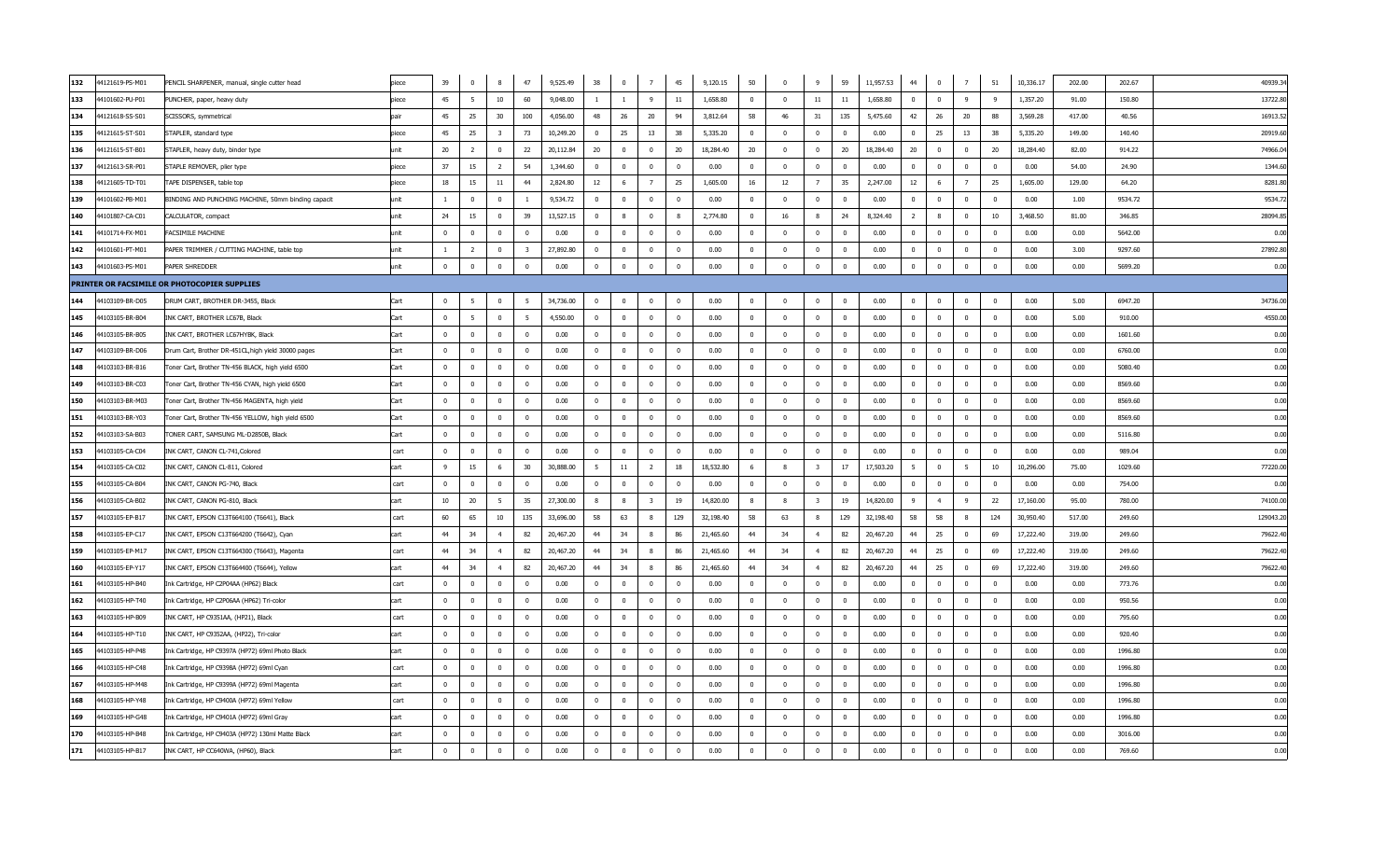| 132 | 44121619-PS-M01 | PENCIL SHARPENER, manual, single cutter head        | piece | 39                      | $^{\circ}$     | 8                       | 47             | 9,525.49  | 38                      | $^{\circ}$   | $7\overline{ }$          | 45                      | 9,120.15  | 50             | $\overline{0}$          | 9                       | 59         | 11,957.53 | 44             | $\overline{0}$ | 7              | 51                      | 10,336.17 | 202.00 | 202.67  | 40939.3  |
|-----|-----------------|-----------------------------------------------------|-------|-------------------------|----------------|-------------------------|----------------|-----------|-------------------------|--------------|--------------------------|-------------------------|-----------|----------------|-------------------------|-------------------------|------------|-----------|----------------|----------------|----------------|-------------------------|-----------|--------|---------|----------|
| 133 | 44101602-PU-P01 | PUNCHER, paper, heavy duty                          | piece | 45                      | 5              | 10 <sup>10</sup>        | 60             | 9,048.00  | <sup>1</sup>            | $\mathbf{1}$ | 9                        | 11                      | 1,658.80  | $\mathbf{0}$   | $\overline{0}$          | 11                      | $11\,$     | 1,658.80  | $\mathbf{0}$   | $\overline{0}$ | 9              | 9                       | 1,357.20  | 91.00  | 150.80  | 13722.8  |
| 134 | 44121618-SS-S01 | SCISSORS, symmetrical                               | nai   | 45                      | 25             | 30                      | 100            | 4,056.00  | 48                      | 26           | 20                       | 94                      | 3,812.64  | 58             | 46                      | 31                      | 135        | 5,475.60  | 42             | 26             | 20             | 88                      | 3,569.28  | 417.00 | 40.56   | 16913.5  |
| 135 | 44121615-ST-S01 | STAPLER, standard type                              | piece | 45                      | 25             | $\overline{\mathbf{3}}$ | 73             | 10,249.20 | $\mathbf{0}$            | 25           | 13                       | 38                      | 5,335.20  | $^{\circ}$     | $\overline{0}$          | $\overline{0}$          | $^{\circ}$ | 0.00      | $^{\circ}$     | 25             | 13             | 38                      | 5,335.20  | 149.00 | 140.40  | 20919.6  |
| 136 | 44121615-ST-B01 | STAPLER, heavy duty, binder type                    | unit  | 20                      | $\overline{2}$ | 0                       | 22             | 20,112.84 | 20                      | $^{\circ}$   | $\overline{\mathbf{0}}$  | 20                      | 18,284.40 | 20             | $\overline{0}$          | $\mathbf 0$             | 20         | 18,284.40 | 20             | $\mathbf 0$    | $\mathbf 0$    | 20                      | 18,284.40 | 82.00  | 914.22  | 74966.0  |
| 137 | 44121613-SR-P01 | STAPLE REMOVER, plier type                          | piece | 37                      | 15             | $\overline{2}$          | -54            | 1,344.60  | $\overline{0}$          | $\Omega$     | $\overline{\mathbf{0}}$  | $\overline{0}$          | 0.00      | $\Omega$       | $\Omega$                | $\mathbf 0$             | $\Omega$   | 0.00      | $\Omega$       | $\Omega$       | $\Omega$       | $\Omega$                | 0.00      | 54.00  | 24.90   | 1344.6   |
| 138 | 44121605-TD-T01 | TAPE DISPENSER, table top                           | niece | 18                      | 15             | 11                      | 44             | 2,824.80  | 12                      | -6           | $\overline{7}$           | 25                      | 1,605.00  | 16             | 12                      | $\overline{7}$          | 35         | 2,247.00  | 12             | - 6            | $\overline{7}$ | 25                      | 1,605.00  | 129.00 | 64.20   | 8281.8   |
| 139 | 44101602-PB-M01 | BINDING AND PUNCHING MACHINE, 50mm binding capacit  | unit  | $\mathbf{1}$            | $\Omega$       | $\Omega$                |                | 9,534.72  | $\Omega$                | $\Omega$     | $\overline{\mathbf{0}}$  | $\overline{0}$          | 0.00      | $\Omega$       | $\Omega$                | $\overline{0}$          | $\Omega$   | 0.00      | $\Omega$       | $\Omega$       | $\Omega$       | $\overline{0}$          | 0.00      | 1.00   | 9534.72 | 9534.7   |
| 140 | 44101807-CA-C01 | CALCULATOR, compact                                 | unit  | 24                      | 15             | $\mathbf 0$             | 39             | 13,527.15 | $\overline{0}$          | 8            | $\overline{\mathbf{0}}$  | 8                       | 2,774.80  | $\mathbf{0}$   | 16                      | 8                       | 24         | 8,324.40  | 2              | 8              | $\mathbf{0}$   | 10                      | 3,468.50  | 81.00  | 346.85  | 28094.8  |
| 141 | 44101714-FX-M01 | FACSIMILE MACHINE                                   | unit  | $\overline{0}$          | $\mathbf{0}$   | $\overline{0}$          | $\mathbf{0}$   | 0.00      | $\overline{0}$          | $\Omega$     | $\overline{\mathbf{0}}$  | $\overline{\mathbf{0}}$ | 0.00      | $^{\circ}$     | $\overline{\mathbf{0}}$ | $\mathbf 0$             | $\Omega$   | 0.00      | $\mathbf{0}$   | $\mathbf{0}$   | $\overline{0}$ | $\overline{0}$          | 0.00      | 0.00   | 5642.00 | 0.00     |
| 142 | 44101601-PT-M01 | PAPER TRIMMER / CUTTING MACHINE, table top          | unit  | $\overline{1}$          | $\overline{2}$ | $\overline{0}$          | $\overline{3}$ | 27,892.80 | $\overline{0}$          | $\Omega$     | $\Omega$                 | $\overline{0}$          | 0.00      | $\mathbf{0}$   | $\Omega$                | $\mathbf 0$             | $\Omega$   | 0.00      | $\Omega$       | $\Omega$       | $\Omega$       | $\overline{0}$          | 0.00      | 3.00   | 9297.60 | 27892.8  |
| 143 | 44101603-PS-M01 | PAPER SHREDDER                                      | unit  | $\mathbf{0}$            | $^{\circ}$     | $\pmb{0}$               | $\mathbf{0}$   | 0.00      | $\overline{0}$          | $^{\circ}$   | $\mathbf 0$              | $\overline{\mathbf{0}}$ | 0.00      | $\mathbf{0}$   | $\overline{0}$          | $\pmb{0}$               | $^{\circ}$ | 0.00      | $^{\circ}$     | $\overline{0}$ | $\overline{0}$ | $\mathbf 0$             | 0.00      | 0.00   | 5699.20 | 0.00     |
|     |                 | PRINTER OR FACSIMILE OR PHOTOCOPIER SUPPLIES        |       |                         |                |                         |                |           |                         |              |                          |                         |           |                |                         |                         |            |           |                |                |                |                         |           |        |         |          |
| 144 | 44103109-BR-D05 | DRUM CART, BROTHER DR-3455, Black                   | Cart  | $\mathbf{0}$            |                | $\Omega$                |                | 34,736.00 |                         |              | $\overline{0}$           | $\Omega$                | 0.00      |                | $^{\circ}$              | $\overline{0}$          | $\Omega$   | 0.00      |                |                | $\Omega$       | $\overline{0}$          | 0.00      | 5.00   | 6947.20 | 34736.0  |
| 145 | 44103105-BR-B04 | INK CART, BROTHER LC67B, Black                      | Cart  | $\mathbf{0}$            | 5              | $\overline{0}$          | 5              | 4,550.00  | $\overline{0}$          | $\Omega$     | $\overline{\mathbf{0}}$  | $\overline{\mathbf{0}}$ | 0.00      | $\mathbf{0}$   | $\overline{0}$          | $\mathbf{0}$            | $^{\circ}$ | 0.00      | $\mathbf{0}$   | $\mathbf{0}$   | $\mathbf{0}$   | $\overline{0}$          | 0.00      | 5.00   | 910.00  | 4550.00  |
| 146 | 44103105-BR-B05 | INK CART, BROTHER LC67HYBK, Black                   | Cart  | $\Omega$                | $\Omega$       | $\Omega$                | $\Omega$       | 0.00      | $\mathbf{0}$            | $\Omega$     | $\mathbf 0$              | $\overline{\mathbf{0}}$ | 0.00      | $\overline{0}$ | $\Omega$                | $\mathbf{0}$            | $\Omega$   | 0.00      | $^{\circ}$     | $\overline{0}$ | $\mathbf{0}$   | $\overline{0}$          | 0.00      | 0.00   | 1601.60 | 0.00     |
| 147 | 44103109-BR-D06 | Drum Cart, Brother DR-451CL, high yield 30000 pages | Cart  | $\Omega$                | $^{\circ}$     | $\overline{0}$          | $^{\circ}$     | 0.00      | $\overline{0}$          | $\Omega$     | $\overline{\mathbf{0}}$  | $\overline{\mathbf{0}}$ | 0.00      | $\mathbf{0}$   | $\overline{\mathbf{0}}$ | $\mathbf 0$             | $\Omega$   | 0.00      | $\overline{0}$ | $\overline{0}$ | $\mathbf{0}$   | $\overline{\mathbf{0}}$ | 0.00      | 0.00   | 6760.00 | 0.00     |
| 148 | 44103103-BR-B16 | Toner Cart, Brother TN-456 BLACK, high yield 6500   | Cart  | $\overline{0}$          | $^{\circ}$     | $\overline{0}$          | $^{\circ}$     | 0.00      | $\overline{0}$          | $^{\circ}$   | $\overline{\mathbf{0}}$  | $\overline{\mathbf{0}}$ | 0.00      | $\mathbf{0}$   | $\overline{0}$          | $\overline{\mathbf{0}}$ | $^{\circ}$ | 0.00      | $^{\circ}$     | $\mathbf{0}$   | $\mathbf{0}$   | $\overline{0}$          | 0.00      | 0.00   | 5080.40 | 0.00     |
| 149 | 44103103-BR-C03 | Toner Cart, Brother TN-456 CYAN, high yield 6500    | Cart  | $\overline{0}$          | $\overline{0}$ | $\Omega$                | $\Omega$       | 0.00      | $\overline{0}$          | $\Omega$     | $\overline{\mathbf{0}}$  | $\overline{\mathbf{0}}$ | 0.00      | $\mathbf{0}$   | $\overline{0}$          | $\mathbf 0$             | $\Omega$   | 0.00      | $^{\circ}$     | $\mathbf{0}$   | $\overline{0}$ | $\bf{0}$                | 0.00      | 0.00   | 8569.60 | 0.00     |
| 150 | 44103103-BR-M03 | Toner Cart, Brother TN-456 MAGENTA, high yield      | Cart  | $\Omega$                | $\Omega$       | $\Omega$                | $\Omega$       | 0.00      | $\Omega$                | $\Omega$     | $\overline{0}$           | $\overline{0}$          | 0.00      | $\Omega$       | $\overline{0}$          | $\mathbf 0$             | $\Omega$   | 0.00      | $\Omega$       | $\Omega$       | $\Omega$       | $\overline{\mathbf{0}}$ | 0.00      | 0.00   | 8569.60 | 0.00     |
| 151 | 44103103-BR-Y03 | Toner Cart, Brother TN-456 YELLOW, high yield 6500  | Cart  | $\bf{0}$                | $\mathbf{0}$   | $\mathbf 0$             | $\overline{0}$ | 0.00      | $\overline{0}$          | $^{\circ}$   | $\overline{\mathbf{0}}$  | $\overline{\mathbf{0}}$ | 0.00      | $\overline{0}$ | $\overline{0}$          | $\overline{0}$          | $^{\circ}$ | 0.00      | $\mathbf 0$    | $\overline{0}$ | $\overline{0}$ | $\overline{\mathbf{0}}$ | 0.00      | 0.00   | 8569.60 | 0.00     |
| 152 | 44103103-SA-B03 | TONER CART, SAMSUNG ML-D2850B, Black                | Cart  | $^{\circ}$              | $^{\circ}$     | $\overline{0}$          | $\mathbf{0}$   | 0.00      | $\overline{0}$          | $^{\circ}$   | $\mathbf 0$              | $\overline{0}$          | 0.00      | $^{\circ}$     | $\overline{0}$          | $\pmb{0}$               | $^{\circ}$ | 0.00      | $\overline{0}$ | $\overline{0}$ | $\mathbf 0$    | $\overline{0}$          | 0.00      | 0.00   | 5116.80 | 0.00     |
| 153 | 44103105-CA-C04 | INK CART, CANON CL-741, Colored                     | cart  | $\bf{0}$                | $\overline{0}$ | $\overline{0}$          | $\overline{0}$ | 0.00      | $\overline{0}$          | $\mathbf 0$  | $\overline{\mathbf{0}}$  | $\overline{\mathbf{0}}$ | 0.00      | $\mathbf{0}$   | $\overline{0}$          | $\overline{\mathbf{0}}$ | $^{\circ}$ | 0.00      | $\mathbf{0}$   | $\overline{0}$ | $\mathbf{0}$   | $\overline{0}$          | 0.00      | 0.00   | 989.04  | 0.00     |
| 154 | 44103105-CA-C02 | INK CART, CANON CL-811, Colored                     | cart  | -9                      | 15             | -6                      | 30             | 30,888.00 | - 5                     | 11           | $\overline{2}$           | 18                      | 18,532.80 | -6             | - 8                     | $\mathbf{3}$            | $17\,$     | 17,503.20 | -5             | $\mathbf{0}$   | - 5            | 10                      | 10,296.00 | 75.00  | 1029.60 | 77220.00 |
| 155 | 44103105-CA-B04 | INK CART, CANON PG-740, Black                       | cart  | $\mathbf 0$             | $\mathbf 0$    | $\Omega$                | $\Omega$       | 0.00      | $\overline{\mathbf{0}}$ | $\Omega$     | $\overline{\mathbf{0}}$  | $\overline{\mathbf{0}}$ | 0.00      |                | $\overline{\mathbf{0}}$ | $\overline{0}$          | $\Omega$   | 0.00      | 0              | $\mathbf 0$    | $\mathbf 0$    | $\overline{\mathbf{0}}$ | 0.00      | 0.00   | 754.00  | 0.00     |
| 156 | 44103105-CA-B02 | INK CART, CANON PG-810, Black                       | cart  | 10                      | 20             | -5                      | 35             | 27,300.00 | 8                       | 8            | $\overline{\mathbf{3}}$  | 19                      | 14,820.00 | 8              | 8                       | $\overline{\mathbf{3}}$ | 19         | 14,820.00 | 9              | $\overline{4}$ | $\mathbf{q}$   | 22                      | 17,160.00 | 95.00  | 780.00  | 74100.0  |
| 157 | 44103105-EP-B17 | INK CART, EPSON C13T664100 (T6641), Black           | cart  | 60                      | 65             | 10                      | 135            | 33,696.00 | 58                      | 63           | 8                        | 129                     | 32,198.40 | 58             | 63                      | $\mathbf{8}$            | 129        | 32,198.40 | 58             | 58             | 8              | 124                     | 30,950.40 | 517.00 | 249.60  | 129043.2 |
| 158 | 44103105-EP-C17 | INK CART, EPSON C13T664200 (T6642), Cyan            | cart  | 44                      | 34             | $\overline{4}$          | 82             | 20,467.20 | 44                      | 34           | 8                        | 86                      | 21,465.60 |                | 34                      | $\overline{4}$          | 82         | 20,467.20 | 44             | 25             | $\overline{0}$ | 69                      | 17,222.40 | 319.00 | 249.60  | 79622.4  |
| 159 | 44103105-EP-M17 | INK CART, EPSON C13T664300 (T6643), Magenta         | cart  | 44                      | 34             | $\overline{4}$          | 82             | 20,467.20 | 44                      | 34           | 8                        | 86                      | 21,465.60 | 44             | 34                      | $\overline{4}$          | 82         | 20,467.20 | 44             | 25             | $\mathbf{0}$   | 69                      | 17,222.40 | 319.00 | 249.60  | 79622.4  |
| 160 | 44103105-EP-Y17 | INK CART, EPSON C13T664400 (T6644), Yellow          | cart  | 44                      | 34             |                         | 82             | 20,467.20 | 44                      | 34           | 8                        | 86                      | 21,465.60 | 44             | 34                      | $\overline{4}$          | 82         | 20,467.20 | 44             | 25             | $\overline{0}$ | 69                      | 17,222.40 | 319.00 | 249.60  | 79622.4  |
| 161 | 44103105-HP-B40 | Ink Cartridge, HP C2P04AA (HP62) Black              | cart  | $\Omega$                | $\Omega$       | $\Omega$                | $\Omega$       | 0.00      | $\Omega$                | $\Omega$     | $\Omega$                 | $\Omega$                | 0.00      | $\Omega$       | $\Omega$                | $\mathbf 0$             | $\Omega$   | 0.00      | $\Omega$       | $\Omega$       | $\Omega$       | $\Omega$                | 0.00      | 0.00   | 773.76  | 0.00     |
| 162 | 44103105-HP-T40 | Ink Cartridge, HP C2P06AA (HP62) Tri-color          | cart  | $\overline{0}$          | $\mathbf{0}$   | $\mathbf 0$             | $\overline{0}$ | 0.00      | $\overline{0}$          | $^{\circ}$   | $\overline{\mathbf{0}}$  | $\overline{\mathbf{0}}$ | 0.00      | $\overline{0}$ | $\overline{0}$          | $\overline{0}$          | $^{\circ}$ | 0.00      | $\mathbf 0$    | $\overline{0}$ | $\overline{0}$ | $\overline{\mathbf{0}}$ | 0.00      | 0.00   | 950.56  | 0.00     |
| 163 | 44103105-HP-B09 | INK CART, HP C9351AA, (HP21), Black                 | cart  | $\overline{0}$          | $\mathbf{0}$   | $\overline{0}$          | $\overline{0}$ | 0.00      | $\overline{0}$          | $^{\circ}$   | $\overline{0}$           | $\overline{\mathbf{0}}$ | 0.00      | $^{\circ}$     | $\overline{0}$          | $\mathbf 0$             | $^{\circ}$ | 0.00      | $\overline{0}$ | $\overline{0}$ | $\overline{0}$ | $\overline{0}$          | 0.00      | 0.00   | 795.60  | 0.00     |
| 164 | 44103105-HP-T10 | INK CART, HP C9352AA, (HP22), Tri-color             | cart  | $\Omega$                | $^{\circ}$     | $\overline{0}$          | $\overline{0}$ | 0.00      | $\overline{0}$          | $\Omega$     | $\overline{\mathbf{0}}$  | $\overline{\mathbf{0}}$ | 0.00      | $\mathbf{0}$   | $\overline{0}$          | $\mathbf 0$             | $\Omega$   | 0.00      | $\overline{0}$ | $\overline{0}$ | $\overline{0}$ | $\overline{0}$          | 0.00      | 0.00   | 920.40  | 0.00     |
| 165 | 44103105-HP-P48 | Ink Cartridge, HP C9397A (HP72) 69ml Photo Black    | cart  | $\overline{\mathbf{0}}$ | $^{\circ}$     | $\mathbf 0$             | $\overline{0}$ | 0.00      | $\overline{0}$          | $\Omega$     | $\overline{\mathbf{0}}$  | $\overline{0}$          | 0.00      | $^{\circ}$     | $\overline{0}$          | $\overline{0}$          | $\Omega$   | 0.00      | $^{\circ}$     | $\mathbf{0}$   | $\mathbf{0}$   | $\overline{0}$          | 0.00      | 0.00   | 1996.80 | 0.00     |
| 166 | 44103105-HP-C48 | Ink Cartridge, HP C9398A (HP72) 69ml Cyan           | cart  | $^{\circ}$              | $\mathbf 0$    | $\mathbf 0$             | $\Omega$       | 0.00      | $\overline{\mathbf{0}}$ | $^{\circ}$   | $\overline{\phantom{0}}$ | $\overline{\mathbf{0}}$ | 0.00      | $^{\circ}$     | $\overline{\mathbf{0}}$ | $\mathbf 0$             | $^{\circ}$ | 0.00      | 0              | $\mathbf 0$    | $\overline{0}$ | $\overline{\mathbf{0}}$ | 0.00      | 0.00   | 1996.80 | 0.00     |
| 167 | 44103105-HP-M48 | Ink Cartridge, HP C9399A (HP72) 69ml Magenta        | cart  | $\mathbf{0}$            | $^{\circ}$     | $\overline{0}$          | $^{\circ}$     | 0.00      | $\overline{0}$          | $^{\circ}$   | $\overline{0}$           | $\overline{0}$          | 0.00      | $^{\circ}$     | $\overline{0}$          | $\mathbf 0$             | $^{\circ}$ | 0.00      | $^{\circ}$     | $\mathbf{0}$   | $\overline{0}$ | $\mathbf 0$             | 0.00      | 0.00   | 1996.80 | 0.00     |
| 168 | 44103105-HP-Y48 | Ink Cartridge, HP C9400A (HP72) 69ml Yellow         | cart  | $\mathbf{0}$            | $^{\circ}$     | $\overline{0}$          | $\overline{0}$ | 0.00      | $\overline{0}$          | $^{\circ}$   | $\overline{\mathbf{0}}$  | $\overline{\mathbf{0}}$ | 0.00      | $\mathbf{0}$   | $\overline{0}$          | $\mathbf{0}$            | $^{\circ}$ | 0.00      | $^{\circ}$     | $\mathbf{0}$   | $\mathbf{0}$   | $\overline{0}$          | 0.00      | 0.00   | 1996.80 | 0.00     |
| 169 | 44103105-HP-G48 | Ink Cartridge, HP C9401A (HP72) 69ml Gray           | cart  | $\Omega$                | $\Omega$       | $\Omega$                | $\Omega$       | 0.00      | $\Omega$                | $\Omega$     | 0                        | $\overline{\mathbf{0}}$ | 0.00      | $\Omega$       | $\Omega$                | $\mathbf 0$             | $\Omega$   | 0.00      | $\Omega$       | $\Omega$       | $\Omega$       | $\Omega$                | 0.00      | 0.00   | 1996.80 | 0.00     |
| 170 | 44103105-HP-B48 | Ink Cartridge, HP C9403A (HP72) 130ml Matte Black   | cart  | $\Omega$                | $\Omega$       | $\overline{0}$          | $\overline{0}$ | 0.00      | $\overline{0}$          | $\Omega$     | $\overline{0}$           | $\overline{0}$          | 0.00      | $^{\circ}$     | $\overline{0}$          | $\mathbf 0$             | $\Omega$   | 0.00      | $\mathbf{0}$   | $\mathbf{0}$   | $\overline{0}$ | $\mathbf 0$             | 0.00      | 0.00   | 3016.00 | 0.00     |
| 171 | 44103105-HP-B17 | INK CART, HP CC640WA, (HP60), Black                 | cart  | $\Omega$                | $\Omega$       | $\Omega$                | $\Omega$       | 0.00      | $\Omega$                |              | $\mathbf 0$              | $\Omega$                | 0.00      | $\Omega$       | $\Omega$                | $\mathbf 0$             |            | 0.00      | $\mathbf{0}$   | $\Omega$       | $\mathbf 0$    | $\overline{0}$          | 0.00      | 0.00   | 769.60  | 0.00     |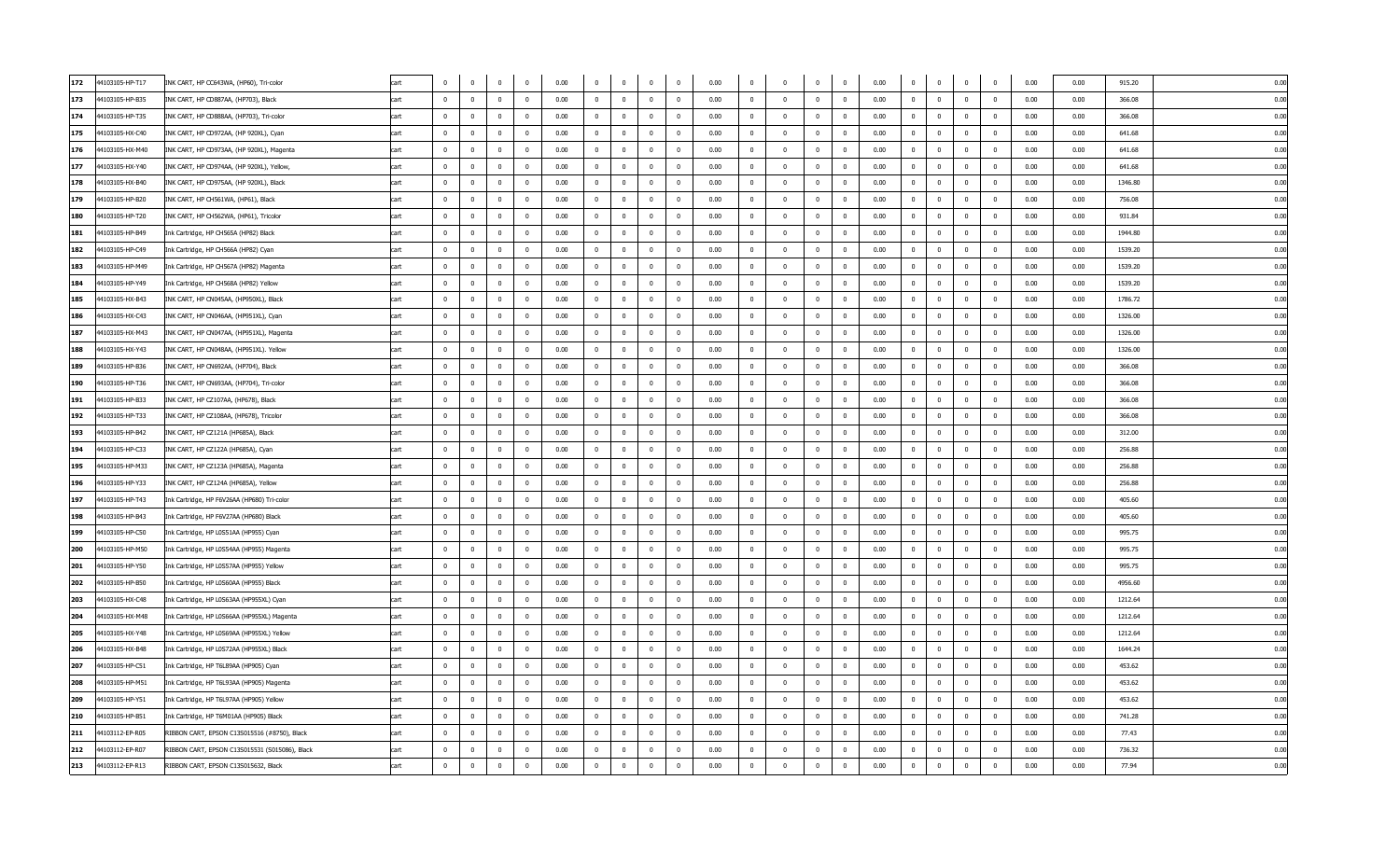| 172 | 44103105-HP-T17 | INK CART, HP CC643WA, (HP60), Tri-color        | cart |                         |                | $\mathbf 0$    | $\Omega$                | 0.00 | $\mathbf 0$             |                | $\Omega$                | $\overline{0}$           | 0.00 | 0                       |                         | $\mathbf 0$             | $\Omega$       | 0.00<br>$\mathbf 0$    | $\Omega$                | $\mathbf 0$    | $\mathbf{0}$   | 0.00 | 0.00 | 915.20  | 0.00 |
|-----|-----------------|------------------------------------------------|------|-------------------------|----------------|----------------|-------------------------|------|-------------------------|----------------|-------------------------|--------------------------|------|-------------------------|-------------------------|-------------------------|----------------|------------------------|-------------------------|----------------|----------------|------|------|---------|------|
| 173 | 44103105-HP-B35 | INK CART, HP CD887AA, (HP703), Black           | cart | $\overline{0}$          | $\Omega$       | $\Omega$       | $\overline{0}$          | 0.00 | $\Omega$                | $\Omega$       | $\overline{0}$          | $\overline{0}$           | 0.00 | $\Omega$                | $\overline{0}$          | $\overline{0}$          | $\Omega$       | 0.00<br>$\Omega$       | $\Omega$                | $\Omega$       | $\Omega$       | 0.00 | 0.00 | 366.08  | 0.00 |
| 174 | 44103105-HP-T35 | INK CART, HP CD888AA, (HP703), Tri-color       | cart | $\Omega$                | $^{\circ}$     | $\Omega$       | $\Omega$                | 0.00 | $\Omega$                | $\Omega$       | $\mathbf{0}$            | $\Omega$                 | 0.00 | $\overline{\mathbf{0}}$ | $\overline{0}$          | $\overline{0}$          | $\Omega$       | 0.00<br>$^{\circ}$     | $\overline{0}$          | $\Omega$       | $^{\circ}$     | 0.00 | 0.00 | 366.08  | 0.00 |
| 175 | 44103105-HX-C40 | INK CART, HP CD972AA, (HP 920XL), Cyan         | cart | $\overline{0}$          | $^{\circ}$     | $\mathbf 0$    | $\overline{0}$          | 0.00 | $\overline{\mathbf{0}}$ | $^{\circ}$     | $\overline{0}$          | $\overline{\mathbf{0}}$  | 0.00 | $\overline{\mathbf{0}}$ | $\overline{0}$          | $\bf{0}$                | $\mathbf 0$    | 0.00<br>$\mathbf{0}$   | $\overline{\mathbf{0}}$ | $\mathbf 0$    | $\mathbf 0$    | 0.00 | 0.00 | 641.68  | 0.00 |
| 176 | 44103105-HX-M40 | INK CART, HP CD973AA, (HP 920XL), Magenta      | cart | $\Omega$                | $^{\circ}$     | $\mathbf 0$    | $\overline{0}$          | 0.00 | $\overline{\mathbf{0}}$ | $\Omega$       | $\overline{0}$          | $\overline{\mathbf{0}}$  | 0.00 | $\mathbf 0$             | $\overline{0}$          | $\mathbf 0$             | $\overline{0}$ | 0.00<br>$\overline{0}$ | $\overline{0}$          | $\mathbf 0$    | $\overline{0}$ | 0.00 | 0.00 | 641.68  | 0.00 |
| 177 | 44103105-HX-Y40 | INK CART, HP CD974AA, (HP 920XL), Yellow,      | cart | $\overline{0}$          | $^{\circ}$     | $\mathbf 0$    | $\overline{\mathbf{0}}$ | 0.00 | $\overline{0}$          | $\overline{0}$ | $\overline{0}$          | $\overline{0}$           | 0.00 | $\overline{0}$          | $\overline{0}$          | $\overline{0}$          | $\overline{0}$ | 0.00<br>$\mathbf{0}$   | $\overline{0}$          | $\bf{0}$       | $\bf{0}$       | 0.00 | 0.00 | 641.68  | 0.00 |
| 178 | 44103105-HX-B40 | INK CART, HP CD975AA, (HP 920XL), Black        | cart | $\pmb{0}$               | $\mathbb O$    | $\mathbf 0$    | $\overline{\mathbf{0}}$ | 0.00 | $\overline{\mathbf{0}}$ | $\Omega$       | $\mathbf 0$             | $\overline{\mathbf{0}}$  | 0.00 | $\overline{0}$          | $\overline{\mathbf{0}}$ | $\pmb{0}$               | $\mathbf{0}$   | 0.00<br>$\mathbf 0$    | $\mathbf 0$             | $\pmb{0}$      | $\overline{0}$ | 0.00 | 0.00 | 1346.80 | 0.00 |
| 179 | 44103105-HP-B20 | INK CART, HP CH561WA, (HP61), Black            | cart | $\overline{\mathbf{0}}$ | $^{\circ}$     | $\mathbf 0$    | $\overline{0}$          | 0.00 | $\overline{0}$          | $\overline{0}$ | $\mathbf{0}$            | $\overline{\mathbf{0}}$  | 0.00 | $\overline{0}$          | $\overline{0}$          | $\mathbf 0$             | $\mathbf{0}$   | 0.00<br>$\mathbf{0}$   | $\mathbf{0}$            | $\mathbf{0}$   | $\mathbf{0}$   | 0.00 | 0.00 | 756.08  | 0.00 |
| 180 | 44103105-HP-T20 | INK CART, HP CH562WA, (HP61), Tricolor         | cart | $\mathbf{0}$            | $\overline{0}$ | $\mathbf 0$    | $\overline{0}$          | 0.00 | $\overline{0}$          | $\overline{0}$ | $\bf{0}$                | $\overline{\mathbf{0}}$  | 0.00 | $\mathbf 0$             | $\overline{0}$          | $\pmb{0}$               | $\overline{0}$ | $\mathbf 0$<br>0.00    | $\overline{0}$          | $\overline{0}$ | $\bf{0}$       | 0.00 | 0.00 | 931.84  | 0.00 |
| 181 | 44103105-HP-B49 | Ink Cartridge, HP CH565A (HP82) Black          | cart | $\Omega$                | $\Omega$       | $\Omega$       | $\overline{0}$          | 0.00 | $\Omega$                | $\Omega$       | $\bf{0}$                | $\overline{0}$           | 0.00 | $\overline{0}$          | $\Omega$                | $\mathbf 0$             | $\Omega$       | 0.00<br>$\overline{0}$ | $\Omega$                | $\mathbf 0$    | $\overline{0}$ | 0.00 | 0.00 | 1944.80 | 0.00 |
| 182 | 44103105-HP-C49 | Ink Cartridge, HP CH566A (HP82) Cyan           | cart | $\mathbf 0$             | $^{\circ}$     | $\Omega$       | $\overline{0}$          | 0.00 | $\overline{0}$          | $\Omega$       | $^{\circ}$              | $\Omega$                 | 0.00 | $\Omega$                | $\Omega$                | $\mathbf 0$             |                | 0.00<br>$^{\circ}$     | $\Omega$                | $\mathbf 0$    | $\mathbf{0}$   | 0.00 | 0.00 | 1539.20 | 0.00 |
| 183 | 44103105-HP-M49 | Ink Cartridge, HP CH567A (HP82) Magenta        | cart | $\overline{0}$          | $^{\circ}$     | $\mathbf 0$    | $\overline{0}$          | 0.00 | $\overline{0}$          | $\Omega$       | $\overline{0}$          | $\overline{0}$           | 0.00 | $\mathbf{0}$            | $\overline{0}$          | $\overline{0}$          | $\Omega$       | 0.00<br>$^{\circ}$     | $\mathbf{0}$            | $\mathbf{0}$   | $^{\circ}$     | 0.00 | 0.00 | 1539.20 | 0.00 |
| 184 | 44103105-HP-Y49 | Ink Cartridge, HP CH568A (HP82) Yellow         | cart | $\Omega$                | $\Omega$       | $\Omega$       | $\overline{0}$          | 0.00 | $\mathbf{0}$            | $\Omega$       | $\overline{0}$          | $\overline{0}$           | 0.00 | $\mathbf{0}$            | $\overline{0}$          | $\overline{0}$          | $\Omega$       | 0.00<br>$\Omega$       | $\Omega$                | $\Omega$       | $\Omega$       | 0.00 | 0.00 | 1539.20 | 0.00 |
| 185 | 44103105-HX-B43 | INK CART, HP CN045AA, (HP950XL), Black         | cart | $\Omega$                | $\Omega$       | $\Omega$       | $\Omega$                | 0.00 | $\overline{0}$          | $\Omega$       | $^{\circ}$              | $\overline{0}$           | 0.00 | $\mathbf 0$             | $\Omega$                | $\overline{0}$          | $\Omega$       | 0.00<br>$^{\circ}$     | $\Omega$                | $^{\circ}$     | $^{\circ}$     | 0.00 | 0.00 | 1786.72 | 0.00 |
| 186 | 44103105-HX-C43 | INK CART, HP CN046AA, (HP951XL), Cyan          | cart | $\mathbf{0}$            | $^{\circ}$     | $^{\circ}$     | $\overline{\mathbf{0}}$ | 0.00 | $\overline{\mathbf{0}}$ | $^{\circ}$     | $\overline{0}$          | $\overline{\mathbf{0}}$  | 0.00 | $\overline{\mathbf{0}}$ | $\overline{\mathbf{0}}$ | $\overline{0}$          | $\mathbf 0$    | 0.00<br>$\mathbf 0$    | $\overline{\mathbf{0}}$ | $\mathbf 0$    | $\mathbf 0$    | 0.00 | 0.00 | 1326.00 | 0.00 |
| 187 | 44103105-HX-M43 | INK CART, HP CN047AA, (HP951XL), Magenta       | cart | $\Omega$                | $^{\circ}$     | $\Omega$       | $\Omega$                | 0.00 | $\overline{0}$          | $\Omega$       | $^{\circ}$              | $\Omega$                 | 0.00 | $\overline{0}$          | $\overline{0}$          | $^{\circ}$              | $\Omega$       | 0.00<br>$^{\circ}$     | $\overline{0}$          | $\Omega$       | $^{\circ}$     | 0.00 | 0.00 | 1326.00 | 0.00 |
| 188 | 44103105-HX-Y43 | INK CART, HP CN048AA, (HP951XL). Yellow        | cart | $\overline{0}$          | $^{\circ}$     | $\mathbf 0$    | $\overline{0}$          | 0.00 | $\overline{0}$          | $\mathbf{0}$   | $\overline{0}$          | $\overline{0}$           | 0.00 | $\overline{0}$          | $\overline{0}$          | $\overline{0}$          | $\mathbf{0}$   | 0.00<br>$\mathbf{0}$   | $\overline{0}$          | $\bf{0}$       | $\bf{0}$       | 0.00 | 0.00 | 1326.00 | 0.00 |
| 189 | 44103105-HP-B36 | INK CART, HP CN692AA, (HP704), Black           | cart | $\mathbf 0$             | $\mathbf 0$    | $\mathbf 0$    | $\overline{0}$          | 0.00 | $\overline{0}$          | $^{\circ}$     | $\overline{0}$          | $\overline{\mathbf{0}}$  | 0.00 | $\mathbf 0$             | $\overline{\mathbf{0}}$ | $\pmb{0}$               | $\mathbf 0$    | 0.00<br>$\overline{0}$ | $\mathbf 0$             | $\mathbf 0$    | $\mathbf 0$    | 0.00 | 0.00 | 366.08  | 0.00 |
| 190 | 44103105-HP-T36 | INK CART, HP CN693AA, (HP704), Tri-color       | cart | $\overline{\mathbf{0}}$ | $\mathbf 0$    | $\mathbf 0$    | $\overline{0}$          | 0.00 | $\overline{0}$          | $\mathbf{0}$   | $\mathbf{0}$            | $\overline{\mathbf{0}}$  | 0.00 | $\overline{0}$          | $\overline{0}$          | $\overline{\mathbf{0}}$ | $\overline{0}$ | 0.00<br>$\mathbf{0}$   | $\mathbf{0}$            | $\mathbf{0}$   | $\mathbf{0}$   | 0.00 | 0.00 | 366.08  | 0.00 |
| 191 | 44103105-HP-B33 | INK CART, HP CZ107AA, (HP678), Black           | cart | $\mathbf{0}$            | $^{\circ}$     | $\mathbf 0$    | $\overline{\mathbf{0}}$ | 0.00 | $\overline{0}$          | $\Omega$       | $^{\circ}$              | $\overline{\mathbf{0}}$  | 0.00 |                         | $\overline{\mathbf{0}}$ | $^{\circ}$              | $\Omega$       | 0.00<br>$^{\circ}$     | $\overline{0}$          | $\mathbf{0}$   | $\overline{0}$ | 0.00 | 0.00 | 366.08  | 0.00 |
| 192 | 44103105-HP-T33 | INK CART, HP CZ108AA, (HP678), Tricolor        | cart | $\overline{0}$          | $\Omega$       | $\Omega$       | $\Omega$                | 0.00 | $\overline{0}$          | $\Omega$       | $\mathbf 0$             | $\overline{0}$           | 0.00 | $\overline{0}$          | $\Omega$                | $\Omega$                | $\Omega$       | 0.00<br>$\mathbf 0$    | $\Omega$                | $\overline{0}$ | $\overline{0}$ | 0.00 | 0.00 | 366.08  | 0.00 |
| 193 | 44103105-HP-B42 | INK CART, HP CZ121A (HP685A), Black            | cart | $\mathbf 0$             | $\mathbf{0}$   | $\mathbf 0$    | $\overline{0}$          | 0.00 | $\overline{0}$          | $\Omega$       | $\mathbf{0}$            | $\overline{\mathbf{0}}$  | 0.00 | $\overline{0}$          | $\overline{0}$          | $\mathbf 0$             | $\overline{0}$ | 0.00<br>$\overline{0}$ | $\mathbf 0$             | $\mathbf{0}$   | $\mathbf{0}$   | 0.00 | 0.00 | 312.00  | 0.00 |
| 194 | 44103105-HP-C33 | INK CART, HP CZ122A (HP685A), Cyan             | cart | $\Omega$                | $^{\circ}$     | $\mathbf 0$    | $\overline{0}$          | 0.00 | $\overline{0}$          | $\Omega$       | $\mathbf{0}$            | $\overline{\mathbf{0}}$  | 0.00 | $\overline{0}$          | $\overline{0}$          | $\overline{0}$          | $\Omega$       | 0.00<br>$\mathbf{0}$   | $\overline{0}$          | $\mathbf{0}$   | $\mathbf{0}$   | 0.00 | 0.00 | 256.88  | 0.00 |
| 195 | 44103105-HP-M33 | INK CART, HP CZ123A (HP685A), Magenta          | cart | $\Omega$                | $\Omega$       | $\Omega$       | $\Omega$                | 0.00 | $\Omega$                | $\Omega$       | $\Omega$                | $\overline{0}$           | 0.00 | $\Omega$                | $\Omega$                | $\Omega$                | $\Omega$       | 0.00<br>$\Omega$       | $\Omega$                | $\Omega$       | $\Omega$       | 0.00 | 0.00 | 256.88  | 0.00 |
| 196 | 44103105-HP-Y33 | INK CART, HP CZ124A (HP685A), Yellow           | cart | $\Omega$                | $^{\circ}$     | $\Omega$       | $\Omega$                | 0.00 | $\overline{\mathbf{0}}$ | $\Omega$       | $^{\circ}$              | $\Omega$                 | 0.00 | $^{\circ}$              | $\overline{0}$          | $\overline{0}$          | $\Omega$       | 0.00<br>$\Omega$       | $\Omega$                | $\Omega$       | $^{\circ}$     | 0.00 | 0.00 | 256.88  | 0.00 |
| 197 | 44103105-HP-T43 | Ink Cartridge, HP F6V26AA (HP680) Tri-color    | cart | $\mathbf{0}$            | $^{\circ}$     | $\mathbf 0$    | $\overline{0}$          | 0.00 | $\overline{0}$          | $\overline{0}$ | $\mathbf{0}$            | $\overline{0}$           | 0.00 | $\overline{0}$          | $\overline{0}$          | $\mathbf 0$             | $\mathbf{0}$   | 0.00<br>$^{\circ}$     | $\overline{0}$          | $^{\circ}$     | $\bf{0}$       | 0.00 | 0.00 | 405.60  | 0.00 |
| 198 | 44103105-HP-B43 | Ink Cartridge, HP F6V27AA (HP680) Black        | cart | $\Omega$                | $^{\circ}$     | $\mathbf 0$    | $\overline{0}$          | 0.00 | $\overline{0}$          | $\Omega$       | $^{\circ}$              | $\overline{0}$           | 0.00 | $\mathbf{0}$            | $\overline{0}$          | $^{\circ}$              | $\Omega$       | 0.00<br>$^{\circ}$     | $\overline{0}$          | $\mathbf{0}$   | $\overline{0}$ | 0.00 | 0.00 | 405.60  | 0.00 |
| 199 | 44103105-HP-C50 | Ink Cartridge, HP L0S51AA (HP955) Cyan         | cart | $\overline{0}$          | $\mathbf 0$    | $\mathbf 0$    | $\overline{0}$          | 0.00 | $\overline{0}$          | $\overline{0}$ | $\overline{0}$          | $\overline{0}$           | 0.00 | $\overline{0}$          | $\overline{0}$          | $\overline{0}$          | $\mathbf{0}$   | 0.00<br>$\mathbf{0}$   | $\overline{0}$          | $\bf{0}$       | $\bf{0}$       | 0.00 | 0.00 | 995.75  | 0.00 |
| 200 | 44103105-HP-M50 | Ink Cartridge, HP L0S54AA (HP955) Magenta      | cart | $\mathbf 0$             | $\mathbb O$    | $\mathbf 0$    | $\overline{\mathbf{0}}$ | 0.00 | $\overline{\mathbf{0}}$ | $\Omega$       | $\overline{0}$          | $\overline{\mathbf{0}}$  | 0.00 | 0                       | $\overline{\mathbf{0}}$ | $\mathbf 0$             | $\overline{0}$ | 0.00<br>$\overline{0}$ | $\mathbf 0$             | $\mathbf 0$    | $\bf{0}$       | 0.00 | 0.00 | 995.75  | 0.00 |
| 201 | 44103105-HP-Y50 | Ink Cartridge, HP L0S57AA (HP955) Yellow       | cart | $\overline{\mathbf{0}}$ | $^{\circ}$     | $\mathbf 0$    | $\overline{0}$          | 0.00 | $\overline{0}$          | $\overline{0}$ | $^{\circ}$              | $\overline{\mathbf{0}}$  | 0.00 | $\overline{0}$          | $\overline{0}$          | $\mathbf 0$             | $\overline{0}$ | 0.00<br>$\mathbf{0}$   | $\mathbf{0}$            | $\mathbf{0}$   | $\mathbf 0$    | 0.00 | 0.00 | 995.75  | 0.00 |
| 202 | 44103105-HP-B50 | Ink Cartridge, HP L0S60AA (HP955) Black        | cart | $^{\circ}$              | $^{\circ}$     | $\mathbf 0$    | $\overline{0}$          | 0.00 | $\overline{0}$          | $\overline{0}$ | $\mathbf 0$             | $\overline{\mathbf{0}}$  | 0.00 | $\mathbf 0$             | $\overline{0}$          | $\mathbf 0$             | $\mathbf{0}$   | 0.00<br>$\mathbf{0}$   | $\mathbf 0$             | $\bf{0}$       | $\bf{0}$       | 0.00 | 0.00 | 4956.60 | 0.00 |
| 203 | 44103105-HX-C48 | Ink Cartridge, HP L0S63AA (HP955XL) Cyan       | cart | $\overline{0}$          | $^{\circ}$     | $\mathbf 0$    | $\overline{0}$          | 0.00 | $\overline{0}$          | $\overline{0}$ | $\bf{0}$                | $\overline{0}$           | 0.00 | $\overline{0}$          | $\overline{0}$          | $\mathbf 0$             | $\overline{0}$ | 0.00<br>$\overline{0}$ | $\overline{0}$          | $\mathbf 0$    | $\overline{0}$ | 0.00 | 0.00 | 1212.64 | 0.00 |
| 204 | 44103105-HX-M48 | Ink Cartridge, HP L0S66AA (HP955XL) Magenta    | cart | $\mathbf 0$             | $^{\circ}$     | $\Omega$       | $\Omega$                | 0.00 | $\overline{0}$          |                | $^{\circ}$              | $\Omega$                 | 0.00 | $\Omega$                | $\Omega$                | $\Omega$                |                | 0.00<br>$\mathbf{0}$   | $\Omega$                | $\mathbf{0}$   | $\mathbf{0}$   | 0.00 | 0.00 | 1212.64 | 0.00 |
| 205 | 44103105-HX-Y48 | Ink Cartridge, HP L0S69AA (HP955XL) Yellow     | cart | $\overline{0}$          | $^{\circ}$     | $\overline{0}$ | $\overline{0}$          | 0.00 | $\overline{0}$          | $\Omega$       | $^{\circ}$              | $\overline{\mathbf{0}}$  | 0.00 | $\mathbf{0}$            | $\overline{0}$          | $\overline{0}$          | $\Omega$       | 0.00<br>$^{\circ}$     | $\overline{0}$          | $\mathbf{0}$   | $^{\circ}$     | 0.00 | 0.00 | 1212.64 | 0.00 |
| 206 | 44103105-HX-B48 | Ink Cartridge, HP L0S72AA (HP955XL) Black      | cart | $\Omega$                | $\Omega$       | $\Omega$       | $\overline{0}$          | 0.00 | $\mathbf{0}$            | $\Omega$       | $\bf{0}$                | $\overline{0}$           | 0.00 | $\mathbf{0}$            | $\overline{0}$          | $\mathbf 0$             | $\Omega$       | 0.00<br>$\Omega$       | $\Omega$                | $\Omega$       | $\Omega$       | 0.00 | 0.00 | 1644.24 | 0.00 |
| 207 | 44103105-HP-C51 | Ink Cartridge, HP T6L89AA (HP905) Cyan         | cart | $\Omega$                | $\Omega$       | $\Omega$       | $\Omega$                | 0.00 | $\Omega$                | $\Omega$       | $\Omega$                | $\overline{0}$           | 0.00 | $\mathbf{0}$            | $\Omega$                | $\overline{0}$          | $\Omega$       | 0.00<br>$\Omega$       | $\Omega$                | $\Omega$       | $\Omega$       | 0.00 | 0.00 | 453.62  | 0.00 |
| 208 | 44103105-HP-M51 | Ink Cartridge, HP T6L93AA (HP905) Magenta      | cart | $^{\circ}$              | $^{\circ}$     | 0              | $\overline{0}$          | 0.00 | $\overline{\mathbf{0}}$ | $\Omega$       | $^{\circ}$              | $\overline{\phantom{0}}$ | 0.00 | $^{\circ}$              | $\overline{0}$          | $\overline{0}$          | $\Omega$       | 0.00<br>$\mathbf 0$    | $^{\circ}$              | $\mathbf 0$    | $\mathbf 0$    | 0.00 | 0.00 | 453.62  | 0.00 |
| 209 | 44103105-HP-Y51 | Ink Cartridge, HP T6L97AA (HP905) Yellow       | cart | $\Omega$                | $^{\circ}$     | $\Omega$       | $\Omega$                | 0.00 | $\overline{0}$          | $\Omega$       | $^{\circ}$              | $\Omega$                 | 0.00 | $\Omega$                | $\overline{0}$          | $^{\circ}$              | $\Omega$       | 0.00<br>$^{\circ}$     | $\Omega$                | $^{\circ}$     | $\overline{0}$ | 0.00 | 0.00 | 453.62  | 0.00 |
| 210 | 44103105-HP-B51 | Ink Cartridge, HP T6M01AA (HP905) Black        | cart | $\overline{0}$          | $^{\circ}$     | $\mathbf 0$    | $\overline{0}$          | 0.00 | $\overline{0}$          | $\overline{0}$ | $\overline{\mathbf{0}}$ | $\overline{0}$           | 0.00 | $\overline{0}$          | $\overline{0}$          | $\overline{0}$          | $\overline{0}$ | 0.00<br>$^{\circ}$     | $\overline{0}$          | $\bf{0}$       | $\bf{0}$       | 0.00 | 0.00 | 741.28  | 0.00 |
| 211 | 44103112-EP-R05 | RIBBON CART, EPSON C13S015516 (#8750), Black   | cart | $\mathbf 0$             | $^{\circ}$     | $\mathbf 0$    | $\mathbf 0$             | 0.00 | $\overline{0}$          |                | $\mathbf 0$             | $\overline{\mathbf{0}}$  | 0.00 | $\mathbf 0$             | $\overline{\mathbf{0}}$ | $\pmb{0}$               | $\mathbf 0$    | 0.00<br>$\mathbf 0$    | $\mathbf 0$             | $\mathbf 0$    | $\pmb{0}$      | 0.00 | 0.00 | 77.43   | 0.00 |
| 212 | 44103112-EP-R07 | RIBBON CART, EPSON C13S015531 (S015086), Black | cart | $\overline{\mathbf{0}}$ | $^{\circ}$     | $\mathbf 0$    | $\overline{0}$          | 0.00 | $\overline{0}$          | $\overline{0}$ | $^{\circ}$              | $\overline{\mathbf{0}}$  | 0.00 | $\overline{0}$          | $\overline{0}$          | $\overline{0}$          | $\overline{0}$ | 0.00<br>$\mathbf{0}$   | $\overline{0}$          | $\mathbf{0}$   | $\mathbf{0}$   | 0.00 | 0.00 | 736.32  | 0.00 |
| 213 | 44103112-EP-R13 | RIBBON CART, EPSON C13S015632, Black           | cart | $\mathbf 0$             | $^{\circ}$     | $\mathbf 0$    | $\overline{0}$          | 0.00 | $\overline{0}$          | $\overline{0}$ | $\mathbf{0}$            | $\overline{0}$           | 0.00 | $\overline{0}$          | $\overline{0}$          | $\mathbf 0$             | $\mathbf{0}$   | 0.00<br>$\mathbf{0}$   | $\overline{0}$          | $\mathbf{0}$   | $\mathbf{0}$   | 0.00 | 0.00 | 77.94   | 0.00 |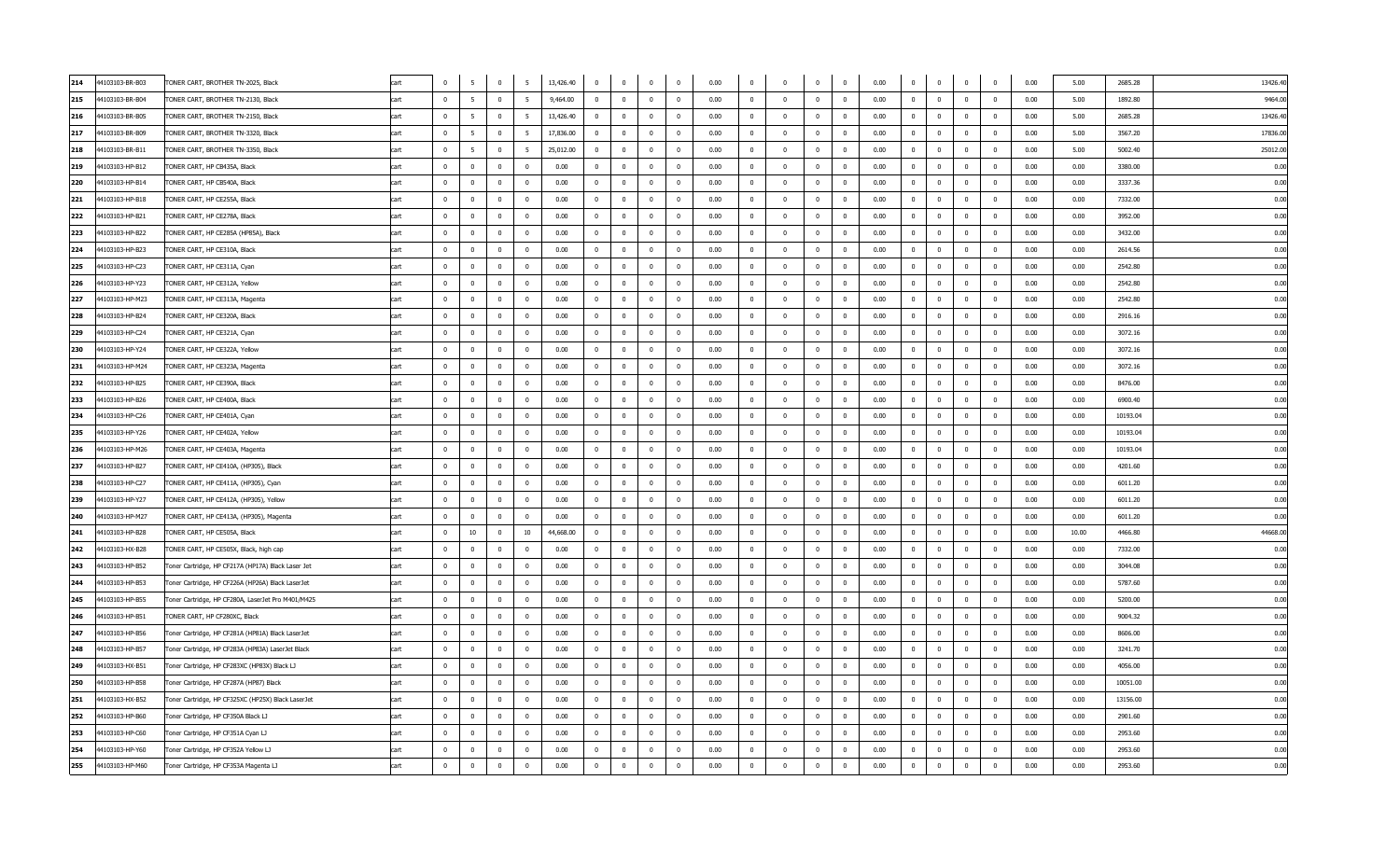| 214 | 44103103-BR-B03 | TONER CART, BROTHER TN-2025, Black                 | cart | $\Omega$                | 5                       | $\bf{0}$                | 5                       | 13,426.40 | $\overline{0}$          | $\overline{0}$ | $\overline{0}$          | $\overline{\mathbf{0}}$ | 0.00 | $\overline{0}$          | $\Omega$                | $\bf{0}$                | $\mathbf 0$    | 0.00 | $\overline{0}$ | $\mathbf 0$             | $\overline{0}$ | $\mathbf 0$    | 0.00 | 5.00  | 2685.28  | 13426.4 |
|-----|-----------------|----------------------------------------------------|------|-------------------------|-------------------------|-------------------------|-------------------------|-----------|-------------------------|----------------|-------------------------|-------------------------|------|-------------------------|-------------------------|-------------------------|----------------|------|----------------|-------------------------|----------------|----------------|------|-------|----------|---------|
| 215 | 44103103-BR-B04 | TONER CART, BROTHER TN-2130, Black                 | cart | $\overline{0}$          | 5                       | $\overline{0}$          | 5                       | 9,464.00  | $\overline{0}$          | $\mathbf 0$    | $\overline{0}$          | $\overline{\mathbf{0}}$ | 0.00 | $\mathbf{0}$            | $\overline{0}$          | $\overline{\mathbf{0}}$ | $\mathbf{0}$   | 0.00 | $\mathbf 0$    | $\mathbf{0}$            | $\mathbf{0}$   | $\overline{0}$ | 0.00 | 5.00  | 1892.80  | 9464.0  |
| 216 | 44103103-BR-B05 | TONER CART, BROTHER TN-2150, Black                 | cart | $\mathbf 0$             | $5\overline{5}$         | $\overline{0}$          | 5                       | 13,426.40 | $\overline{0}$          | $\mathbf{0}$   | $\overline{0}$          | $\overline{\mathbf{0}}$ | 0.00 | $\overline{0}$          | $\overline{0}$          | $\bf{0}$                | $\mathbf{0}$   | 0.00 | $\bf{0}$       | $\bf{0}$                | $\mathbf{0}$   | $\mathbf 0$    | 0.00 | 5.00  | 2685.28  | 13426.4 |
| 217 | 44103103-BR-B09 | TONER CART, BROTHER TN-3320, Black                 | cart | $\overline{0}$          | 5                       | $\overline{0}$          | -5                      | 17,836.00 | $\overline{0}$          | $\mathbf 0$    | $\mathbf{0}$            | $\overline{\mathbf{0}}$ | 0.00 | $\mathbf{0}$            | $\overline{0}$          | $\mathbf 0$             | $\mathbf{0}$   | 0.00 | $\mathbf{0}$   | $\mathbf 0$             | $\mathbf{0}$   | $\mathbf{0}$   | 0.00 | 5.00  | 3567.20  | 17836.0 |
| 218 | 44103103-BR-B11 | TONER CART, BROTHER TN-3350, Black                 | cart | $\mathbf{0}$            | 5                       | $\overline{0}$          | - 5                     | 25,012.00 | $\overline{0}$          | $\mathbf 0$    | $\overline{0}$          | $\overline{\mathbf{0}}$ | 0.00 | $\mathbf{0}$            | $\overline{0}$          | $\overline{\mathbf{0}}$ | $\overline{0}$ | 0.00 | $\mathbf{0}$   | $\mathbf 0$             | $\mathbf{0}$   | $\overline{0}$ | 0.00 | 5.00  | 5002.40  | 25012.0 |
| 219 | 44103103-HP-B12 | TONER CART, HP CB435A, Black                       | cart | $\overline{0}$          | $\mathbf 0$             | $\Omega$                | $\Omega$                | 0.00      | $\Omega$                | $\Omega$       | $\mathbf 0$             | $\overline{0}$          | 0.00 | $\Omega$                | $\overline{0}$          | $\overline{0}$          | $\Omega$       | 0.00 | $\Omega$       | $\Omega$                | $\Omega$       | $\Omega$       | 0.00 | 0.00  | 3380.00  | 0.00    |
| 220 | 44103103-HP-B14 | TONER CART, HP CB540A, Black                       | cart | $\overline{0}$          | $\Omega$                | $\Omega$                | $\Omega$                | 0.00      | $\Omega$                | $\Omega$       | $\Omega$                | $\overline{0}$          | 0.00 | $\Omega$                | $\Omega$                | $\overline{\mathbf{0}}$ | $\Omega$       | 0.00 | $\Omega$       | $\Omega$                | $\Omega$       | $\mathbf{0}$   | 0.00 | 0.00  | 3337.36  | 0.00    |
| 221 | 44103103-HP-B18 | TONER CART, HP CE255A, Black                       | cart | $\overline{0}$          | $\bf{0}$                | $\mathbf 0$             | $\overline{0}$          | 0.00      | $\mathbf{0}$            | $\mathbf{0}$   | $\overline{\mathbf{0}}$ | $\overline{\mathbf{0}}$ | 0.00 | $\overline{0}$          | $\overline{0}$          | $\overline{0}$          | $\mathbf 0$    | 0.00 | $\overline{0}$ | $\bf{0}$                | $\mathbf 0$    | $\mathbf 0$    | 0.00 | 0.00  | 7332.00  | 0.00    |
| 222 | 44103103-HP-B21 | TONER CART, HP CE278A, Black                       | cart | $\Omega$                | $\overline{0}$          | $\mathbf 0$             | $\overline{0}$          | 0.00      | $\overline{0}$          | $^{\circ}$     | $\overline{\mathbf{0}}$ | $\overline{\mathbf{0}}$ | 0.00 | $\mathbf{0}$            | $\overline{0}$          | $\overline{\mathbf{0}}$ | $\overline{0}$ | 0.00 | $\mathbf{0}$   | $\overline{0}$          | $^{\circ}$     | $\mathbf 0$    | 0.00 | 0.00  | 3952.00  | 0.00    |
| 223 | 44103103-HP-B22 | TONER CART, HP CE285A (HP85A), Black               | cart | $\overline{0}$          | $\mathbf{0}$            | $\mathbf 0$             | $\overline{0}$          | 0.00      | $\overline{0}$          | $^{\circ}$     | $\overline{\mathbf{0}}$ | $\overline{\mathbf{0}}$ | 0.00 | $\mathbf{0}$            | $\overline{0}$          | $\overline{0}$          | $\overline{0}$ | 0.00 | $\mathbf{0}$   | $\overline{0}$          | $\bf{0}$       | $\bf{0}$       | 0.00 | 0.00  | 3432.00  | 0.00    |
| 224 | 44103103-HP-B23 | TONER CART, HP CE310A, Black                       | cart | $\mathbf 0$             | $\bf{0}$                | $\mathbf 0$             | $\Omega$                | 0.00      | $\overline{\mathbf{0}}$ | $\Omega$       | $\overline{\mathbf{0}}$ | $\overline{\mathbf{0}}$ | 0.00 |                         | $\overline{0}$          | $\mathbf 0$             | $\Omega$       | 0.00 | 0              | $\mathbf 0$             | $\pmb{0}$      | $\pmb{0}$      | 0.00 | 0.00  | 2614.56  | 0.00    |
| 225 | 44103103-HP-C23 | TONER CART, HP CE311A, Cyan                        | cart | $\bf{0}$                | $\bf{0}$                | $\overline{0}$          | $\overline{0}$          | 0.00      | $\mathbf{0}$            | $\mathbf 0$    | $\overline{0}$          | $\overline{\mathbf{0}}$ | 0.00 | $\mathbf{0}$            | $\overline{0}$          | $\overline{0}$          | $\overline{0}$ | 0.00 | $\mathbf{0}$   | $\mathbf{0}$            | $\mathbf{0}$   | $\overline{0}$ | 0.00 | 0.00  | 2542.80  | 0.00    |
| 226 | 44103103-HP-Y23 | TONER CART, HP CE312A, Yellow                      | cart | $\mathbf 0$             | $\bf{0}$                | $\overline{0}$          | $\mathbf{0}$            | 0.00      | $\overline{0}$          | $\mathbf 0$    | $\overline{\mathbf{0}}$ | $\overline{\mathbf{0}}$ | 0.00 | $\mathbf{0}$            | $\overline{0}$          | $\bf{0}$                | $\overline{0}$ | 0.00 | $\mathbf 0$    | $\mathbf 0$             | $\mathbf 0$    | $\mathbf 0$    | 0.00 | 0.00  | 2542.80  | 0.00    |
| 227 | 44103103-HP-M23 | TONER CART, HP CE313A, Magenta                     | cart | $\Omega$                | $\mathbf 0$             | $\overline{0}$          | $\Omega$                | 0.00      | $\overline{0}$          | $\mathbf 0$    | $\overline{0}$          | $\overline{\mathbf{0}}$ | 0.00 | $\mathbf{0}$            | $\overline{0}$          | $\overline{\mathbf{0}}$ | $\Omega$       | 0.00 | $\mathbf{0}$   | $\mathbf 0$             | $\mathbf{0}$   | $\mathbf{0}$   | 0.00 | 0.00  | 2542.80  | 0.00    |
| 228 | 44103103-HP-B24 | TONER CART, HP CE320A, Black                       | cart | $\overline{0}$          | $\mathbf 0$             | $\overline{0}$          | $\mathbf{0}$            | 0.00      | $\overline{0}$          | $^{\circ}$     | $\overline{0}$          | $\overline{\mathbf{0}}$ | 0.00 | $\mathbf{0}$            | $\overline{0}$          | $\overline{0}$          | $\mathbf{0}$   | 0.00 | $^{\circ}$     | $^{\circ}$              | $\mathbf{0}$   | $\mathbf{0}$   | 0.00 | 0.00  | 2916.16  | 0.00    |
| 229 | 44103103-HP-C24 | TONER CART, HP CE321A, Cyan                        | cart | $\overline{0}$          | $\mathbf 0$             | $\Omega$                | $\overline{0}$          | 0.00      | $\Omega$                | $\Omega$       | $\overline{0}$          | $\bf{0}$                | 0.00 | $\Omega$                | $\overline{0}$          | $\overline{0}$          | $\Omega$       | 0.00 | $\Omega$       | $\Omega$                | $\mathbf{0}$   | $\Omega$       | 0.00 | 0.00  | 3072.16  | 0.00    |
| 230 | 44103103-HP-Y24 | TONER CART, HP CE322A, Yellow                      | cart | $\overline{0}$          | $\Omega$                | $\mathbf 0$             | $\overline{0}$          | 0.00      | $\overline{0}$          | $\Omega$       | $\overline{\mathbf{0}}$ | $\bf{0}$                | 0.00 | $\mathbf{0}$            | $\Omega$                | $\overline{0}$          | $\Omega$       | 0.00 | $\mathbf{0}$   | $\mathbf{0}$            | $^{\circ}$     | $\mathbf{0}$   | 0.00 | 0.00  | 3072.16  | 0.00    |
| 231 | 44103103-HP-M24 | TONER CART, HP CE323A, Magenta                     | cart | $\mathbf{0}$            | $\bf{0}$                | $\overline{\mathbf{0}}$ | $^{\circ}$              | 0.00      | $\overline{\mathbf{0}}$ | $^{\circ}$     | $\overline{\mathbf{0}}$ | $\overline{\mathbf{0}}$ | 0.00 | $\mathbf{0}$            | $\overline{\mathbf{0}}$ | $\mathbf 0$             | $^{\circ}$     | 0.00 | $\mathbf 0$    | $\mathbf 0$             | $\mathbf 0$    | $\mathbf 0$    | 0.00 | 0.00  | 3072.16  | 0.00    |
| 232 | 44103103-HP-B25 | TONER CART, HP CE390A, Black                       | cart | $\Omega$                | $\overline{0}$          | $\overline{0}$          | $\overline{0}$          | 0.00      | $\overline{0}$          | $\mathbf{0}$   | $\overline{\mathbf{0}}$ | $\overline{0}$          | 0.00 | $\mathbf{0}$            | $\overline{0}$          | $\overline{0}$          | $\mathbf{0}$   | 0.00 | $\overline{0}$ | $\overline{0}$          | $^{\circ}$     | $\overline{0}$ | 0.00 | 0.00  | 8476.00  | 0.00    |
| 233 | 44103103-HP-B26 | TONER CART, HP CE400A, Black                       | cart | $\overline{0}$          | $\mathbf{0}$            | $\overline{0}$          | $\Omega$                | 0.00      | $\overline{0}$          | $^{\circ}$     | $\overline{\mathbf{0}}$ | $\overline{0}$          | 0.00 | $\overline{\mathbf{0}}$ | $\overline{0}$          | $\mathbf 0$             | $\mathbf{0}$   | 0.00 | $\mathbf 0$    | $\overline{0}$          | $\mathbf 0$    | $\bf{0}$       | 0.00 | 0.00  | 6900.40  | 0.00    |
| 234 | 44103103-HP-C26 | TONER CART, HP CE401A, Cyan                        | cart | $\overline{0}$          | $\bf{0}$                | $\overline{0}$          | $\overline{0}$          | 0.00      | $\overline{0}$          | $\mathbf 0$    | $\overline{\mathbf{0}}$ | $\overline{0}$          | 0.00 | $\overline{0}$          | $\overline{0}$          | $\overline{0}$          | $\overline{0}$ | 0.00 | $\overline{0}$ | $\bf{0}$                | $\overline{0}$ | $\mathbf 0$    | 0.00 | 0.00  | 10193.04 | 0.00    |
| 235 | 44103103-HP-Y26 | TONER CART, HP CE402A, Yellow                      | cart | $\overline{0}$          | $\mathbf 0$             | $\overline{0}$          | $\overline{0}$          | 0.00      | $\overline{0}$          | $^{\circ}$     | $\overline{\mathbf{0}}$ | $\overline{0}$          | 0.00 | $\overline{0}$          | $\overline{0}$          | $\overline{0}$          | $\overline{0}$ | 0.00 | $\mathbf{0}$   | $\bf{0}$                | $\overline{0}$ | $\overline{0}$ | 0.00 | 0.00  | 10193.04 | 0.00    |
| 236 | 44103103-HP-M26 | TONER CART, HP CE403A, Magenta                     | cart | $\mathbf 0$             | $\bf{0}$                | $\overline{0}$          | $\mathbf 0$             | 0.00      | $\overline{0}$          | $\mathbf 0$    | $\overline{0}$          | $\bf{0}$                | 0.00 | $\bf{0}$                | $\overline{0}$          | $\bf{0}$                | $\overline{0}$ | 0.00 | $\mathbf 0$    | $\overline{0}$          | $\mathbf 0$    | $\mathbf 0$    | 0.00 | 0.00  | 10193.04 | 0.00    |
| 237 | 44103103-HP-B27 | TONER CART, HP CE410A, (HP305), Black              | cart | $\overline{0}$          | $\mathbf 0$             | $\Omega$                | $\Omega$                | 0.00      | $\overline{0}$          | $\Omega$       | $\overline{\mathbf{0}}$ | $\overline{\mathbf{0}}$ | 0.00 | $^{\circ}$              | $\overline{0}$          | $\overline{0}$          | $\Omega$       | 0.00 | $\mathbf 0$    | $\overline{0}$          | $\mathbf 0$    | $\mathbf{0}$   | 0.00 | 0.00  | 4201.60  | 0.00    |
| 238 | 44103103-HP-C27 | TONER CART, HP CE411A, (HP305), Cyan               | cart | $\mathbf{0}$            | $\mathbf 0$             | $\overline{0}$          | $\overline{0}$          | 0.00      | $\overline{0}$          | $^{\circ}$     | $\overline{\mathbf{0}}$ | $\overline{\mathbf{0}}$ | 0.00 | $\mathbf{0}$            | $\overline{0}$          | $\overline{\mathbf{0}}$ | $\overline{0}$ | 0.00 | $\mathbf{0}$   | $\overline{0}$          | $\mathbf{0}$   | $\mathbf{0}$   | 0.00 | 0.00  | 6011.20  | 0.00    |
| 239 | 44103103-HP-Y27 | TONER CART, HP CE412A, (HP305), Yellow             | cart | $\overline{0}$          | $\Omega$                | $\Omega$                | $\overline{0}$          | 0.00      | $\Omega$                | $\Omega$       | $\overline{0}$          | $\overline{0}$          | 0.00 | $\overline{0}$          | $\overline{0}$          | $\overline{0}$          | $\Omega$       | 0.00 | $\Omega$       | $\overline{0}$          | $\Omega$       | $\Omega$       | 0.00 | 0.00  | 6011.20  | 0.00    |
| 240 | 44103103-HP-M27 | TONER CART, HP CE413A, (HP305), Magenta            | cart | $\Omega$                | $\Omega$                | $\overline{0}$          | $\Omega$                | 0.00      | $\overline{0}$          | $\Omega$       | $\overline{\mathbf{0}}$ | $\overline{0}$          | 0.00 | $\mathbf{0}$            | $\overline{0}$          | $\mathbf 0$             | $\Omega$       | 0.00 | $\mathbf{0}$   | $\Omega$                | $^{\circ}$     | $\mathbf{0}$   | 0.00 | 0.00  | 6011.20  | 0.00    |
| 241 | 44103103-HP-B28 | TONER CART, HP CE505A, Black                       | cart | $\mathbf{0}$            | 10                      | $\overline{\mathbf{0}}$ | 10                      | 44,668.00 | $\overline{\mathbf{0}}$ | $^{\circ}$     | $\overline{\mathbf{0}}$ | $\overline{\mathbf{0}}$ | 0.00 | $\mathbf{0}$            | $\overline{0}$          | $\overline{0}$          | $\mathbf 0$    | 0.00 | $\mathbf 0$    | $\overline{\mathbf{0}}$ | $\mathbf 0$    | $\mathbf 0$    | 0.00 | 10.00 | 4466.80  | 44668.0 |
| 242 | 44103103-HX-B28 | TONER CART, HP CE505X, Black, high cap             | cart | $\Omega$                | $\overline{0}$          | $\overline{\mathbf{0}}$ | $\Omega$                | 0.00      | $\Omega$                | $\Omega$       | $\overline{\mathbf{0}}$ | $\overline{0}$          | 0.00 | $\overline{\mathbf{0}}$ | $\overline{0}$          | $\overline{0}$          | $\Omega$       | 0.00 | $\mathbf{0}$   | $\overline{0}$          | $\mathbf{0}$   | $\bf{0}$       | 0.00 | 0.00  | 7332.00  | 0.00    |
| 243 | 44103103-HP-B52 | Toner Cartridge, HP CF217A (HP17A) Black Laser Jet | cart | $\overline{0}$          | $\mathbf{0}$            | $\mathbf 0$             | $\overline{0}$          | 0.00      | $\overline{0}$          | $^{\circ}$     | $\overline{\mathbf{0}}$ | $\overline{\mathbf{0}}$ | 0.00 | $\overline{0}$          | $\overline{0}$          | $\overline{0}$          | $\mathbf{0}$   | 0.00 | $\mathbf{0}$   | $\overline{0}$          | $\bf{0}$       | $\mathbf 0$    | 0.00 | 0.00  | 3044.08  | 0.00    |
| 244 | 44103103-HP-B53 | Toner Cartridge, HP CF226A (HP26A) Black LaserJet  | cart | $\overline{0}$          | $\bf{0}$                | $\overline{0}$          | $\overline{0}$          | 0.00      | $\overline{0}$          | $^{\circ}$     | $\overline{\mathbf{0}}$ | $\overline{0}$          | 0.00 | $\overline{0}$          | $\overline{0}$          | $\overline{0}$          | $\overline{0}$ | 0.00 | $\mathbf 0$    | $\overline{0}$          | $\overline{0}$ | $\overline{0}$ | 0.00 | 0.00  | 5787.60  | 0.00    |
| 245 | 44103103-HP-B55 | Toner Cartridge, HP CF280A, LaserJet Pro M401/M425 | cart | $\bf{0}$                | $\mathbf 0$             | $\overline{0}$          | $\overline{0}$          | 0.00      | $\overline{0}$          | $\mathbf 0$    | $\overline{\mathbf{0}}$ | $\overline{\mathbf{0}}$ | 0.00 | $\mathbf{0}$            | $\overline{0}$          | $\overline{0}$          | $\overline{0}$ | 0.00 | $\mathbf{0}$   | $\mathbf{0}$            | $\mathbf{0}$   | $\mathbf{0}$   | 0.00 | 0.00  | 5200.00  | 0.00    |
| 246 | 44103103-HP-B51 | TONER CART, HP CF280XC, Black                      | cart | $\mathbf 0$             | $\bf{0}$                | $\overline{0}$          | $\overline{0}$          | 0.00      | $\overline{0}$          | $\mathbf 0$    | $\mathbf 0$             | $\overline{\mathbf{0}}$ | 0.00 | $\mathbf{0}$            | $\overline{0}$          | $\mathbf 0$             | $\overline{0}$ | 0.00 | $\mathbf 0$    | $\overline{0}$          | $\mathbf 0$    | $\overline{0}$ | 0.00 | 0.00  | 9004.32  | 0.00    |
| 247 | 44103103-HP-B56 | Toner Cartridge, HP CF281A (HP81A) Black LaserJet  | cart | $\bf{0}$                | $\mathbf 0$             | $\overline{0}$          | $\Omega$                | 0.00      | $\overline{0}$          | $\Omega$       | $\overline{\mathbf{0}}$ | $\overline{\mathbf{0}}$ | 0.00 | $\mathbf{0}$            | $\overline{0}$          | $\overline{\mathbf{0}}$ | $\Omega$       | 0.00 | $\mathbf 0$    | $\mathbf 0$             | $\mathbf{0}$   | $\mathbf{0}$   | 0.00 | 0.00  | 8606.00  | 0.00    |
| 248 | 44103103-HP-B57 | Toner Cartridge, HP CF283A (HP83A) LaserJet Black  | cart | $\bf{0}$                | $\mathbf 0$             | $\overline{0}$          | $\overline{0}$          | 0.00      | $\mathbf{0}$            | $\mathbf{0}$   | $\overline{0}$          | $\overline{\mathbf{0}}$ | 0.00 | $\mathbf{0}$            | $\overline{0}$          | $\overline{0}$          | $\overline{0}$ | 0.00 | $\mathbf{0}$   | $\mathbf 0$             | $\mathbf{0}$   | $\mathbf{0}$   | 0.00 | 0.00  | 3241.70  | 0.00    |
| 249 | 44103103-HX-B51 | Toner Cartridge, HP CF283XC (HP83X) Black LJ       | cart | $\overline{0}$          | $\Omega$                | $\Omega$                | $\Omega$                | 0.00      | $\Omega$                | $\Omega$       | $\overline{0}$          | $\overline{0}$          | 0.00 | $\Omega$                | $\Omega$                | $\overline{0}$          | $\Omega$       | 0.00 | $\Omega$       | $\Omega$                | $\overline{0}$ | $\Omega$       | 0.00 | 0.00  | 4056.00  | 0.00    |
| 250 | 44103103-HP-B58 | Toner Cartridge, HP CF287A (HP87) Black            | cart | $\Omega$                | $\overline{0}$          | $\overline{0}$          | $\overline{0}$          | 0.00      | $\overline{0}$          | $\Omega$       | $\overline{0}$          | $\overline{0}$          | 0.00 | $^{\circ}$              | $\overline{0}$          | $\overline{\mathbf{0}}$ | $\Omega$       | 0.00 | $^{\circ}$     | $^{\circ}$              | $^{\circ}$     | $^{\circ}$     | 0.00 | 0.00  | 10051.00 | 0.00    |
| 251 | 44103103-HX-B52 | Toner Cartridge, HP CF325XC (HP25X) Black LaserJet | cart | $\overline{\mathbf{0}}$ | $\overline{\mathbf{0}}$ | $\overline{0}$          | $\overline{\mathbf{0}}$ | 0.00      | $\overline{0}$          | $\Omega$       | $\overline{\mathbf{0}}$ | $\overline{\mathbf{0}}$ | 0.00 | $\overline{\mathbf{0}}$ | $\overline{\mathbf{0}}$ | $\overline{\mathbf{0}}$ | $^{\circ}$     | 0.00 | $\mathbf 0$    | $\mathbf 0$             | $\mathbf 0$    | $\mathbf 0$    | 0.00 | 0.00  | 13156.00 | 0.00    |
| 252 | 44103103-HP-B60 | Toner Cartridge, HP CF350A Black LJ                | cart | $\Omega$                | $\overline{0}$          | $\overline{0}$          | $\overline{0}$          | 0.00      | $\overline{0}$          | $\mathbf{0}$   | $\overline{0}$          | $\overline{\mathbf{0}}$ | 0.00 | $\overline{0}$          | $\overline{0}$          | $\overline{0}$          | $\mathbf{0}$   | 0.00 | $^{\circ}$     | $\overline{0}$          | $^{\circ}$     | $^{\circ}$     | 0.00 | 0.00  | 2901.60  | 0.00    |
| 253 | 44103103-HP-C60 | Toner Cartridge, HP CF351A Cyan LJ                 | cart | $\overline{0}$          | $\mathbf{0}$            | $\mathbf 0$             | $\mathbf{0}$            | 0.00      | $\overline{0}$          | $^{\circ}$     | $\overline{\mathbf{0}}$ | $\overline{\mathbf{0}}$ | 0.00 | $\overline{0}$          | $\overline{0}$          | $\mathbf 0$             | $\mathbf{0}$   | 0.00 | $\mathbf 0$    | $\overline{0}$          | $\bf{0}$       | $\mathbf 0$    | 0.00 | 0.00  | 2953.60  | 0.00    |
| 254 | 44103103-HP-Y60 | Toner Cartridge, HP CF352A Yellow LJ               | cart | $\overline{0}$          | $\bf{0}$                | $\mathbf 0$             | $\overline{0}$          | 0.00      | $\overline{0}$          | $\mathbf 0$    | $\overline{\mathbf{0}}$ | $\overline{0}$          | 0.00 | $\overline{0}$          | $\overline{0}$          | $\overline{\mathbf{0}}$ | $\overline{0}$ | 0.00 | $\overline{0}$ | $\bf{0}$                | $\overline{0}$ | $\mathbf 0$    | 0.00 | 0.00  | 2953.60  | 0.00    |
| 255 | 44103103-HP-M60 | Toner Cartridge, HP CF353A Magenta LJ              | cart | $\overline{0}$          | $\mathbf{0}$            | $\mathbf 0$             | $\overline{0}$          | 0.00      | $\mathbf 0$             | $\mathbf 0$    | $\mathbf{0}$            | $\overline{\mathbf{0}}$ | 0.00 | $^{\circ}$              | $\overline{0}$          | $\overline{0}$          | $\overline{0}$ | 0.00 | $\mathbf{0}$   | $\overline{0}$          | $\mathbf{0}$   | $\mathbf{0}$   | 0.00 | 0.00  | 2953.60  | 0.00    |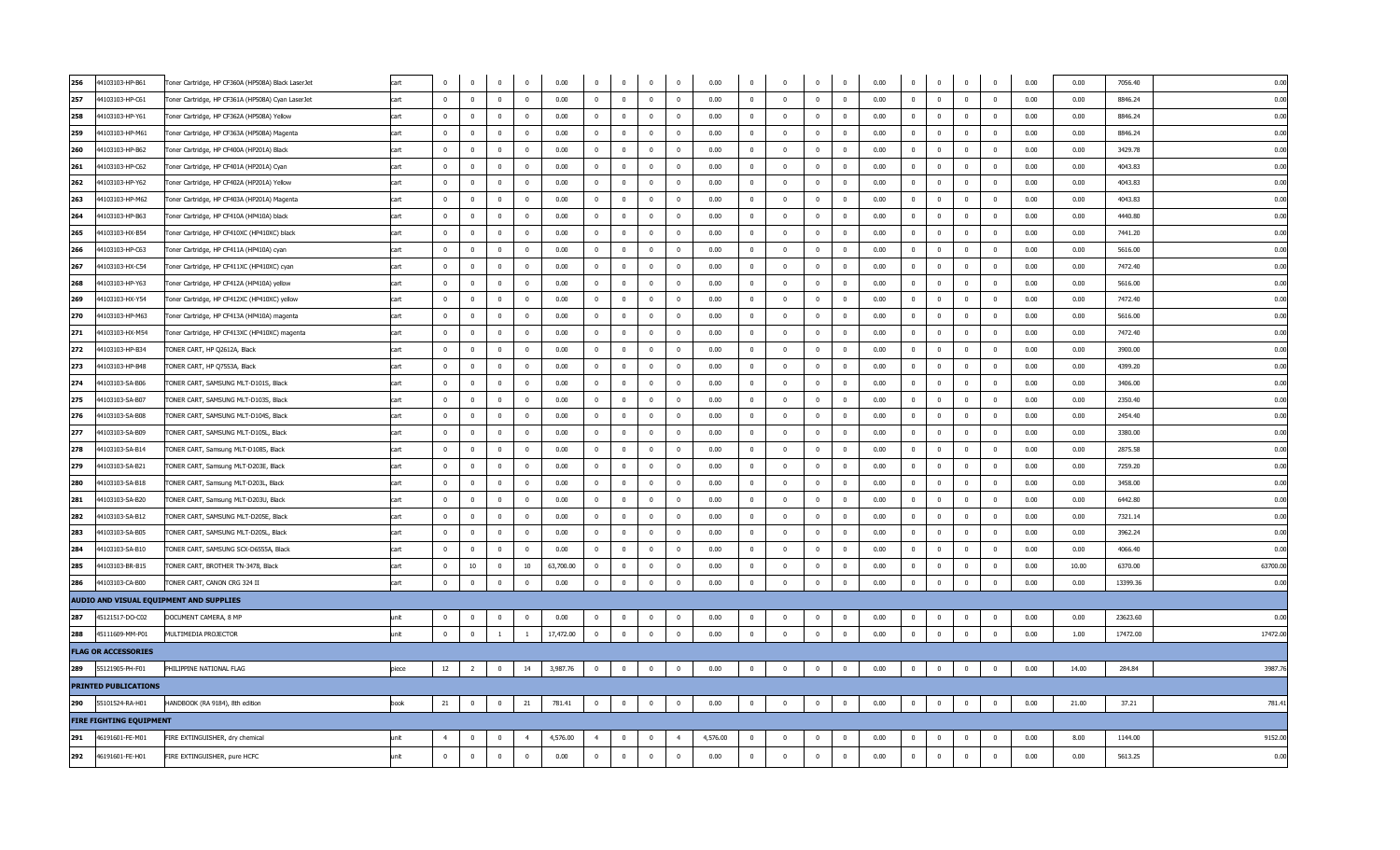| 256                            | 44103103-HP-B61 | Toner Cartridge, HP CF360A (HP508A) Black LaserJet | cart  |                | $\Omega$                | $\mathbf 0$             | $\Omega$       | 0.00      | $\bf{0}$       | $\bf{0}$       | $\Omega$                | $\mathbf 0$             | 0.00     | $\bf{0}$     | $\Omega$                | $\Omega$       | $\mathbf 0$    | 0.00 | $\bf{0}$       | $\mathbf 0$    | $\mathbf 0$             | $\Omega$                 | 0.00 | 0.00  | 7056.40  | 0.00     |
|--------------------------------|-----------------|----------------------------------------------------|-------|----------------|-------------------------|-------------------------|----------------|-----------|----------------|----------------|-------------------------|-------------------------|----------|--------------|-------------------------|----------------|----------------|------|----------------|----------------|-------------------------|--------------------------|------|-------|----------|----------|
| 257                            | 44103103-HP-C61 | Toner Cartridge, HP CF361A (HP508A) Cyan LaserJet  | cart  | $\Omega$       | $\mathbf 0$             | $\overline{\mathbf{0}}$ | $\mathbf{0}$   | 0.00      | $\mathbf 0$    | $\mathbf{0}$   | $\mathbf{0}$            | $\mathbf 0$             | 0.00     | $\mathbf 0$  | $\Omega$                | $\mathbf{0}$   | $\mathbf 0$    | 0.00 | $\mathbf 0$    | $\mathbf{0}$   | $\mathbf 0$             | $\overline{0}$           | 0.00 | 0.00  | 8846.24  | 0.00     |
| 258                            | 44103103-HP-Y61 | Toner Cartridge, HP CF362A (HP508A) Yellow         | cart  | $\Omega$       | $\mathbf{0}$            | $\overline{\mathbf{0}}$ | $\Omega$       | 0.00      | $\Omega$       | $\Omega$       | $\overline{\mathbf{0}}$ | $\Omega$                | 0.00     | $\Omega$     | $\Omega$                | $\Omega$       | $\mathbf 0$    | 0.00 | $\mathbf 0$    | $\mathbf 0$    | $\overline{0}$          | $\overline{\mathbf{0}}$  | 0.00 | 0.00  | 8846.24  | 0.00     |
| 259                            | 44103103-HP-M61 | Toner Cartridge, HP CF363A (HP508A) Magenta        | cart  | $^{\circ}$     | $\overline{0}$          | $\overline{0}$          | $\overline{0}$ | 0.00      | $\overline{0}$ | $\overline{0}$ | $\overline{0}$          | $\overline{0}$          | 0.00     | $\bf{0}$     | $\overline{0}$          | $\overline{0}$ | $\bf{0}$       | 0.00 | $\overline{0}$ | $\overline{0}$ | $\overline{0}$          | $\overline{\mathbf{0}}$  | 0.00 | 0.00  | 8846.24  | 0.00     |
| 260                            | 44103103-HP-B62 | Toner Cartridge, HP CF400A (HP201A) Black          | cart  | $\Omega$       | $\overline{0}$          | $\overline{0}$          | $\Omega$       | 0.00      | $\mathbf{0}$   | $\overline{0}$ | $\overline{0}$          | $\overline{0}$          | 0.00     | $\bf{0}$     | $\Omega$                | $\overline{0}$ | $\bf{0}$       | 0.00 | $\mathbf 0$    | $\overline{0}$ | $\overline{0}$          | $\overline{0}$           | 0.00 | 0.00  | 3429.78  | 0.00     |
| 261                            | 44103103-HP-C62 | Toner Cartridge, HP CF401A (HP201A) Cyan           | cart  | $\mathbf 0$    | $\bf{0}$                | $\overline{\mathbf{0}}$ | $\mathbf 0$    | 0.00      | $\bf{0}$       | $\mathbf 0$    | $\overline{\mathbf{0}}$ | $\overline{0}$          | 0.00     | $\bf{0}$     | $\overline{0}$          | $\overline{0}$ | $\bf{0}$       | 0.00 | $\bf{0}$       | $\bf{0}$       | $\bf{0}$                | $\overline{\mathbf{0}}$  | 0.00 | 0.00  | 4043.83  | 0.00     |
| 262                            | 44103103-HP-Y62 | Toner Cartridge, HP CF402A (HP201A) Yellow         | cart  | $\overline{0}$ | $\bf{0}$                | $\overline{0}$          | $\mathbf{0}$   | 0.00      | $\mathbf 0$    | $\overline{0}$ | $\overline{0}$          | $\overline{0}$          | 0.00     | $\mathbf{0}$ | $\overline{0}$          | $\overline{0}$ | $\bf{0}$       | 0.00 | $\mathbf 0$    | $\mathbf 0$    | $\mathbf 0$             | $\overline{\mathbf{0}}$  | 0.00 | 0.00  | 4043.83  | 0.00     |
| 263                            | 44103103-HP-M62 | Toner Cartridge, HP CF403A (HP201A) Magenta        | cart  | $\Omega$       | $\bf{0}$                | $\overline{0}$          | $\Omega$       | 0.00      | $\bf{0}$       | $\bf{0}$       | $\overline{\mathbf{0}}$ | $\mathbf 0$             | 0.00     | $\Omega$     | $\Omega$                | $\mathbf{0}$   | $\mathbf 0$    | 0.00 | $\Omega$       | $\bf{0}$       | $\bf{0}$                | $\overline{\mathbf{0}}$  | 0.00 | 0.00  | 4043.83  | 0.00     |
| 264                            | 44103103-HP-B63 | Toner Cartridge, HP CF410A (HP410A) black          | cart  | $\mathbf{0}$   | $\mathbf{0}$            | $\overline{\mathbf{0}}$ | $\overline{0}$ | 0.00      | $\mathbf 0$    | $\mathbf{0}$   | $\overline{0}$          | $\mathbf 0$             | 0.00     | $\mathbf 0$  | $\mathbf 0$             | $\mathbf{0}$   | $\mathbf 0$    | 0.00 | $\mathbf 0$    | $\mathbf 0$    | $\mathbf{0}$            | $\overline{\mathbf{0}}$  | 0.00 | 0.00  | 4440.80  | 0.00     |
| 265                            | 44103103-HX-B54 | Toner Cartridge, HP CF410XC (HP410XC) black        | cart  | $\Omega$       | $\mathbf{0}$            | $\overline{\mathbf{0}}$ | $\Omega$       | 0.00      | $\Omega$       | $\overline{0}$ | $\Omega$                | $\Omega$                | 0.00     | $\mathbf 0$  | $\Omega$                | $\Omega$       | $\Omega$       | 0.00 | $\overline{0}$ | $\Omega$       | $\mathbf 0$             | $\overline{\mathbf{0}}$  | 0.00 | 0.00  | 7441.20  | 0.00     |
| 266                            | 44103103-HP-C63 | Toner Cartridge, HP CF411A (HP410A) cyan           | cart  | $\Omega$       | $\overline{0}$          | $\overline{0}$          | $\mathbf{0}$   | 0.00      | $^{\circ}$     | $\mathbf{0}$   | $\overline{0}$          | $\overline{0}$          | 0.00     | $\mathbf{0}$ | $\Omega$                | $\mathbf{0}$   | $^{\circ}$     | 0.00 | $\bf{0}$       | $\overline{0}$ | $\overline{0}$          | $\overline{0}$           | 0.00 | 0.00  | 5616.00  | 0.00     |
| 267                            | 44103103-HX-C54 | Toner Cartridge, HP CF411XC (HP410XC) cyan         | cart  | $\Omega$       | $\overline{0}$          | $\overline{\mathbf{0}}$ | $\Omega$       | 0.00      | $\mathbf{0}$   | $\overline{0}$ | $\overline{\mathbf{0}}$ | $\Omega$                | 0.00     | $\mathbf{0}$ | $\Omega$                | $\overline{0}$ | $\mathbf 0$    | 0.00 | 0              | $\mathbf 0$    | $\overline{0}$          | $\overline{\phantom{0}}$ | 0.00 | 0.00  | 7472.40  | 0.00     |
| 268                            | 44103103-HP-Y63 | Toner Cartridge, HP CF412A (HP410A) yellow         | cart  | $\overline{0}$ | $\bf{0}$                | $\overline{\mathbf{0}}$ | $\mathbf 0$    | 0.00      | $\bf{0}$       | $\overline{0}$ | $\overline{\mathbf{0}}$ | $\overline{0}$          | 0.00     | $\bf{0}$     | $\overline{\mathbf{0}}$ | $\overline{0}$ | $\bf{0}$       | 0.00 | $\bf{0}$       | $\bf{0}$       | $\bf{0}$                | $\overline{\mathbf{0}}$  | 0.00 | 0.00  | 5616.00  | 0.00     |
| 269                            | 44103103-HX-Y54 | Toner Cartridge, HP CF412XC (HP410XC) yellow       | cart  | $\overline{0}$ | $\bf{0}$                | $\overline{\mathbf{0}}$ | $\mathbf{0}$   | 0.00      | $\mathbf 0$    | $\mathbf{0}$   | $\overline{\mathbf{0}}$ | $\mathbf 0$             | 0.00     | $\bf{0}$     | $\overline{0}$          | $\mathbf{0}$   | $\bf{0}$       | 0.00 | $\overline{0}$ | $\mathbf 0$    | $\mathbf 0$             | $\overline{\mathbf{0}}$  | 0.00 | 0.00  | 7472.40  | 0.00     |
| 270                            | 44103103-HP-M63 | Toner Cartridge, HP CF413A (HP410A) magenta        | cart  | $\Omega$       | $\bf{0}$                | $\overline{0}$          | $\Omega$       | 0.00      | $\Omega$       | $\bf{0}$       | $\overline{\mathbf{0}}$ | $\Omega$                | 0.00     | $\bf{0}$     | $\Omega$                | $\mathbf 0$    | $\mathbf 0$    | 0.00 | $\bf{0}$       | $\bf{0}$       | $\mathbf 0$             | $\overline{0}$           | 0.00 | 0.00  | 5616.00  | 0.00     |
| 271                            | 44103103-HX-M54 | Toner Cartridge, HP CF413XC (HP410XC) magenta      | cart  | $\overline{0}$ | $\mathbf 0$             | $\overline{\mathbf{0}}$ | $\Omega$       | 0.00      | $\mathbf{0}$   | $\overline{0}$ | $\overline{0}$          | $\mathbf 0$             | 0.00     | $\mathbf{0}$ | $\Omega$                | $\mathbf{0}$   | $^{\circ}$     | 0.00 | $\mathbf 0$    | $\mathbf 0$    | $\mathbf 0$             | $\overline{\mathbf{0}}$  | 0.00 | 0.00  | 7472.40  | 0.00     |
| 272                            | 44103103-HP-B34 | TONER CART, HP Q2612A, Black                       | cart  | $\Omega$       | $\mathbf{0}$            | $\overline{0}$          | $\Omega$       | 0.00      | $\Omega$       | $\Omega$       | $\overline{0}$          | $\Omega$                | 0.00     | $\Omega$     | $\Omega$                | $\Omega$       | $\overline{0}$ | 0.00 | $\Omega$       | $\overline{0}$ | $\Omega$                | $\overline{\mathbf{0}}$  | 0.00 | 0.00  | 3900.00  | 0.00     |
| 273                            | 44103103-HP-B48 | TONER CART, HP Q7553A, Black                       | cart  | $\mathbf{0}$   | $\mathbf 0$             | $\overline{\mathbf{0}}$ | $\mathbf{0}$   | 0.00      | $\mathbf{0}$   | $\mathbf{0}$   | $\overline{0}$          | $\overline{\mathbf{0}}$ | 0.00     | $\bf{0}$     | $\Omega$                | $\mathbf{0}$   | $\mathbf 0$    | 0.00 | $\mathbf{0}$   | $\mathbf 0$    | $\mathbf{0}$            | $\overline{\mathbf{0}}$  | 0.00 | 0.00  | 4399.20  | 0.00     |
| 274                            | 44103103-SA-B06 | TONER CART, SAMSUNG MLT-D101S, Black               | cart  | $^{\circ}$     | $\overline{\mathbf{0}}$ | $\overline{0}$          | $\mathbf{0}$   | 0.00      | $\mathbf{0}$   | $\mathbf 0$    | $\overline{\mathbf{0}}$ | $\overline{0}$          | 0.00     | $\mathbf 0$  | $\Omega$                | $\overline{0}$ | $\mathbf 0$    | 0.00 | $\mathbf 0$    | $\overline{0}$ | $\mathbf 0$             | $\overline{0}$           | 0.00 | 0.00  | 3406.00  | 0.00     |
| 275                            | 44103103-SA-B07 | TONER CART, SAMSUNG MLT-D103S, Black               | cart  | $\mathbf 0$    | $\bf{0}$                | $\overline{\mathbf{0}}$ | $\overline{0}$ | 0.00      | $\bf{0}$       | $\overline{0}$ | $\overline{\mathbf{0}}$ | $\overline{0}$          | 0.00     | $\mathbf{0}$ | $\overline{\mathbf{0}}$ | $\overline{0}$ | $\bf{0}$       | 0.00 | $\overline{0}$ | $\bf{0}$       | $\bf{0}$                | $\overline{\phantom{0}}$ | 0.00 | 0.00  | 2350.40  | 0.00     |
| 276                            | 44103103-SA-B08 | TONER CART, SAMSUNG MLT-D104S, Black               | cart  | $\mathbf{0}$   | $\mathbf 0$             | $\overline{0}$          | $\mathbf{0}$   | 0.00      | $\mathbf 0$    | $\overline{0}$ | $\overline{0}$          | $\overline{0}$          | 0.00     | $\mathbf{0}$ | $\overline{0}$          | $\overline{0}$ | $\overline{0}$ | 0.00 | $\overline{0}$ | $\mathbf 0$    | $\mathbf 0$             | $\overline{\mathbf{0}}$  | 0.00 | 0.00  | 2454.40  | 0.00     |
| 277                            | 44103103-SA-B09 | TONER CART, SAMSUNG MLT-D105L, Black               | cart  | $\Omega$       | $\bf{0}$                | $\overline{\mathbf{0}}$ | $\Omega$       | 0.00      | $\Omega$       | $\Omega$       | $\overline{\mathbf{0}}$ | $\Omega$                | 0.00     | $\mathbf{0}$ | $\Omega$                | $\Omega$       | $\mathbf 0$    | 0.00 | $\mathbf 0$    | $\bf{0}$       | $\mathbf 0$             | $\overline{\mathbf{0}}$  | 0.00 | 0.00  | 3380.00  | 0.00     |
| 278                            | 44103103-SA-B14 | TONER CART, Samsung MLT-D108S, Black               | cart  | $\mathbf{0}$   | $\mathbf{0}$            | $\overline{\mathbf{0}}$ | $\mathbf{0}$   | 0.00      | $\mathbf 0$    | $\mathbf{0}$   | $\mathbf{0}$            | $\overline{0}$          | 0.00     | $\mathbf 0$  | $\overline{0}$          | $\mathbf{0}$   | $\mathbf 0$    | 0.00 | $\mathbf{0}$   | $\mathbf 0$    | $\mathbf{0}$            | $\overline{0}$           | 0.00 | 0.00  | 2875.58  | 0.00     |
| 279                            | 44103103-SA-B21 | TONER CART, Samsung MLT-D203E, Black               | cart  | $\Omega$       | $\overline{0}$          | $\overline{0}$          | $\Omega$       | 0.00      | $\Omega$       | $\overline{0}$ | $\overline{0}$          | $\Omega$                | 0.00     | $\Omega$     | $\Omega$                | $\Omega$       | $\Omega$       | 0.00 | $\Omega$       | $\overline{0}$ | $\overline{0}$          | $\overline{0}$           | 0.00 | 0.00  | 7259.20  | 0.00     |
| 280                            | 44103103-SA-B18 | TONER CART, Samsung MLT-D203L, Black               | cart  | $\Omega$       | $\bf{0}$                | $\overline{0}$          | $\overline{0}$ | 0.00      | $\mathbf{0}$   | $\mathbf{0}$   | $\overline{\mathbf{0}}$ | $\overline{0}$          | 0.00     | $^{\circ}$   | $\Omega$                | $\mathbf{0}$   | $^{\circ}$     | 0.00 | 0              | $\overline{0}$ | $\mathbf{0}$            | $\overline{0}$           | 0.00 | 0.00  | 3458.00  | 0.00     |
| 281                            | 44103103-SA-B20 | TONER CART, Samsung MLT-D203U, Black               | cart  | $\mathbf{0}$   | $\overline{\mathbf{0}}$ | $\overline{0}$          | $\Omega$       | 0.00      | $\mathbf{0}$   | $\overline{0}$ | $\overline{0}$          | $\overline{0}$          | 0.00     | $\mathbf{0}$ | $\overline{0}$          | $\overline{0}$ | $\mathbf 0$    | 0.00 | $\mathbf 0$    | $\mathbf 0$    | $\overline{\mathbf{0}}$ | $\overline{\phantom{0}}$ | 0.00 | 0.00  | 6442.80  | 0.00     |
| 282                            | 44103103-SA-B12 | TONER CART, SAMSUNG MLT-D205E, Black               | cart  | $\overline{0}$ | $\bf{0}$                | $\overline{0}$          | $\overline{0}$ | 0.00      | $\bf{0}$       | $\overline{0}$ | $\overline{\mathbf{0}}$ | $\overline{0}$          | 0.00     | $\bf{0}$     | $\overline{0}$          | $\overline{0}$ | $\bf{0}$       | 0.00 | $\bf{0}$       | $\bf{0}$       | $\bf{0}$                | $\overline{\mathbf{0}}$  | 0.00 | 0.00  | 7321.14  | 0.00     |
| 283                            | 44103103-SA-B05 | TONER CART, SAMSUNG MLT-D205L, Black               | cart  | $\overline{0}$ | $\overline{0}$          | $\overline{\mathbf{0}}$ | $\mathbf{0}$   | 0.00      | $\mathbf 0$    | $\mathbf{0}$   | $\overline{0}$          | $\mathbf 0$             | 0.00     | $\mathbf 0$  | $\overline{0}$          | $\overline{0}$ | $\bf{0}$       | 0.00 | $\overline{0}$ | $\mathbf 0$    | $\mathbf 0$             | $\overline{\mathbf{0}}$  | 0.00 | 0.00  | 3962.24  | 0.00     |
| 284                            | 44103103-SA-B10 | TONER CART, SAMSUNG SCX-D6555A, Black              | cart  | $\Omega$       | $\mathbf 0$             | $\overline{\mathbf{0}}$ | $\Omega$       | 0.00      | $\bf{0}$       | $\mathbf 0$    | $\overline{\mathbf{0}}$ | $\bf{0}$                | 0.00     | $\bf{0}$     | $\Omega$                | $\overline{0}$ | $\bf{0}$       | 0.00 | $\mathbf 0$    | $\bf{0}$       | $\pmb{0}$               | $\overline{\mathbf{0}}$  | 0.00 | 0.00  | 4066.40  | 0.00     |
| 285                            | 44103103-BR-B15 | TONER CART, BROTHER TN-3478, Black                 | cart  | $\mathbf{0}$   | 10                      | $\overline{\mathbf{0}}$ | 10             | 63,700.00 | $\mathbf{0}$   | $\mathbf{0}$   | $\mathbf{0}$            | $\mathbf 0$             | 0.00     | $\mathbf{0}$ | $\overline{0}$          | $\mathbf{0}$   | $^{\circ}$     | 0.00 | $\mathbf 0$    | $\mathbf 0$    | $\mathbf 0$             | $\overline{0}$           | 0.00 | 10.00 | 6370.00  | 63700.00 |
| 286                            | 44103103-CA-B00 | TONER CART, CANON CRG 324 II                       | cart  | $\overline{0}$ | $\mathbf 0$             | $\mathbf 0$             | $\overline{0}$ | 0.00      | $\bf{0}$       | $\bf{0}$       | $\overline{\mathbf{0}}$ | $\overline{0}$          | 0.00     | $\bf{0}$     | $\overline{0}$          | $\mathbf{0}$   | $\bf{0}$       | 0.00 | $\bf{0}$       | $\overline{0}$ | $\bf{0}$                | $\overline{0}$           | 0.00 | 0.00  | 13399.36 | 0.00     |
|                                |                 | AUDIO AND VISUAL EQUIPMENT AND SUPPLIES            |       |                |                         |                         |                |           |                |                |                         |                         |          |              |                         |                |                |      |                |                |                         |                          |      |       |          |          |
| 287                            | 45121517-DO-C02 | DOCUMENT CAMERA, 8 MP                              | unit  | $\Omega$       | $\Omega$                | $\mathbf 0$             | $\Omega$       | 0.00      | $\Omega$       | $\bf{0}$       | $\Omega$                | $\Omega$                | 0.00     | $\Omega$     | $\Omega$                | $\Omega$       | $\mathbf 0$    | 0.00 | $\Omega$       | $\Omega$       | $\mathbf{0}$            | $\Omega$                 | 0.00 | 0.00  | 23623.60 | 0.00     |
| 288                            | 45111609-MM-P01 | MULTIMEDIA PROJECTOR                               | unit  | $\mathbf{0}$   | $\mathbf 0$             | $\mathbf{1}$            | $\mathbf{1}$   | 17,472.00 | $\mathbf 0$    | $\overline{0}$ | $\overline{\mathbf{0}}$ | $\mathbf 0$             | 0.00     | $\bf{0}$     | $\Omega$                | $\mathbf{0}$   | $\bf{0}$       | 0.00 | $\mathbf{0}$   | $\mathbf 0$    | $\bf{0}$                | $\overline{\mathbf{0}}$  | 0.00 | 1.00  | 17472.00 | 17472.00 |
| <b>FLAG OR ACCESSORIES</b>     |                 |                                                    |       |                |                         |                         |                |           |                |                |                         |                         |          |              |                         |                |                |      |                |                |                         |                          |      |       |          |          |
| 289                            | 55121905-PH-F01 | PHILIPPINE NATIONAL FLAG                           | piece | 12             | $\overline{2}$          | $\overline{0}$          | 14             | 3,987.76  | $\overline{0}$ | $\overline{0}$ | $\overline{0}$          | $\overline{0}$          | 0.00     | $\mathbf 0$  | $\overline{0}$          | $\mathbf{0}$   | $\mathbf 0$    | 0.00 | $\bf{0}$       | $\mathbf 0$    | $\mathbf 0$             | $\overline{0}$           | 0.00 | 14.00 | 284.84   | 3987.7   |
| <b>PRINTED PUBLICATIONS</b>    |                 |                                                    |       |                |                         |                         |                |           |                |                |                         |                         |          |              |                         |                |                |      |                |                |                         |                          |      |       |          |          |
| 290                            | 55101524-RA-H01 | HANDBOOK (RA 9184), 8th edition                    | book  | 21             | $\bf{0}$                | $\bf{0}$                | 21             | 781.41    | $\overline{0}$ | $\bf{0}$       | $\overline{0}$          | $\overline{0}$          | 0.00     | $\mathbf 0$  | $\overline{0}$          | $\bf{0}$       | $\mathbf 0$    | 0.00 | $\overline{0}$ | $\mathbf 0$    | $\bf{0}$                | $\overline{0}$           | 0.00 | 21.00 | 37.21    | 781.41   |
| <b>FIRE FIGHTING EQUIPMENT</b> |                 |                                                    |       |                |                         |                         |                |           |                |                |                         |                         |          |              |                         |                |                |      |                |                |                         |                          |      |       |          |          |
| 291                            | 46191601-FE-M01 | FIRE EXTINGUISHER, dry chemical                    | unit  | $\overline{4}$ | $\mathbf 0$             | $\overline{0}$          | $\overline{4}$ | 4,576.00  | $\overline{4}$ | $\overline{0}$ | $\mathbf{0}$            | $\overline{4}$          | 4,576.00 | $\bf{0}$     | $\Omega$                | $\Omega$       | $\bf{0}$       | 0.00 | $\mathbf 0$    | $\bf{0}$       | $\mathbf 0$             | $\overline{0}$           | 0.00 | 8.00  | 1144.00  | 9152.00  |
| 292                            | 46191601-FE-H01 | FIRE EXTINGUISHER, pure HCFC                       | unit  | $\overline{0}$ | $\overline{0}$          | $\overline{0}$          | $\Omega$       | 0.00      | $\mathbf 0$    | $\mathbf{0}$   | $^{\circ}$              | $\overline{0}$          | 0.00     | $\mathbf 0$  | $\Omega$                | $\mathbf{0}$   | $\mathbf 0$    | 0.00 | $\mathbf{0}$   | $\mathbf 0$    | $\mathbf{0}$            | $\overline{0}$           | 0.00 | 0.00  | 5613.25  | 0.00     |
|                                |                 |                                                    |       |                |                         |                         |                |           |                |                |                         |                         |          |              |                         |                |                |      |                |                |                         |                          |      |       |          |          |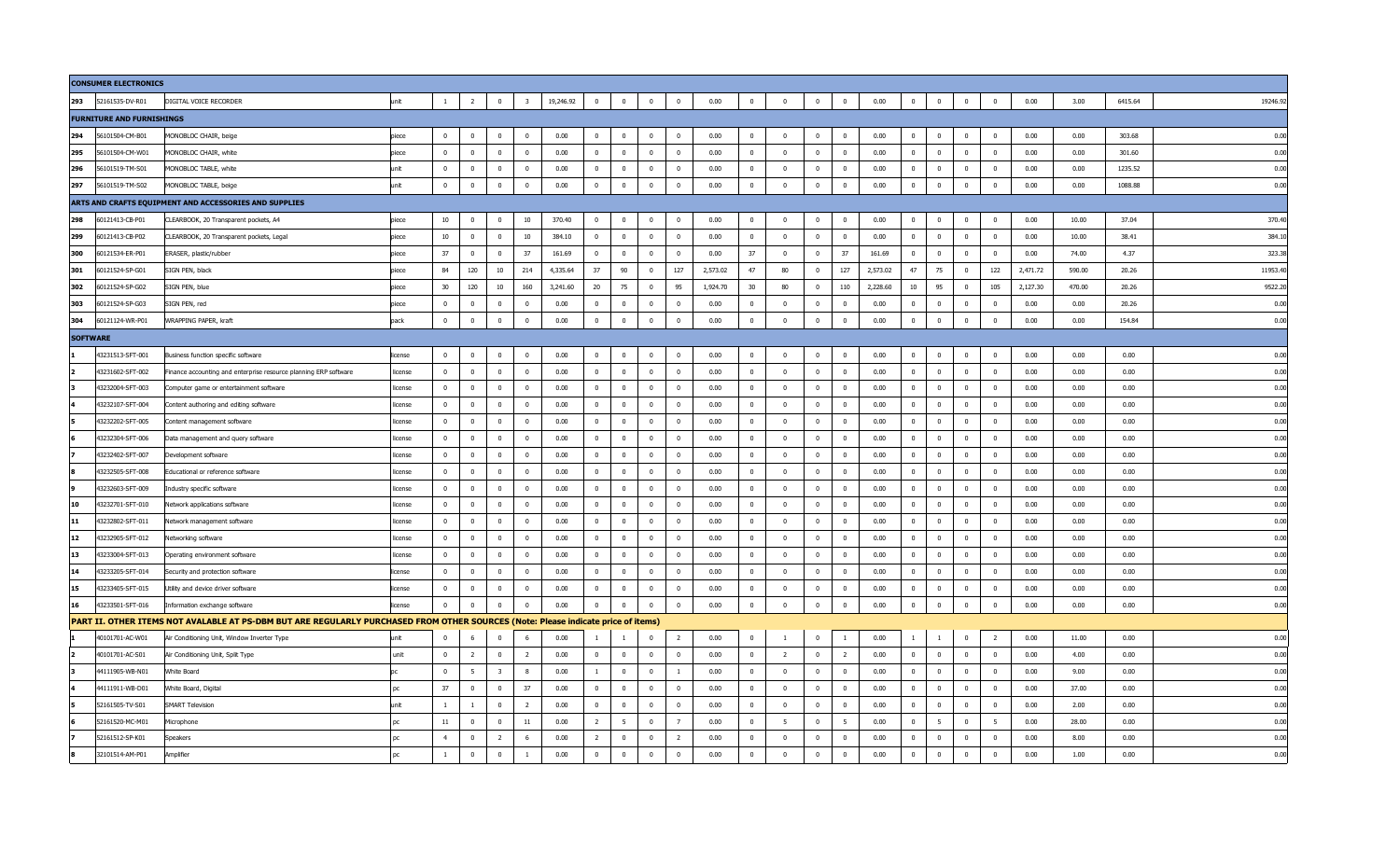|                 | <b>CONSUMER ELECTRONICS</b>      |                                                                                                                                   |         |                |                |                         |                         |           |                |                |                |                         |          |                         |                |                         |                |          |              |                |                |                |          |        |         |         |
|-----------------|----------------------------------|-----------------------------------------------------------------------------------------------------------------------------------|---------|----------------|----------------|-------------------------|-------------------------|-----------|----------------|----------------|----------------|-------------------------|----------|-------------------------|----------------|-------------------------|----------------|----------|--------------|----------------|----------------|----------------|----------|--------|---------|---------|
| 293             | 52161535-DV-R01                  | DIGITAL VOICE RECORDER                                                                                                            | unit    | $\overline{1}$ | $\overline{2}$ | $\overline{0}$          | $\overline{\mathbf{3}}$ | 19,246.92 | $\overline{0}$ | $\bf{0}$       | $\bf{0}$       | $\mathbf 0$             | 0.00     | $\overline{0}$          | $\overline{0}$ | $\mathbf 0$             | $\overline{0}$ | 0.00     | $\bf{0}$     | $\mathbf{0}$   | $\overline{0}$ | $\overline{0}$ | 0.00     | 3.00   | 6415.64 | 19246.9 |
|                 | <b>FURNITURE AND FURNISHINGS</b> |                                                                                                                                   |         |                |                |                         |                         |           |                |                |                |                         |          |                         |                |                         |                |          |              |                |                |                |          |        |         |         |
| 294             | 56101504-CM-B01                  | MONOBLOC CHAIR, beige                                                                                                             | piece   | $\mathbf{0}$   | $\overline{0}$ | $\mathbf 0$             | $\overline{0}$          | 0.00      | $^{\circ}$     | $\mathbf 0$    | $\mathbf 0$    | $\mathbf 0$             | 0.00     | $\mathbf{0}$            | $\mathbf 0$    | $\mathbf{0}$            | $\overline{0}$ | 0.00     | $\mathbf 0$  | $\mathbf 0$    | $\mathbf 0$    | $\mathbf 0$    | 0.00     | 0.00   | 303.68  | 0.00    |
| 295             | 56101504-CM-W01                  | MONOBLOC CHAIR, white                                                                                                             | piece   | $\mathbf{0}$   | $\mathbf 0$    | $\mathbf 0$             | $\overline{0}$          | 0.00      | $\mathbf{0}$   | $\mathbf 0$    | $\mathbf{0}$   | $\mathbf{0}$            | 0.00     | $\mathbf{0}$            | $\mathbf{0}$   | $\mathbf{0}$            | $\overline{0}$ | 0.00     | $\mathbf{0}$ | $\mathbf 0$    | $\mathbf{0}$   | $\mathbf 0$    | 0.00     | 0.00   | 301.60  | 0.00    |
| 296             | 56101519-TM-S01                  | MONOBLOC TABLE, white                                                                                                             | unit    | $\Omega$       | $\Omega$       | $\mathbf 0$             | $\overline{0}$          | 0.00      | $\mathbf{0}$   | $\overline{0}$ | $\mathbf 0$    | $\mathbf{0}$            | 0.00     | $\overline{0}$          | $\overline{0}$ | $\mathbf{0}$            | $\Omega$       | 0.00     | $\mathbf{0}$ | $\mathbf 0$    | $\mathbf 0$    | $\overline{0}$ | 0.00     | 0.00   | 1235.52 | 0.00    |
| 297             | 56101519-TM-S02                  | MONOBLOC TABLE, beige                                                                                                             | unit    | $\overline{0}$ | $\bf{0}$       | $\bf{0}$                | $\mathbf 0$             | 0.00      | $\overline{0}$ | $\mathbf 0$    | $\bf{0}$       | $\mathbf 0$             | 0.00     | $\overline{0}$          | $\mathbf 0$    | $\mathbf 0$             | $\bf{0}$       | 0.00     | $\mathbf{0}$ | $\bf{0}$       | $\overline{0}$ | $\overline{0}$ | 0.00     | 0.00   | 1088.88 | 0.00    |
|                 |                                  | ARTS AND CRAFTS EQUIPMENT AND ACCESSORIES AND SUPPLIES                                                                            |         |                |                |                         |                         |           |                |                |                |                         |          |                         |                |                         |                |          |              |                |                |                |          |        |         |         |
| 298             | 60121413-CB-P01                  | CLEARBOOK, 20 Transparent pockets, A4                                                                                             | piece   | 10             | $\overline{0}$ | $\overline{0}$          | 10                      | 370.40    | $\overline{0}$ | $\mathbf 0$    | $\bf{0}$       | $\mathbf 0$             | 0.00     | $\overline{\mathbf{0}}$ | $\overline{0}$ | $\pmb{0}$               | $\overline{0}$ | 0.00     | $\bf{0}$     | $\overline{0}$ | $\overline{0}$ | $\bf{0}$       | 0.00     | 10.00  | 37.04   | 370.40  |
| 299             | 60121413-CB-P02                  | CLEARBOOK, 20 Transparent pockets, Legal                                                                                          | piece   | 10             | $\mathbf 0$    | $\bf{0}$                | 10                      | 384.10    | $\overline{0}$ | $\mathbf 0$    | $\bf{0}$       | $\bf{0}$                | 0.00     | $\mathbf{0}$            | $\mathbf 0$    | $\mathbf{0}$            | $\overline{0}$ | 0.00     | $\mathbf{0}$ | $\mathbf 0$    | $\bf{0}$       | $\bf{0}$       | 0.00     | 10.00  | 38.41   | 384.1   |
| 300             | 60121534-ER-P01                  | ERASER, plastic/rubber                                                                                                            | piece   | 37             | $\mathbf 0$    | $\mathbf 0$             | 37                      | 161.69    | $\overline{0}$ | $\mathbf 0$    | $\mathbf{0}$   | $\bf{0}$                | 0.00     | 37                      | $\mathbf{0}$   | $\mathbf{0}$            | 37             | 161.69   | $\mathbf{0}$ | $\mathbf 0$    | $\mathbf{0}$   | $\mathbf 0$    | 0.00     | 74.00  | 4.37    | 323.38  |
| 301             | 60121524-SP-G01                  | SIGN PEN, black                                                                                                                   | piece   | 84             | 120            | 10                      | 214                     | 4,335.64  | 37             | 90             | $\mathbf 0$    | 127                     | 2,573.02 | 47                      | 80             | $\mathbf{0}$            | 127            | 2,573.02 | 47           | 75             | $\mathbf{0}$   | 122            | 2,471.72 | 590.00 | 20.26   | 11953.4 |
| 302             | 60121524-SP-G02                  | SIGN PEN, blue                                                                                                                    | piece   | 30             | 120            | 10                      | 160                     | 3,241.60  | 20             | 75             | $\overline{0}$ | 95                      | 1,924.70 | 30                      | 80             | $\overline{0}$          | 110            | 2,228.60 | 10           | 95             | $\overline{0}$ | 105            | 2,127.30 | 470.00 | 20.26   | 9522.2  |
| 303             | 60121524-SP-G03                  | SIGN PEN, red                                                                                                                     | piece   | $\overline{0}$ | $\mathbf 0$    | $\bf{0}$                | $\overline{0}$          | 0.00      | $\mathbf{0}$   | $\mathbf 0$    | $\bf{0}$       | $\mathbf 0$             | 0.00     | $\mathbf 0$             | $\overline{0}$ | $\pmb{0}$               | $\overline{0}$ | 0.00     | $\bf{0}$     | $\overline{0}$ | $\bf{0}$       | $\bf{0}$       | 0.00     | 0.00   | 20.26   | 0.00    |
| 304             | 60121124-WR-P01                  | WRAPPING PAPER, kraft                                                                                                             | pack    | $\overline{0}$ | $\mathbf{0}$   | $\mathbf 0$             | $\mathbf 0$             | 0.00      | $\bf{0}$       | $\mathbf 0$    | $\bf{0}$       | $\mathbf 0$             | 0.00     | $\mathbf{0}$            | $\mathbf{0}$   | $\mathbf{0}$            | $\mathbf 0$    | 0.00     | $\mathbf{0}$ | $\mathbf 0$    | $\mathbf 0$    | $\mathbf 0$    | 0.00     | 0.00   | 154.84  | 0.00    |
| <b>SOFTWARE</b> |                                  |                                                                                                                                   |         |                |                |                         |                         |           |                |                |                |                         |          |                         |                |                         |                |          |              |                |                |                |          |        |         |         |
|                 | 43231513-SFT-001                 | Business function specific software                                                                                               | license | $\Omega$       | $\Omega$       | $\Omega$                | $\overline{0}$          | 0.00      | $\Omega$       | $\Omega$       | $\bf{0}$       | $\Omega$                | 0.00     | $\mathbf 0$             | $\Omega$       | $\Omega$                | $\Omega$       | 0.00     | $\Omega$     | $\Omega$       | $\Omega$       | $\Omega$       | 0.00     | 0.00   | 0.00    | 0.00    |
|                 | 43231602-SFT-002                 | Finance accounting and enterprise resource planning ERP software                                                                  | license | $\overline{0}$ | $\mathbf 0$    | $\bf{0}$                | $\overline{0}$          | 0.00      | $\mathbf{0}$   | $\overline{0}$ | $\bf{0}$       | $\overline{\mathbf{0}}$ | 0.00     | $\overline{0}$          | $\overline{0}$ | $\overline{\mathbf{0}}$ | $\overline{0}$ | 0.00     | $\mathbf{0}$ | $\overline{0}$ | $\bf{0}$       | $\bf{0}$       | 0.00     | 0.00   | 0.00    | 0.00    |
|                 | 43232004-SFT-003                 | Computer game or entertainment software                                                                                           | license | $\mathbf{0}$   | $\mathbf 0$    | $\mathbf 0$             | $\overline{\mathbf{0}}$ | 0.00      | $\overline{0}$ | $\mathbf 0$    | $\bf{0}$       | $\bf{0}$                | 0.00     | $\overline{0}$          | $\overline{0}$ | $\mathbf{0}$            | $\overline{0}$ | 0.00     | $\mathbf 0$  | $\mathbf 0$    | $\mathbf 0$    | $\bf{0}$       | 0.00     | 0.00   | 0.00    | 0.00    |
|                 | 43232107-SFT-004                 | Content authoring and editing software                                                                                            | license | $\mathbf{0}$   | $\mathbf 0$    | $\mathbf 0$             | $\overline{0}$          | 0.00      | $\overline{0}$ | $\mathbf 0$    | $\mathbf{0}$   | $\bf{0}$                | 0.00     | $\mathbf{0}$            | $\overline{0}$ | $\mathbf{0}$            | $\mathbf 0$    | 0.00     | $\mathbf{0}$ | $\mathbf 0$    | $\mathbf 0$    | $\mathbf 0$    | 0.00     | 0.00   | 0.00    | 0.00    |
|                 | 43232202-SFT-005                 | Content management software                                                                                                       | license | $\overline{0}$ | $\Omega$       | $\mathbf 0$             | $\overline{0}$          | 0.00      | $\Omega$       | $\Omega$       | $\mathbf 0$    | $\bf{0}$                | 0.00     | $\overline{0}$          | $\Omega$       | $\Omega$                | $\Omega$       | 0.00     | $\Omega$     | $\Omega$       | $\Omega$       | $\mathbf 0$    | 0.00     | 0.00   | 0.00    | 0.00    |
|                 | 43232304-SFT-006                 | Data management and query software                                                                                                | license | $\overline{0}$ | $\overline{0}$ | $\bf{0}$                | $\overline{0}$          | 0.00      | $\overline{0}$ | $\mathbf 0$    | $\bf{0}$       | $\overline{0}$          | 0.00     | $\overline{0}$          | $\mathbf{0}$   | $\overline{0}$          | $\overline{0}$ | 0.00     | $\mathbf{0}$ | $\mathbf{0}$   | $\overline{0}$ | $\overline{0}$ | 0.00     | 0.00   | 0.00    | 0.00    |
|                 | 43232402-SFT-007                 | Development software                                                                                                              | license | $\mathbf 0$    | $\overline{0}$ | $\bf{0}$                | $\overline{0}$          | 0.00      | $\overline{0}$ | $\overline{0}$ | $\bf{0}$       | $\overline{0}$          | 0.00     | $\overline{\mathbf{0}}$ | $\mathbf 0$    | $\mathbf 0$             | $\overline{0}$ | 0.00     | $\mathbf 0$  | $\overline{0}$ | $\mathbf{0}$   | $\bf{0}$       | 0.00     | 0.00   | 0.00    | 0.00    |
|                 | 43232505-SFT-008                 | Educational or reference software                                                                                                 | license | $\mathbf{0}$   | $\mathbf 0$    | $\mathbf 0$             | $\mathbf 0$             | 0.00      | $\mathbf{0}$   | $\mathbf 0$    | $\overline{0}$ | $\mathbf{0}$            | 0.00     | $\mathbf{0}$            | $\overline{0}$ | $\bf{0}$                | $\overline{0}$ | 0.00     | $\mathbf{0}$ | $\mathbf 0$    | $\mathbf 0$    | $\mathbf 0$    | 0.00     | 0.00   | 0.00    | 0.00    |
|                 | 43232603-SFT-009                 | Industry specific software                                                                                                        | license | $\mathbf{0}$   | $\overline{0}$ | $\overline{0}$          | $\overline{0}$          | 0.00      | $\overline{0}$ | $\Omega$       | $\mathbf{0}$   | $\overline{0}$          | 0.00     | $\overline{0}$          | $\Omega$       | $\mathbf{0}$            | $\overline{0}$ | 0.00     | $^{\circ}$   | $\overline{0}$ | $\Omega$       | $\mathbf 0$    | 0.00     | 0.00   | 0.00    | 0.00    |
| 10              | 43232701-SFT-010                 | Network applications software                                                                                                     | license | $\overline{0}$ | $\overline{0}$ | $\overline{0}$          | $\overline{\mathbf{0}}$ | 0.00      | $\mathbf{0}$   | $\Omega$       | $\bf{0}$       | $\overline{\mathbf{0}}$ | 0.00     | $\mathbf 0$             | $\mathbf{0}$   | $\mathbf 0$             | $\overline{0}$ | 0.00     | $\bf{0}$     | $\mathbf{0}$   | $\overline{0}$ | $\overline{0}$ | 0.00     | 0.00   | 0.00    | 0.00    |
| 11              | 43232802-SFT-011                 | Network management software                                                                                                       | license | $\mathbf{0}$   | $\mathbf 0$    | $\bf{0}$                | $\overline{0}$          | 0.00      | $\mathbf{0}$   | $\mathbf 0$    | $\bf{0}$       | $\mathbf{0}$            | 0.00     | $\mathbf{0}$            | $\overline{0}$ | $\mathbf{0}$            | $\overline{0}$ | 0.00     | $\mathbf 0$  | $\mathbf 0$    | $\mathbf 0$    | $\bf{0}$       | 0.00     | 0.00   | 0.00    | 0.00    |
| 12              | 43232905-SFT-012                 | Networking software                                                                                                               | license | $\mathbf{0}$   | $\mathbf 0$    | $\mathbf 0$             | $\overline{0}$          | 0.00      | $\mathbf{0}$   | $\mathbf 0$    | $\mathbf{0}$   | $\bf{0}$                | 0.00     | $\mathbf{0}$            | $\overline{0}$ | $\mathbf{0}$            | $\mathbf 0$    | 0.00     | $\mathbf{0}$ | $\mathbf 0$    | $\mathbf{0}$   | $\mathbf 0$    | 0.00     | 0.00   | 0.00    | 0.00    |
| 13              | 43233004-SFT-013                 | Operating environment software                                                                                                    | license | $\Omega$       | $\overline{0}$ | $\mathbf 0$             | $\overline{0}$          | 0.00      | $\overline{0}$ | $\Omega$       | $\mathbf 0$    | $\overline{0}$          | 0.00     | $\overline{0}$          | $\overline{0}$ | $\mathbf{0}$            | $\Omega$       | 0.00     | $^{\circ}$   | $\mathbf 0$    | $\mathbf{0}$   | $\overline{0}$ | 0.00     | 0.00   | 0.00    | 0.00    |
| 14              | 43233205-SFT-014                 | Security and protection software                                                                                                  | license | $\overline{0}$ | $\overline{0}$ | $\overline{0}$          | $\overline{\mathbf{0}}$ | 0.00      | $\overline{0}$ | $\mathbf 0$    | $\bf{0}$       | $\overline{0}$          | 0.00     | $\overline{0}$          | $\overline{0}$ | $\overline{0}$          | $\overline{0}$ | 0.00     | $\mathbf{0}$ | $\overline{0}$ | $\overline{0}$ | $\overline{0}$ | 0.00     | 0.00   | 0.00    | 0.00    |
| 15              | 43233405-SFT-015                 | Utility and device driver software                                                                                                | license | $\mathbf 0$    | $\overline{0}$ | $\bf{0}$                | $\overline{0}$          | 0.00      | $^{\circ}$     | $\overline{0}$ | $\bf{0}$       | $\overline{0}$          | 0.00     | $\mathbf 0$             | $\mathbf 0$    | $\mathbf 0$             | $\overline{0}$ | 0.00     | $^{\circ}$   | $\overline{0}$ | $\mathbf{0}$   | $\overline{0}$ | 0.00     | 0.00   | 0.00    | 0.00    |
| 16              | 43233501-SFT-016                 | Information exchange software                                                                                                     | license | $\mathbf{0}$   | $\mathbf 0$    | $\mathbf 0$             | $\overline{\mathbf{0}}$ | 0.00      | $\mathbf{0}$   | $\mathbf 0$    | $\bf{0}$       | $\mathbf 0$             | 0.00     | $\overline{0}$          | $\mathbf{0}$   | $\bf{0}$                | $\mathbf 0$    | 0.00     | $\mathbf{0}$ | $\mathbf 0$    | $\mathbf{0}$   | $\mathbf 0$    | 0.00     | 0.00   | 0.00    | 0.00    |
|                 |                                  | PART II. OTHER ITEMS NOT AVALABLE AT PS-DBM BUT ARE REGULARLY PURCHASED FROM OTHER SOURCES (Note: Please indicate price of items) |         |                |                |                         |                         |           |                |                |                |                         |          |                         |                |                         |                |          |              |                |                |                |          |        |         |         |
|                 | 40101701-AC-W01                  | Air Conditioning Unit, Window Inverter Type                                                                                       | unit    | $\mathbf 0$    |                | $\mathbf 0$             | 6                       | 0.00      |                |                | $\bf{0}$       | $\overline{2}$          | 0.00     | $\mathbf 0$             | <sup>1</sup>   | $\mathbf 0$             | <sup>1</sup>   | 0.00     | -1           | <sup>1</sup>   | $\overline{0}$ | $\overline{2}$ | 0.00     | 11.00  | 0.00    | 0.00    |
|                 | 40101701-AC-S01                  | Air Conditioning Unit, Split Type                                                                                                 | unit    | $\overline{0}$ | $\overline{2}$ | $\bf{0}$                | $\overline{2}$          | 0.00      | $\overline{0}$ | $\mathbf 0$    | $\overline{0}$ | $\overline{0}$          | 0.00     | $\mathbf{0}$            | $\overline{2}$ | $\mathbf 0$             | $\overline{2}$ | 0.00     | $\mathbf{0}$ | $\mathbf 0$    | $\bf{0}$       | $\overline{0}$ | 0.00     | 4.00   | 0.00    | 0.00    |
|                 | 44111905-WB-N01                  | White Board                                                                                                                       |         | $\mathbf{0}$   | $5^{\circ}$    | $\overline{\mathbf{3}}$ | 8                       | 0.00      | $\mathbf{1}$   | $\mathbf 0$    | $\overline{0}$ | $\overline{1}$          | 0.00     | $\mathbf{0}$            | $\overline{0}$ | $\mathbf{0}$            | $\overline{0}$ | 0.00     | $^{\circ}$   | $\overline{0}$ | $\mathbf{0}$   | $\overline{0}$ | 0.00     | 9.00   | 0.00    | 0.00    |
|                 | 44111911-WB-D01                  | White Board, Digital                                                                                                              | DC      | 37             | $\mathbf 0$    | $\bf{0}$                | 37                      | 0.00      | $\mathbf{0}$   | $\Omega$       | $\bf{0}$       | $\overline{0}$          | 0.00     | $\overline{0}$          | $\overline{0}$ | $\mathbf{0}$            | $\sqrt{ }$     | 0.00     | $\mathbf{0}$ | $\mathbf 0$    | $\overline{0}$ | $\overline{0}$ | 0.00     | 37.00  | 0.00    | 0.00    |
|                 | 52161505-TV-S01                  | <b>SMART Television</b>                                                                                                           | unit    | $\overline{1}$ | -1             | $\overline{0}$          | $\overline{2}$          | 0.00      | $\overline{0}$ | $\mathbf 0$    | $\bf{0}$       | $\overline{0}$          | 0.00     | $\overline{0}$          | $\overline{0}$ | $\mathbf{0}$            | $\overline{0}$ | 0.00     | $\mathbf{0}$ | $\mathbf{0}$   | $\overline{0}$ | $\overline{0}$ | 0.00     | 2.00   | 0.00    | 0.00    |
|                 | 52161520-MC-M01                  | Microphone                                                                                                                        | DC      | 11             | $^{\circ}$     | $\overline{0}$          | 11                      | 0.00      | $\overline{2}$ | - 5            | $\bf{0}$       | $\overline{7}$          | 0.00     | 0                       | - 5            | $\bf{0}$                | - 5            | 0.00     | $\mathbf{0}$ | 5              | $\overline{0}$ | 5              | 0.00     | 28.00  | 0.00    | 0.00    |
|                 | 52161512-SP-K01                  | Speakers                                                                                                                          | pc      | $\overline{4}$ | $\mathbf 0$    | $\overline{2}$          | 6                       | 0.00      | $\overline{2}$ | $\mathbf 0$    | $\bf{0}$       | $\overline{2}$          | 0.00     | $\mathbf{0}$            | $\mathbf 0$    | $\mathbf 0$             | $\overline{0}$ | 0.00     | $\bf{0}$     | $\mathbf 0$    | $\mathbf 0$    | $\mathbf 0$    | 0.00     | 8.00   | 0.00    | 0.00    |
|                 | 32101514-AM-P01                  | Amplifier                                                                                                                         | pc      | $\mathbf{1}$   | $\Omega$       | $\overline{0}$          | $\overline{1}$          | 0.00      | $\mathbf 0$    | $\Omega$       | $\bf{0}$       | $\pmb{0}$               | 0.00     | 0                       | $\Omega$       | $\mathbf 0$             | $\Omega$       | 0.00     | $\mathbf{0}$ | $\Omega$       | $\Omega$       | $\overline{0}$ | 0.00     | 1.00   | 0.00    | 0.00    |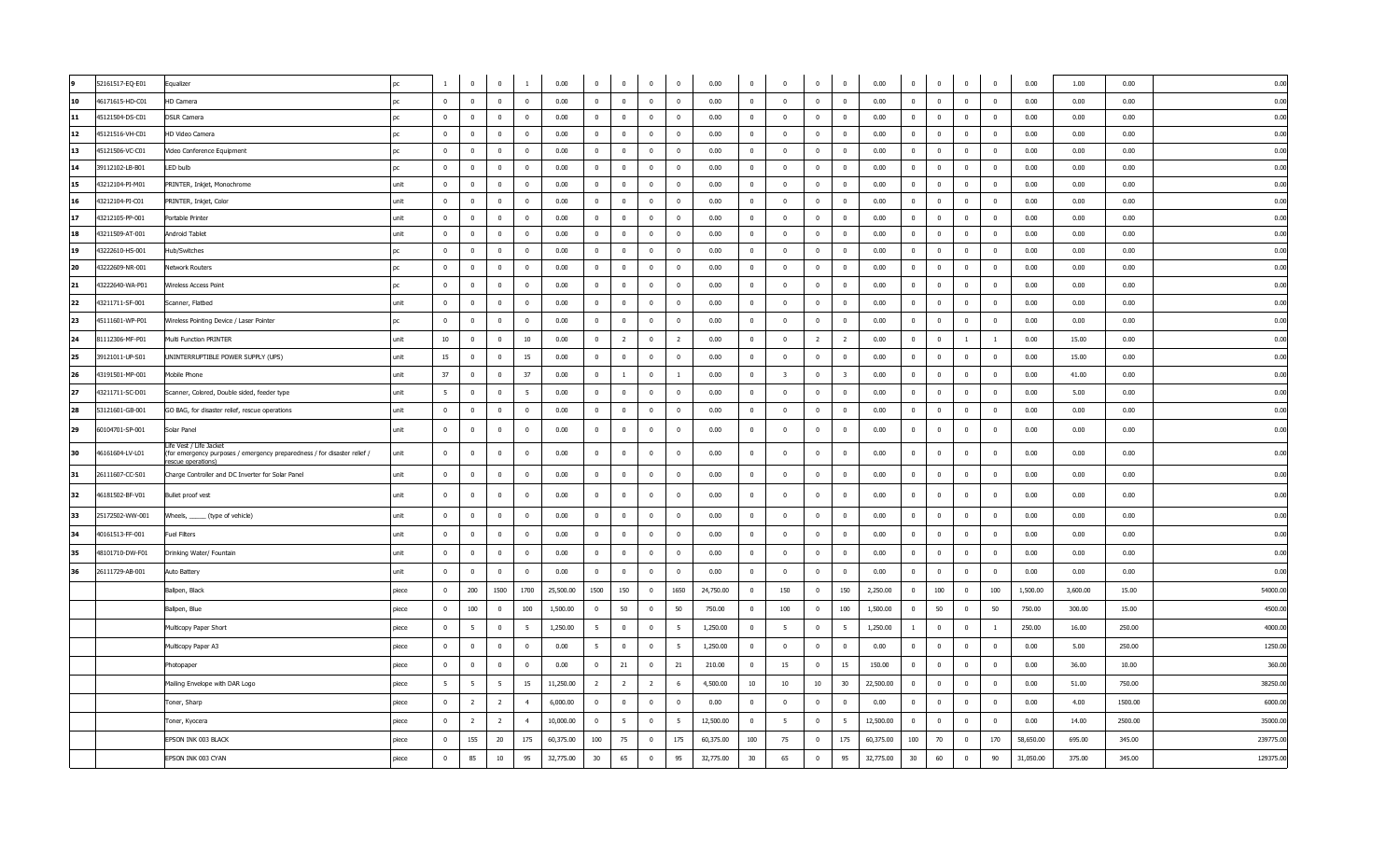|    | 52161517-EQ-E01 | Equalizer                                                                                                                | DС        | $\mathbf{1}$   | $\mathbf 0$             | $\overline{0}$ | $\mathbf{1}$    | 0.00      | $\overline{0}$          | $\overline{0}$          | $\overline{0}$ | $\overline{0}$           | 0.00      | $\mathbf 0$    | $\pmb{0}$               | $\mathbf 0$    | $\overline{0}$          | 0.00      | $\mathbf{0}$   | $\overline{0}$          | $\bf{0}$       | $\bf{0}$                | 0.00      | 1.00     | 0.00    | 0.00      |
|----|-----------------|--------------------------------------------------------------------------------------------------------------------------|-----------|----------------|-------------------------|----------------|-----------------|-----------|-------------------------|-------------------------|----------------|--------------------------|-----------|----------------|-------------------------|----------------|-------------------------|-----------|----------------|-------------------------|----------------|-------------------------|-----------|----------|---------|-----------|
| 10 | 46171615-HD-C01 | HD Camera                                                                                                                | nc.       | $\bf{0}$       | $\mathbf 0$             | $\Omega$       | $\overline{0}$  | 0.00      | $\mathbf{0}$            | $\mathbf 0$             | $\Omega$       | $\overline{\mathbf{0}}$  | 0.00      | $\bf{0}$       | $\overline{0}$          | $\overline{0}$ | $\overline{0}$          | 0.00      | $\Omega$       | $\overline{0}$          | $\mathbf 0$    | $\overline{0}$          | 0.00      | 0.00     | 0.00    | 0.00      |
| 11 | 45121504-DS-C01 | <b>DSLR Camera</b>                                                                                                       | <b>DC</b> | $\mathbf{0}$   | $\overline{0}$          | $\mathbf{0}$   | $\overline{0}$  | 0.00      | $\overline{0}$          | $\mathbf{0}$            | $\overline{0}$ | $\overline{0}$           | 0.00      | $\overline{0}$ | $\overline{0}$          | $\overline{0}$ | $\overline{0}$          | 0.00      | $\mathbf{0}$   | $\overline{0}$          | $\mathbf{0}$   | $\overline{0}$          | 0.00      | 0.00     | 0.00    | 0.00      |
| 12 | 45121516-VH-C01 | HD Video Camera                                                                                                          | nr        | $\Omega$       | $\overline{\mathbf{0}}$ | $\Omega$       | $\overline{0}$  | 0.00      | $\overline{0}$          | $\overline{0}$          | $\bf{0}$       | $\overline{\phantom{0}}$ | 0.00      | $^{\circ}$     | $\overline{0}$          | $\overline{0}$ | $\Omega$                | 0.00      | $\mathbf{0}$   | $\overline{0}$          | $\bf{0}$       | $\overline{\mathbf{0}}$ | 0.00      | 0.00     | 0.00    | 0.00      |
| 13 | 45121506-VC-C01 | Video Conference Equipment                                                                                               | рc        | $\bf{0}$       | $\overline{0}$          | $\overline{0}$ | $\overline{0}$  | 0.00      | $\overline{0}$          | $\overline{0}$          | $\overline{0}$ | $\overline{0}$           | 0.00      | $\overline{0}$ | $\overline{0}$          | $\mathbf{0}$   | $\overline{0}$          | 0.00      | $\mathbf{0}$   | $\overline{0}$          | $\overline{0}$ | $\overline{0}$          | 0.00      | 0.00     | 0.00    | 0.00      |
| 14 | 39112102-LB-B01 | LED bulb                                                                                                                 | <b>DC</b> | $\overline{0}$ | $\overline{\mathbf{0}}$ | $\mathbf 0$    | $\overline{0}$  | 0.00      | $\overline{\mathbf{0}}$ | $\overline{0}$          | $\overline{0}$ | $\overline{\phantom{0}}$ | 0.00      | $\mathbf 0$    | $\overline{0}$          | $\mathbf 0$    | $\overline{0}$          | 0.00      | $\overline{0}$ | $\mathbf{0}$            | $\bf{0}$       | $\bf{0}$                | 0.00      | 0.00     | 0.00    | 0.00      |
| 15 | 43212104-PI-M01 | PRINTER, Inkjet, Monochrome                                                                                              | unit      | $\mathbf{0}$   | $\bf{0}$                | $\overline{0}$ | $\overline{0}$  | 0.00      | $\overline{0}$          | $\overline{0}$          | $\bf{0}$       | $\overline{0}$           | 0.00      | $\overline{0}$ | $\bf{0}$                | $\overline{0}$ | $\overline{0}$          | 0.00      | $\overline{0}$ | $\overline{0}$          | $\overline{0}$ | $\overline{0}$          | 0.00      | 0.00     | 0.00    | 0.00      |
| 16 | 43212104-PI-C01 | PRINTER, Inkjet, Color                                                                                                   | unit      | $\bf{0}$       | $\overline{0}$          | $\Omega$       | $\mathbf{0}$    | 0.00      | $\overline{0}$          | $\bf{0}$                | $\mathbf{0}$   | $\overline{0}$           | 0.00      | $\mathbf 0$    | $\overline{0}$          | $\mathbf 0$    | $\mathbf{0}$            | 0.00      | $\mathbf{0}$   | $\mathbf{0}$            | $\mathbf 0$    | $\mathbf{0}$            | 0.00      | 0.00     | 0.00    | 0.00      |
| 17 | 43212105-PP-001 | Portable Printer                                                                                                         | unit      | $\mathbf{0}$   | $\bf{0}$                | $\mathbf 0$    | $\overline{0}$  | 0.00      | $\overline{0}$          | $\overline{\mathbf{0}}$ | $\mathbf{0}$   | $\overline{\mathbf{0}}$  | 0.00      | $\mathbf{0}$   | $\mathbf{0}$            | $\mathbf{0}$   | $\mathbf{0}$            | 0.00      | $\mathbf{0}$   | $\mathbf{0}$            | $\mathbf{0}$   | $\overline{\mathbf{0}}$ | 0.00      | 0.00     | 0.00    | 0.00      |
| 18 | 43211509-AT-001 | Android Tablet                                                                                                           | unit      | $\Omega$       | $\overline{0}$          | $\mathbf{0}$   | $\overline{0}$  | 0.00      | $\overline{0}$          | $\overline{0}$          | $\mathbf{0}$   | $\overline{0}$           | 0.00      | $\mathbf{0}$   | $\overline{0}$          | $\mathbf{0}$   | $\overline{\mathbf{0}}$ | 0.00      | $\mathbf{0}$   | $\overline{\mathbf{0}}$ | $\mathbf{0}$   | $\mathbf 0$             | 0.00      | 0.00     | 0.00    | 0.00      |
| 19 | 43222610-HS-001 | Hub/Switches                                                                                                             | nc.       | $\Omega$       | $\bf{0}$                | $\mathbf{0}$   | $\overline{0}$  | 0.00      | $\mathbf{0}$            | $\bf{0}$                | $\overline{0}$ | $\overline{0}$           | 0.00      | $\mathbf{0}$   | $\overline{0}$          | $\overline{0}$ | $\overline{0}$          | 0.00      | $\mathbf{0}$   | $\overline{0}$          | $\overline{0}$ | $\overline{0}$          | 0.00      | 0.00     | 0.00    | 0.00      |
| 20 | 43222609-NR-001 | Network Routers                                                                                                          | pc        | $\mathbf{0}$   | $\bf{0}$                | $\mathbf{0}$   | $\overline{0}$  | 0.00      | $\overline{0}$          | $\mathbf{0}$            | $\overline{0}$ | $\overline{0}$           | 0.00      | $^{\circ}$     | $\overline{\mathbf{0}}$ | $\overline{0}$ | $\overline{0}$          | 0.00      | $\mathbf{0}$   | $\overline{0}$          | $\mathbf{0}$   | $\overline{0}$          | 0.00      | 0.00     | 0.00    | 0.00      |
| 21 | 43222640-WA-P01 | Wireless Access Point                                                                                                    | DС        | $\overline{0}$ | $\overline{0}$          | $\mathbf{0}$   | $\overline{0}$  | 0.00      | $\overline{0}$          | $\overline{\mathbf{0}}$ | $\overline{0}$ | $\overline{\mathbf{0}}$  | 0.00      | $^{\circ}$     | $\overline{0}$          | $\pmb{0}$      | $\overline{0}$          | 0.00      | $\mathbf{0}$   | $\overline{0}$          | $\bf{0}$       | $\bf{0}$                | 0.00      | 0.00     | 0.00    | 0.00      |
| 22 | 43211711-SF-001 | Scanner, Flatbed                                                                                                         | unit      | $\overline{0}$ | $\overline{0}$          | $\pmb{0}$      | $\bf{0}$        | 0.00      | $\overline{0}$          | $\overline{\mathbf{0}}$ | $\bf{0}$       | $\overline{\mathbf{0}}$  | 0.00      | $\mathbf 0$    | $\bf{0}$                | $\mathbf 0$    | $\mathbf{0}$            | 0.00      | $\overline{0}$ | $\mathbf{0}$            | $\bf{0}$       | $\bf{0}$                | 0.00      | 0.00     | 0.00    | 0.00      |
| 23 | 45111601-WP-P01 | Wireless Pointing Device / Laser Pointer                                                                                 | nc.       | $\Omega$       | $\mathbf 0$             | $\mathbf{0}$   | $\overline{0}$  | 0.00      | $\overline{0}$          | $\bf{0}$                | $\mathbf{0}$   | $\overline{\mathbf{0}}$  | 0.00      | $\mathbf{0}$   | $\overline{0}$          | $\overline{0}$ | $\mathbf{0}$            | 0.00      | $\Omega$       | $\mathbf{0}$            | $\overline{0}$ | $\overline{\mathbf{0}}$ | 0.00      | 0.00     | 0.00    | 0.00      |
| 24 | 81112306-MF-P01 | Multi Function PRINTER                                                                                                   | unit      | 10             | $\overline{0}$          | $\mathbf{0}$   | 10              | 0.00      | $\overline{0}$          | $\overline{2}$          | $\mathbf{0}$   | $\overline{2}$           | 0.00      | $\mathbf{0}$   | $\overline{0}$          | $\overline{2}$ | $\overline{2}$          | 0.00      | $\mathbf{0}$   | $\mathbf{0}$            | $\mathbf{1}$   | $\mathbf{1}$            | 0.00      | 15.00    | 0.00    | 0.00      |
| 25 | 39121011-UP-S01 | UNINTERRUPTIBLE POWER SUPPLY (UPS)                                                                                       | unit      | 15             | $\bf{0}$                | $\mathbf{0}$   | 15              | 0.00      | $\overline{0}$          | $\overline{\mathbf{0}}$ | $\mathbf{0}$   | $\overline{0}$           | 0.00      | $\mathbf{0}$   | $\overline{0}$          | $\mathbf{0}$   | $\mathbf{0}$            | 0.00      | $\overline{0}$ | $\mathbf{0}$            | $\bf{0}$       | $\bf{0}$                | 0.00      | 15.00    | 0.00    | 0.00      |
| 26 | 43191501-MP-001 | Mobile Phone                                                                                                             | unit      | 37             | $\bf{0}$                | $\overline{0}$ | 37              | 0.00      | $\overline{0}$          | $\mathbf{1}$            | $\bf{0}$       | $\mathbf{1}$             | 0.00      | $\overline{0}$ | $\overline{3}$          | $\overline{0}$ | $\overline{\mathbf{3}}$ | 0.00      | $\overline{0}$ | $\overline{\mathbf{0}}$ | $\overline{0}$ | $\bf{0}$                | 0.00      | 41.00    | 0.00    | 0.00      |
| 27 | 43211711-SC-D01 | Scanner, Colored, Double sided, feeder type                                                                              | unit      | -5             | $\mathbf 0$             | $\Omega$       | $5\overline{5}$ | 0.00      | $\Omega$                | $\bf{0}$                | $\Omega$       | $\overline{0}$           | 0.00      | $\Omega$       | $\Omega$                | $\Omega$       | $\mathbf{0}$            | 0.00      | $\Omega$       | $\mathbf{0}$            | $\Omega$       | $\bf{0}$                | 0.00      | 5.00     | 0.00    | 0.00      |
| 28 | 53121601-GB-001 | GO BAG, for disaster relief, rescue operations                                                                           | unit      | $\overline{0}$ | $\overline{0}$          | $\mathbf 0$    | $\overline{0}$  | 0.00      | $\overline{0}$          | $\overline{\mathbf{0}}$ | $\mathbf 0$    | $\overline{\mathbf{0}}$  | 0.00      | $\mathbf 0$    | $\mathbf 0$             | 0              | $\overline{0}$          | 0.00      | $\overline{0}$ | $\overline{0}$          | $\overline{0}$ | $\overline{0}$          | 0.00      | 0.00     | 0.00    | 0.00      |
| 29 | 60104701-SP-001 | Solar Panel                                                                                                              | unit      | $\mathbf{0}$   | $\overline{0}$          | $\mathbf 0$    | $\mathbf 0$     | 0.00      | $\overline{0}$          | $\bf{0}$                | $\mathbf{0}$   | $\overline{\mathbf{0}}$  | 0.00      | $\mathbf{0}$   | $\overline{0}$          | $\overline{0}$ | $\mathbf{0}$            | 0.00      | $\mathbf{0}$   | $\mathbf{0}$            | $\mathbf 0$    | $\mathbf 0$             | 0.00      | 0.00     | 0.00    | 0.00      |
| 30 | 46161604-LV-L01 | Life Vest / Life Jacket<br>(for emergency purposes / emergency preparedness / for disaster relief /<br>escue operations) | unit      | $\mathbf{0}$   | $\overline{0}$          | $\mathbf{0}$   | $\mathbf 0$     | 0.00      | $\overline{0}$          | $\overline{\mathbf{0}}$ | $\mathbf{0}$   | $\overline{\mathbf{0}}$  | 0.00      | $\mathbf 0$    | $\overline{0}$          | $\mathbf 0$    | $\mathbf{0}$            | 0.00      | $\mathbf{0}$   | $\mathbf{0}$            | $\mathbf 0$    | $\mathbf 0$             | 0.00      | 0.00     | 0.00    | 0.00      |
| 31 | 26111607-CC-S01 | Charge Controller and DC Inverter for Solar Panel                                                                        | unit      | $\bf{0}$       | $\overline{0}$          | $\mathbf{0}$   | $\overline{0}$  | 0.00      | $\mathbf{0}$            | $\bf{0}$                | $\mathbf{0}$   | $\overline{\mathbf{0}}$  | 0.00      | $\mathbf{0}$   | $\overline{0}$          | $\overline{0}$ | $\mathbf{0}$            | 0.00      | $\mathbf{0}$   | $\overline{0}$          | $\mathbf{0}$   | $\mathbf 0$             | 0.00      | 0.00     | 0.00    | 0.00      |
| 32 | 46181502-BF-V01 | Bullet proof vest                                                                                                        | unit      | $\mathbf 0$    | $\mathbf 0$             | $\mathbf 0$    | $\bf{0}$        | 0.00      | $\mathbf 0$             | $\mathbf 0$             | $\overline{0}$ | $\mathbf 0$              | 0.00      | $\mathbf 0$    | $\overline{\mathbf{0}}$ | $\mathbf 0$    | $\mathbf 0$             | 0.00      | $\overline{0}$ | $\mathbf 0$             | $\bf{0}$       | $\bf{0}$                | 0.00      | 0.00     | 0.00    | 0.00      |
| 33 | 25172502-WW-001 | Wheels, ______ (type of vehicle)                                                                                         | unit      | $\bf{0}$       | $\bf{0}$                | $\overline{0}$ | $\overline{0}$  | 0.00      | $\overline{0}$          | $\overline{0}$          | $\bf{0}$       | $\overline{0}$           | 0.00      | $\overline{0}$ | $\bf{0}$                | $\overline{0}$ | $\bf{0}$                | 0.00      | $\mathbf{0}$   | $\overline{\mathbf{0}}$ | $\overline{0}$ | $\bf{0}$                | 0.00      | 0.00     | 0.00    | 0.00      |
| 34 | 40161513-FF-001 | <b>Fuel Filters</b>                                                                                                      | unit      | $\bf{0}$       | $\bf{0}$                | $\overline{0}$ | $\bf{0}$        | 0.00      | $\overline{0}$          | $\overline{\mathbf{0}}$ | $\overline{0}$ | $\bf{0}$                 | 0.00      | $\overline{0}$ | $\bf{0}$                | $\mathbf 0$    | $\mathbf 0$             | 0.00      | $\mathbf{0}$   | $\mathbf 0$             | $\overline{0}$ | $\overline{0}$          | 0.00      | 0.00     | 0.00    | 0.00      |
| 35 | 48101710-DW-F01 | Drinking Water/ Fountain                                                                                                 | unit      | $\bf{0}$       | $\bf{0}$                | $\overline{0}$ | $\overline{0}$  | 0.00      | $\overline{0}$          | $\overline{\mathbf{0}}$ | $\overline{0}$ | $\bf{0}$                 | 0.00      | $\overline{0}$ | $\overline{0}$          | $\mathbf{0}$   | $\overline{0}$          | 0.00      | $\mathbf{0}$   | $\overline{0}$          | $\overline{0}$ | $\overline{0}$          | 0.00      | 0.00     | 0.00    | 0.00      |
| 36 | 26111729-AB-001 | Auto Battery                                                                                                             | unit      | $\bf{0}$       | $\bf{0}$                | $\overline{0}$ | $\overline{0}$  | 0.00      | $\overline{0}$          | $\overline{\mathbf{0}}$ | $\bf{0}$       | $\bf{0}$                 | 0.00      | $\overline{0}$ | $\bf{0}$                | $\mathbf{0}$   | $\bf{0}$                | 0.00      | $\overline{0}$ | $\overline{\mathbf{0}}$ | $\bf{0}$       | $\bf{0}$                | 0.00      | 0.00     | 0.00    | 0.00      |
|    |                 | Ballpen, Black                                                                                                           | piece     | $\overline{0}$ | 200                     | 1500           | 1700            | 25,500.00 | 1500                    | 150                     | $\bf{0}$       | 1650                     | 24,750.00 | $\overline{0}$ | 150                     | $\overline{0}$ | 150                     | 2,250.00  | $\overline{0}$ | 100                     | $\bf{0}$       | 100                     | 1,500.00  | 3,600.00 | 15.00   | 54000.00  |
|    |                 | Ballpen, Blue                                                                                                            | piece     | $\mathbf{0}$   | 100                     | $\mathbf{0}$   | 100             | 1,500.00  | $\overline{\mathbf{0}}$ | 50                      | $\bf{0}$       | 50                       | 750.00    | $\overline{0}$ | 100                     | $\overline{0}$ | 100                     | 1,500.00  | $\mathbf{0}$   | 50                      | $\overline{0}$ | 50                      | 750.00    | 300.00   | 15.00   | 4500.00   |
|    |                 | Multicopy Paper Short                                                                                                    | piece     | $\overline{0}$ | - 5                     | $\mathbf 0$    | $5^{\circ}$     | 1,250.00  | 5                       | $\overline{0}$          | $\overline{0}$ | 5                        | 1,250.00  | $\overline{0}$ | 5                       | $\mathbf{0}$   | - 5                     | 1,250.00  | $\mathbf{1}$   | $\bf{0}$                | $\overline{0}$ | <sup>1</sup>            | 250.00    | 16.00    | 250.00  | 4000.00   |
|    |                 | Multicopy Paper A3                                                                                                       | piece     | $\mathbf{0}$   | $\bf{0}$                | $\overline{0}$ | $\overline{0}$  | 0.00      | 5                       | $\overline{0}$          | $\overline{0}$ | $5\overline{5}$          | 1,250.00  | $\overline{0}$ | $\mathbf{0}$            | $\overline{0}$ | $\bf{0}$                | 0.00      | $\mathbf{0}$   | $\overline{\mathbf{0}}$ | $\overline{0}$ | $\overline{0}$          | 0.00      | 5.00     | 250.00  | 1250.00   |
|    |                 | Photopaper                                                                                                               | piece     | $\mathbf{0}$   | $\bf{0}$                | $\overline{0}$ | $\overline{0}$  | 0.00      | $\overline{0}$          | 21                      | $\bf{0}$       | 21                       | 210.00    | $\overline{0}$ | 15                      | $\overline{0}$ | 15                      | 150.00    | $\mathbf{0}$   | $\overline{\mathbf{0}}$ | $\overline{0}$ | $\bf{0}$                | 0.00      | 36.00    | 10.00   | 360.00    |
|    |                 | Mailing Envelope with DAR Logo                                                                                           | piece     | $5^{\circ}$    | 5                       | 5              | 15              | 11,250.00 | $\overline{2}$          | $\overline{2}$          | $\overline{2}$ | 6                        | 4,500.00  | 10             | 10                      | 10             | 30                      | 22,500.00 | $\mathbf{0}$   | $\overline{\mathbf{0}}$ | $\overline{0}$ | $\bf{0}$                | 0.00      | 51.00    | 750.00  | 38250.00  |
|    |                 | Toner, Sharp                                                                                                             | piece     | $\mathbf{0}$   | $\overline{2}$          | $\overline{2}$ | 4               | 6,000.00  | $\overline{0}$          | $\overline{0}$          | $\overline{0}$ | $\mathbf 0$              | 0.00      | $\mathbf{0}$   | $\bf{0}$                | $\mathbf{0}$   | $\overline{0}$          | 0.00      | $\overline{0}$ | $\overline{0}$          | $\overline{0}$ | $\overline{0}$          | 0.00      | 4.00     | 1500.00 | 6000.00   |
|    |                 | Toner, Kyocera                                                                                                           | piece     | $\mathbf{0}$   | $\overline{2}$          | $\overline{2}$ | $\overline{4}$  | 10,000.00 | $\overline{0}$          | 5                       | $\bf{0}$       | 5                        | 12,500.00 | $\overline{0}$ | - 5                     | $\mathbf{0}$   | 5                       | 12,500.00 | $\mathbf 0$    | $\overline{0}$          | $\bf{0}$       | $\bf{0}$                | 0.00      | 14.00    | 2500.00 | 35000.00  |
|    |                 | EPSON INK 003 BLACK                                                                                                      | piece     | $\Omega$       | 155                     | 20             | 175             | 60,375.00 | 100                     | 75                      | $\overline{0}$ | 175                      | 60,375.00 | 100            | 75                      | $\mathbf 0$    | 175                     | 60,375.00 | 100            | 70                      | $\mathbf 0$    | 170                     | 58,650.00 | 695.00   | 345.00  | 239775.00 |
|    |                 | EPSON INK 003 CYAN                                                                                                       | piece     | $\bf{0}$       | 85                      | $10\,$         | 95              | 32,775.00 | 30                      | 65                      | $\bf{0}$       | 95                       | 32,775.00 | 30             | 65                      | $\overline{0}$ | 95                      | 32,775.00 | 30             | 60                      | $\bf{0}$       | 90                      | 31,050.00 | 375.00   | 345.00  | 129375.00 |
|    |                 |                                                                                                                          |           |                |                         |                |                 |           |                         |                         |                |                          |           |                |                         |                |                         |           |                |                         |                |                         |           |          |         |           |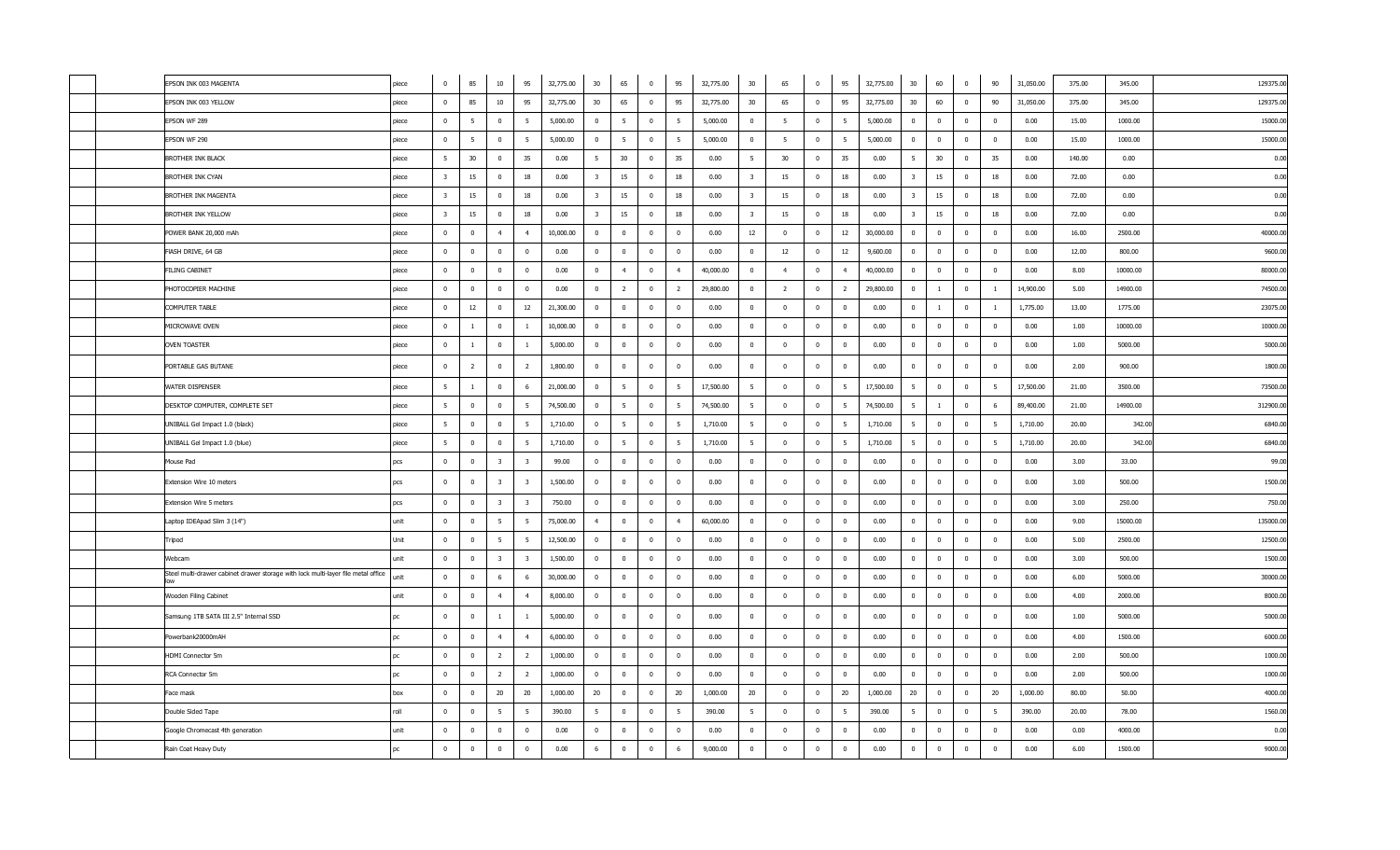|  | EPSON INK 003 MAGENTA                                                                    | piece | $\overline{0}$          | 85              | $10\,$                  | 95                      | 32,775.00 | 30                      | 65              | $\overline{\mathbf{0}}$ | 95                      | 32,775.00 | 30                      | 65                      | $\overline{0}$          | 95             | 32,775.00 | 30                      | 60             | $\overline{0}$          | 90                       | 31,050.00 | 375.00 | 345.00   | 129375.00 |
|--|------------------------------------------------------------------------------------------|-------|-------------------------|-----------------|-------------------------|-------------------------|-----------|-------------------------|-----------------|-------------------------|-------------------------|-----------|-------------------------|-------------------------|-------------------------|----------------|-----------|-------------------------|----------------|-------------------------|--------------------------|-----------|--------|----------|-----------|
|  | EPSON INK 003 YELLOW                                                                     | piece | $\mathbf 0$             | 85              | 10                      | 95                      | 32,775.00 | 30                      | 65              | $\overline{0}$          | 95                      | 32,775.00 | 30                      | 65                      | $\bf{0}$                | 95             | 32,775.00 | 30                      | 60             | $\mathbf 0$             | 90                       | 31,050.00 | 375.00 | 345.00   | 129375.00 |
|  | EPSON WF 289                                                                             | piece | $\mathbf 0$             | 5               | $\overline{0}$          | 5                       | 5,000.00  | $\overline{0}$          | 5               | $\overline{0}$          | 5                       | 5,000.00  | $\mathbf{0}$            | 5                       | $\mathbf{0}$            | 5              | 5,000.00  | $\mathbf 0$             | $\mathbf{0}$   | $\mathbf{0}$            | $\overline{0}$           | 0.00      | 15.00  | 1000.00  | 15000.0   |
|  | EPSON WF 290                                                                             | niece | $\overline{0}$          | $5\overline{5}$ | $\Omega$                | 5                       | 5,000.00  | $\overline{0}$          | 5               | $\overline{\mathbf{0}}$ | 5                       | 5,000.00  | $\Omega$                | - 5                     | $\bf{0}$                | -5             | 5,000.00  | $\bf{0}$                | $\Omega$       | $\Omega$                | $\overline{0}$           | 0.00      | 15.00  | 1000.00  | 15000.0   |
|  | BROTHER INK BLACK                                                                        | piece | 5                       | 30              | $\mathbf 0$             | 35                      | 0.00      | 5                       | 30              | $\overline{\mathbf{0}}$ | 35                      | 0.00      | 5                       | 30                      | $\overline{0}$          | 35             | 0.00      | 5 <sup>5</sup>          | 30             | $\bf{0}$                | 35                       | 0.00      | 140.00 | 0.00     | 0.00      |
|  | BROTHER INK CYAN                                                                         | piece | $\overline{\mathbf{3}}$ | 15              | $\overline{0}$          | 18                      | 0.00      | $\overline{\mathbf{3}}$ | 15              | $\overline{0}$          | 18                      | 0.00      | $\overline{\mathbf{3}}$ | 15                      | $\mathbf{0}$            | 18             | 0.00      | $\overline{\mathbf{3}}$ | 15             | $\mathbf 0$             | 18                       | 0.00      | 72.00  | 0.00     | 0.00      |
|  | BROTHER INK MAGENTA                                                                      | piece | $\overline{\mathbf{3}}$ | 15              | $\overline{\mathbf{0}}$ | 18                      | 0.00      | $\overline{\mathbf{3}}$ | 15              | $\overline{\mathbf{0}}$ | 18                      | 0.00      | $\overline{\mathbf{3}}$ | 15                      | $\overline{\mathbf{0}}$ | 18             | 0.00      | $\overline{\mathbf{3}}$ | 15             | $\overline{\mathbf{0}}$ | 18                       | 0.00      | 72.00  | 0.00     | 0.00      |
|  | BROTHER INK YELLOW                                                                       | piece | $\overline{\mathbf{3}}$ | 15              | $\overline{0}$          | 18                      | 0.00      | $\overline{\mathbf{3}}$ | 15              | $\overline{\mathbf{0}}$ | 18                      | 0.00      | $\overline{\mathbf{3}}$ | 15                      | $\overline{0}$          | 18             | 0.00      | $\overline{\mathbf{3}}$ | 15             | $\bf{0}$                | 18                       | 0.00      | 72.00  | 0.00     | 0.00      |
|  | POWER BANK 20,000 mAh                                                                    | piece | $\mathbf{0}$            | $\overline{0}$  | $\overline{4}$          | $\overline{4}$          | 10,000.00 | $\overline{0}$          | $\mathbf{0}$    | $\overline{\mathbf{0}}$ | $\overline{\mathbf{0}}$ | 0.00      | 12                      | $\overline{0}$          | $\mathbf{0}$            | 12             | 30,000.00 | $\overline{0}$          | $\mathbf 0$    | $\mathbf{0}$            | $\overline{0}$           | 0.00      | 16.00  | 2500.00  | 40000.00  |
|  | FIASH DRIVE, 64 GB                                                                       | piece | $\overline{0}$          | $\overline{0}$  | $\mathbf 0$             | $\overline{0}$          | 0.00      | $\overline{0}$          | $\overline{0}$  | $\overline{\mathbf{0}}$ | $\overline{0}$          | 0.00      | $\overline{0}$          | 12                      | $\overline{0}$          | 12             | 9,600.00  | $\mathbf 0$             | $\bf{0}$       | $\pmb{0}$               | $\overline{\mathbf{0}}$  | 0.00      | 12.00  | 800.00   | 9600.00   |
|  | <b>FILING CABINET</b>                                                                    | piece | $\overline{0}$          | $\mathbf{0}$    | $\bf{0}$                | $\overline{0}$          | 0.00      | $\overline{0}$          | $\overline{4}$  | $\overline{\mathbf{0}}$ | $\overline{4}$          | 40,000.00 | $\mathbf{0}$            | $\overline{4}$          | $\mathbf 0$             | $\overline{4}$ | 40,000.00 | $\overline{0}$          | $\mathbf 0$    | $\mathbf 0$             | $\overline{\mathbf{0}}$  | 0.00      | 8.00   | 10000.00 | 80000.00  |
|  | PHOTOCOPIER MACHINE                                                                      | piece | $\overline{0}$          | $\mathbf{0}$    | $\mathbf{0}$            | $\overline{0}$          | 0.00      | $\overline{0}$          | $\overline{2}$  | $\overline{\mathbf{0}}$ | $\overline{2}$          | 29,800.00 | $\mathbf{0}$            | $\overline{2}$          | $\overline{0}$          | $\overline{2}$ | 29,800.00 | $\overline{0}$          | $\mathbf{1}$   | $\mathbf 0$             | $\overline{1}$           | 14,900.00 | 5.00   | 14900.00 | 74500.00  |
|  | COMPUTER TABLE                                                                           | piece | $\overline{0}$          | $12\,$          | $\bf{0}$                | $12\,$                  | 21,300.00 | $\overline{0}$          | $\mathbf{0}$    | $\overline{\mathbf{0}}$ | $\overline{\mathbf{0}}$ | 0.00      | $\mathbf{0}$            | $\overline{0}$          | $\overline{0}$          | $\mathbf 0$    | 0.00      | $\overline{0}$          | $\mathbf{1}$   | $\overline{0}$          | $\overline{1}$           | 1,775.00  | 13.00  | 1775.00  | 23075.00  |
|  | MICROWAVE OVEN                                                                           | piece | $\mathbf{0}$            | $\mathbf{1}$    | $\bf{0}$                | $\overline{1}$          | 10,000.00 | $\overline{0}$          | $\overline{0}$  | $\overline{\mathbf{0}}$ | $\overline{\mathbf{0}}$ | 0.00      | $\mathbf{0}$            | $\overline{0}$          | $\bf{0}$                | $\mathbf 0$    | 0.00      | $\overline{0}$          | $\mathbf 0$    | $\overline{0}$          | $\overline{0}$           | 0.00      | 1.00   | 10000.00 | 10000.00  |
|  | OVEN TOASTER                                                                             | piece | $\overline{\mathbf{0}}$ | $\mathbf{1}$    | $\bf{0}$                | $\overline{1}$          | 5,000.00  | $\overline{0}$          | $\overline{0}$  | $\mathbf 0$             | $\overline{\mathbf{0}}$ | 0.00      | $\mathbf{0}$            | $\bf{0}$                | $\bf{0}$                | $\bf{0}$       | 0.00      | $\mathbf 0$             | $\bf{0}$       | $\mathbf 0$             | $\overline{\mathbf{0}}$  | 0.00      | 1.00   | 5000.00  | 5000.00   |
|  | PORTABLE GAS BUTANE                                                                      | piece | $\overline{\mathbf{0}}$ | $\overline{2}$  | $\mathbf 0$             | $\overline{2}$          | 1,800.00  | $\overline{0}$          | $\overline{0}$  | $\mathbf 0$             | $\overline{0}$          | 0.00      | $\overline{0}$          | $\overline{0}$          | $\overline{0}$          | $\mathbf{0}$   | 0.00      | $\mathbf 0$             | $\bf{0}$       | $\mathbf 0$             | $\overline{\mathbf{0}}$  | 0.00      | 2.00   | 900.00   | 1800.0    |
|  | WATER DISPENSER                                                                          | piece | 5                       | $\mathbf{1}$    | $\mathbf 0$             | 6                       | 21,000.00 | $\overline{0}$          | 5               | $\overline{\mathbf{0}}$ | 5                       | 17,500.00 | 5                       | $\overline{0}$          | $\overline{0}$          | 5              | 17,500.00 | 5                       | $\bf{0}$       | $\bf{0}$                | - 5                      | 17,500.00 | 21.00  | 3500.00  | 73500.0   |
|  | DESKTOP COMPUTER, COMPLETE SET                                                           | piece | 5                       | $\overline{0}$  | $\overline{0}$          | 5                       | 74,500.00 | $\overline{0}$          | $5\overline{5}$ | $\overline{\mathbf{0}}$ | 5                       | 74,500.00 | 5                       | $\overline{0}$          | $\overline{0}$          | 5              | 74,500.00 | 5                       | $\mathbf{1}$   | $\bf{0}$                | 6                        | 89,400.00 | 21.00  | 14900.00 | 312900.0  |
|  | UNIBALL Gel Impact 1.0 (black)                                                           | piece | - 5                     | $\overline{0}$  | $\mathbf 0$             | 5                       | 1,710.00  | $\overline{0}$          | 5               | $\overline{\mathbf{0}}$ | 5                       | 1,710.00  | 5                       | $\overline{0}$          | $\bf{0}$                | - 5            | 1,710.00  | 5                       | $\mathbf{0}$   | $\mathbf 0$             | - 5                      | 1,710.00  | 20.00  | 342.00   | 6840.0    |
|  | UNIBALL Gel Impact 1.0 (blue)                                                            | piece | -5                      | $\overline{0}$  | $\mathbf 0$             | - 5                     | 1,710.00  | $\overline{0}$          | 5               | $\mathbf 0$             | 5                       | 1,710.00  | 5                       | $\overline{0}$          | $\overline{0}$          | 5              | 1,710.00  | 5                       | $\bf{0}$       | $\pmb{0}$               | 5                        | 1,710.00  | 20.00  | 342.0    | 6840.0    |
|  | Mouse Pad                                                                                | pcs   | $\overline{0}$          | $\mathbf{0}$    | $\overline{\mathbf{3}}$ | $\overline{\mathbf{3}}$ | 99.00     | $\overline{0}$          | $\mathbf{0}$    | $\overline{\mathbf{0}}$ | $\mathbf 0$             | 0.00      | $\mathbf{0}$            | $\overline{0}$          | $\mathbf{0}$            | $\mathbf 0$    | 0.00      | $\mathbf 0$             | $\mathbf{0}$   | $\mathbf{0}$            | $\overline{0}$           | 0.00      | 3.00   | 33.00    | 99.00     |
|  | Extension Wire 10 meters                                                                 | pcs   | $\overline{0}$          | $\mathbf{0}$    | $\overline{\mathbf{3}}$ | $\overline{\mathbf{3}}$ | 1,500.00  | $\overline{0}$          | $\overline{0}$  | $\mathbf{0}$            | $\mathbf 0$             | 0.00      | $\mathbf{0}$            | $\overline{0}$          | $\mathbf{0}$            | $\mathbf 0$    | 0.00      | $\mathbf{0}$            | $\mathbf 0$    | $\mathbf 0$             | $\overline{0}$           | 0.00      | 3.00   | 500.00   | 1500.00   |
|  | Extension Wire 5 meters                                                                  | pcs   | $\overline{0}$          | $\overline{0}$  | $\overline{\mathbf{3}}$ | $\overline{\mathbf{3}}$ | 750.00    | $\overline{0}$          | $\overline{0}$  | $\overline{0}$          | $\overline{0}$          | 0.00      | $\overline{0}$          | $\overline{0}$          | $\overline{0}$          | $\bf{0}$       | 0.00      | $\bf{0}$                | $\overline{0}$ | $\mathbf 0$             | $\overline{\mathbf{0}}$  | 0.00      | 3.00   | 250.00   | 750.00    |
|  | Laptop IDEApad Slim 3 (14")                                                              | unit  | $\overline{0}$          | $\mathbf{0}$    | -5                      | 5                       | 75,000.00 | $\overline{4}$          | $\mathbf{0}$    | $\mathbf 0$             | $\overline{4}$          | 60,000.00 | $\mathbf{0}$            | $\overline{0}$          | $\bf{0}$                | $\mathbf 0$    | 0.00      | $\overline{0}$          | $\mathbf{0}$   | $\mathbf 0$             | $\overline{\mathbf{0}}$  | 0.00      | 9.00   | 15000.00 | 135000.0  |
|  | Tripod                                                                                   | Unit  | $\bf{0}$                | $\overline{0}$  | $5\overline{5}$         | 5                       | 12,500.00 | $\overline{\mathbf{0}}$ | $\bf{0}$        | $\overline{\mathbf{0}}$ | $\overline{\mathbf{0}}$ | 0.00      | $\overline{0}$          | $\overline{\mathbf{0}}$ | $\bf{0}$                | $\bf{0}$       | 0.00      | $\overline{0}$          | $\bf{0}$       | $\bf{0}$                | $\overline{0}$           | 0.00      | 5.00   | 2500.00  | 12500.00  |
|  | Webcam                                                                                   | unit  | $\overline{\mathbf{0}}$ | $\overline{0}$  | $\overline{\mathbf{3}}$ | $\overline{\mathbf{3}}$ | 1,500.00  | $\overline{0}$          | $\mathbf{0}$    | $\overline{\mathbf{0}}$ | $\overline{0}$          | 0.00      | $\overline{0}$          | $\overline{0}$          | $\overline{0}$          | $\overline{0}$ | 0.00      | $\overline{0}$          | $\overline{0}$ | $\bf{0}$                | $\overline{\phantom{0}}$ | 0.00      | 3.00   | 500.00   | 1500.0    |
|  | Steel multi-drawer cabinet drawer storage with lock multi-layer file metal office<br>low | unit  | $\overline{0}$          | $\overline{0}$  | 6                       | 6                       | 30,000.00 | $\overline{0}$          | $\overline{0}$  | $\overline{\mathbf{0}}$ | $\overline{0}$          | 0.00      | $\overline{0}$          | $\overline{0}$          | $\overline{0}$          | $\bf{0}$       | 0.00      | $\overline{0}$          | $\overline{0}$ | $\bf{0}$                | $\overline{\mathbf{0}}$  | 0.00      | 6.00   | 5000.00  | 30000.0   |
|  | Wooden Filing Cabinet                                                                    | unit  | $\bf{0}$                | $\overline{0}$  | $\overline{4}$          | $\overline{4}$          | 8,000.00  | $\overline{\mathbf{0}}$ | $\bf{0}$        | $\overline{\mathbf{0}}$ | $\overline{\mathbf{0}}$ | 0.00      | $\bf{0}$                | $\bf{0}$                | $\bf{0}$                | $\bf{0}$       | 0.00      | $\bf{0}$                | $\overline{0}$ | $\bf{0}$                | $\overline{\mathbf{0}}$  | 0.00      | 4.00   | 2000.00  | 8000.00   |
|  | Samsung 1TB SATA III 2.5" Internal SSD                                                   | pc    | $\overline{0}$          | $\overline{0}$  | $\mathbf{1}$            | $\overline{1}$          | 5,000.00  | $\overline{0}$          | $\overline{0}$  | $\overline{\mathbf{0}}$ | $\mathbf 0$             | 0.00      | $\mathbf{0}$            | $\Omega$                | $\overline{0}$          | $\bf{0}$       | 0.00      | $\bf{0}$                | $\mathbf 0$    | $\bf{0}$                | $\overline{\mathbf{0}}$  | 0.00      | 1.00   | 5000.00  | 5000.00   |
|  | Powerbank20000mAH                                                                        | pc    | $\overline{0}$          | $\overline{0}$  | $\overline{4}$          | $\overline{4}$          | 6,000.00  | $\overline{0}$          | $\overline{0}$  | $\overline{\mathbf{0}}$ | $\overline{\mathbf{0}}$ | 0.00      | $\overline{0}$          | $\overline{0}$          | $\overline{0}$          | $\mathbf{0}$   | 0.00      | $\overline{0}$          | $\bf{0}$       | $\bf{0}$                | $\overline{\mathbf{0}}$  | 0.00      | 4.00   | 1500.00  | 6000.00   |
|  | <b>HDMI</b> Connector 5m                                                                 | pc    | $\overline{0}$          | $\overline{0}$  | $\overline{2}$          | $\overline{2}$          | 1,000.00  | $\overline{0}$          | $\mathbf{0}$    | $\overline{\mathbf{0}}$ | $\overline{\mathbf{0}}$ | 0.00      | $\mathbf{0}$            | $\overline{0}$          | $\mathbf{0}$            | $\mathbf 0$    | 0.00      | $\mathbf 0$             | $\mathbf 0$    | $\mathbf{0}$            | $\overline{0}$           | 0.00      | 2.00   | 500.00   | 1000.00   |
|  | RCA Connector 5m                                                                         | pc    | $\overline{0}$          | $\overline{0}$  | $\overline{2}$          | $\overline{2}$          | 1,000.00  | $\overline{0}$          | $\overline{0}$  | $\overline{\mathbf{0}}$ | $\overline{\mathbf{0}}$ | 0.00      | $\overline{0}$          | $\overline{0}$          | $\bf{0}$                | $\bf{0}$       | 0.00      | $\overline{0}$          | $\mathbf{0}$   | $\bf{0}$                | $\overline{\mathbf{0}}$  | 0.00      | 2.00   | 500.00   | 1000.00   |
|  | Face mask                                                                                | box   | $\overline{0}$          | $\overline{0}$  | 20                      | 20                      | 1,000.00  | 20                      | $\overline{0}$  | $\overline{\mathbf{0}}$ | 20                      | 1,000.00  | 20                      | $\overline{0}$          | $\mathbf{0}$            | 20             | 1,000.00  | 20                      | $\mathbf 0$    | $\mathbf 0$             | 20                       | 1,000.00  | 80.00  | 50.00    | 4000.00   |
|  | Double Sided Tape                                                                        | roll  | $\overline{0}$          | $\mathbf{0}$    | 5                       | 5                       | 390.00    | 5                       | $\Omega$        | $\overline{\mathbf{0}}$ | 5                       | 390.00    | 5                       | $\overline{0}$          | $\overline{0}$          | 5              | 390.00    | 5                       | $\mathbf 0$    | $\mathbf 0$             | 5                        | 390.00    | 20.00  | 78.00    | 1560.00   |
|  | Google Chromecast 4th generation                                                         | unit  | $\overline{\mathbf{0}}$ | $\mathbf{0}$    | $\mathbf 0$             | $\overline{0}$          | 0.00      | $\overline{0}$          | $\mathbf{0}$    | $\overline{\mathbf{0}}$ | $\overline{0}$          | 0.00      | $\mathbf{0}$            | $\overline{0}$          | $\overline{0}$          | $\mathbf 0$    | 0.00      | $\mathbf 0$             | $\mathbf 0$    | $\mathbf 0$             | $\overline{\mathbf{0}}$  | 0.00      | 0.00   | 4000.00  | 0.00      |
|  | Rain Coat Heavy Duty                                                                     | pc    | $\overline{0}$          | $\mathbf{0}$    | $\bf{0}$                | $\mathbf 0$             | 0.00      | 6                       | $\Omega$        | $\overline{\mathbf{0}}$ | 6                       | 9,000.00  | $\overline{0}$          | $\overline{0}$          | $\bf{0}$                | $\mathbf 0$    | 0.00      | $\bf{0}$                | $\mathbf 0$    | $\bf{0}$                | $\overline{0}$           | 0.00      | 6.00   | 1500.00  | 9000.00   |